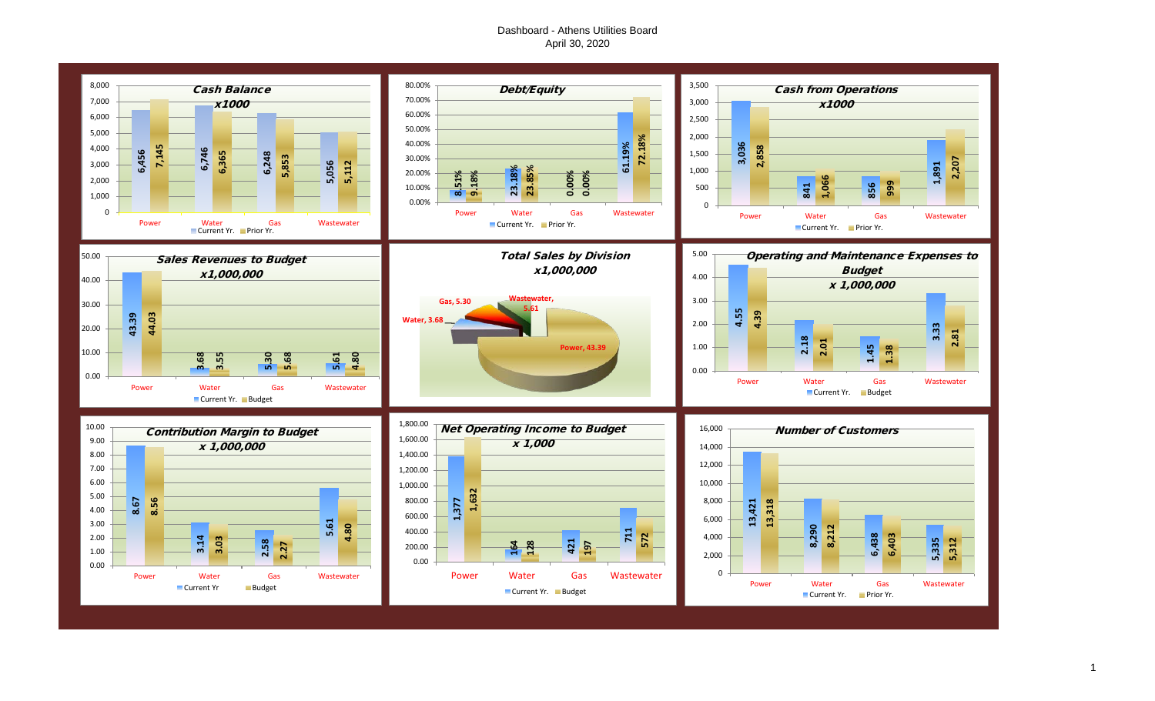#### Dashboard - Athens Utilities Board April 30, 2020

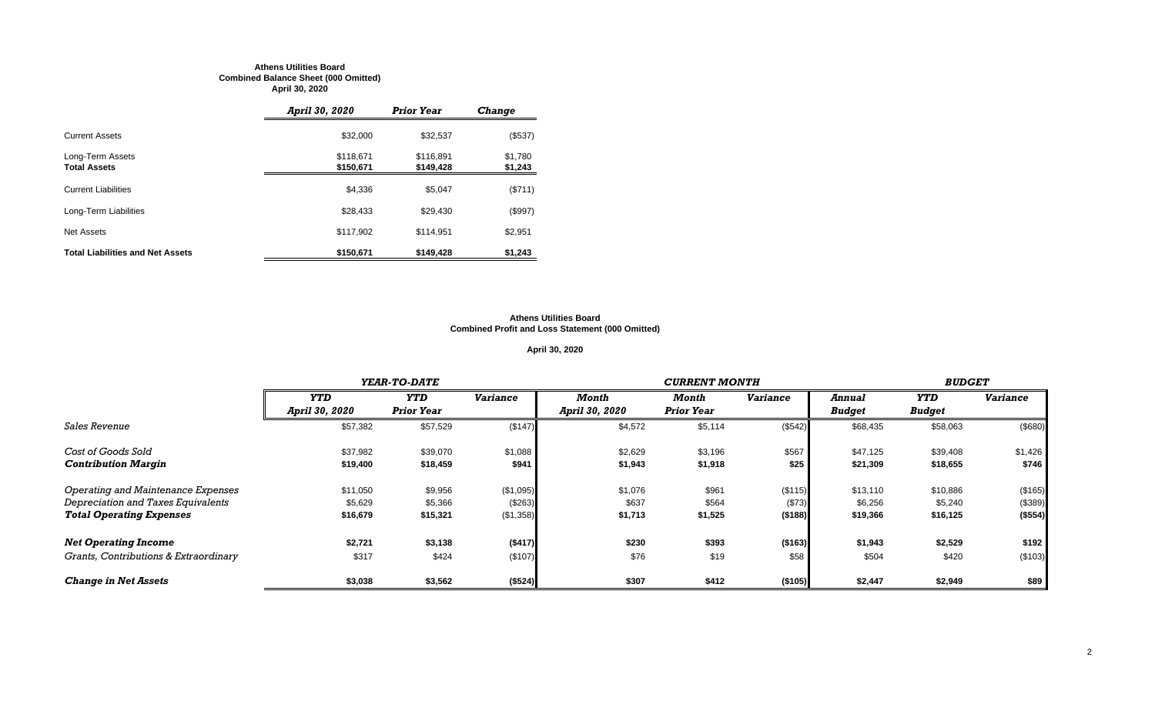#### **Athens Utilities Board Combined Balance Sheet (000 Omitted) April 30, 2020**

|                                         | April 30, 2020         | <b>Prior Year</b>      | <b>Change</b>      |
|-----------------------------------------|------------------------|------------------------|--------------------|
| <b>Current Assets</b>                   | \$32,000               | \$32,537               | (\$537)            |
| Long-Term Assets<br><b>Total Assets</b> | \$118,671<br>\$150,671 | \$116,891<br>\$149,428 | \$1,780<br>\$1,243 |
| <b>Current Liabilities</b>              | \$4,336                | \$5,047                | (\$711)            |
| Long-Term Liabilities                   | \$28,433               | \$29,430               | (\$997)            |
| Net Assets                              | \$117,902              | \$114.951              | \$2,951            |
| <b>Total Liabilities and Net Assets</b> | \$150,671              | \$149,428              | \$1,243            |

#### **Athens Utilities Board Combined Profit and Loss Statement (000 Omitted)**

#### **April 30, 2020**

|                                       |                | YEAR-TO-DATE      |                 |                |                   | <b>BUDGET</b>   |               |               |                 |
|---------------------------------------|----------------|-------------------|-----------------|----------------|-------------------|-----------------|---------------|---------------|-----------------|
|                                       | <b>YTD</b>     | <b>YTD</b>        | <b>Variance</b> | Month          | Month             | <b>Variance</b> | Annual        | YTD           | <b>Variance</b> |
|                                       | April 30, 2020 | <b>Prior Year</b> |                 | April 30, 2020 | <b>Prior Year</b> |                 | <b>Budget</b> | <b>Budget</b> |                 |
| <i>Sales Revenue</i>                  | \$57,382       | \$57,529          | (\$147)         | \$4,572        | \$5,114           | (\$542)         | \$68,435      | \$58,063      | (\$680)         |
| Cost of Goods Sold                    | \$37,982       | \$39,070          | \$1,088         | \$2,629        | \$3,196           | \$567           | \$47,125      | \$39,408      | \$1,426         |
| <b>Contribution Margin</b>            | \$19,400       | \$18,459          | \$941           | \$1,943        | \$1,918           | \$25            | \$21,309      | \$18,655      | \$746           |
| Operating and Maintenance Expenses    | \$11,050       | \$9,956           | (\$1,095)       | \$1,076        | \$961             | (\$115)         | \$13,110      | \$10,886      | (\$165)         |
| Depreciation and Taxes Equivalents    | \$5,629        | \$5,366           | (\$263)         | \$637          | \$564             | (\$73)          | \$6,256       | \$5,240       | (\$389)         |
| <b>Total Operating Expenses</b>       | \$16,679       | \$15,321          | (\$1,358)       | \$1,713        | \$1,525           | (\$188)         | \$19,366      | \$16,125      | (\$554)         |
| <b>Net Operating Income</b>           | \$2,721        | \$3,138           | (\$417)         | \$230          | \$393             | (\$163)         | \$1,943       | \$2,529       | \$192           |
| Grants, Contributions & Extraordinary | \$317          | \$424             | (\$107)         | \$76           | \$19              | \$58            | \$504         | \$420         | (\$103)         |
| <b>Change in Net Assets</b>           | \$3,038        | \$3,562           | (\$524)         | \$307          | \$412             | (\$105)         | \$2,447       | \$2,949       | \$89            |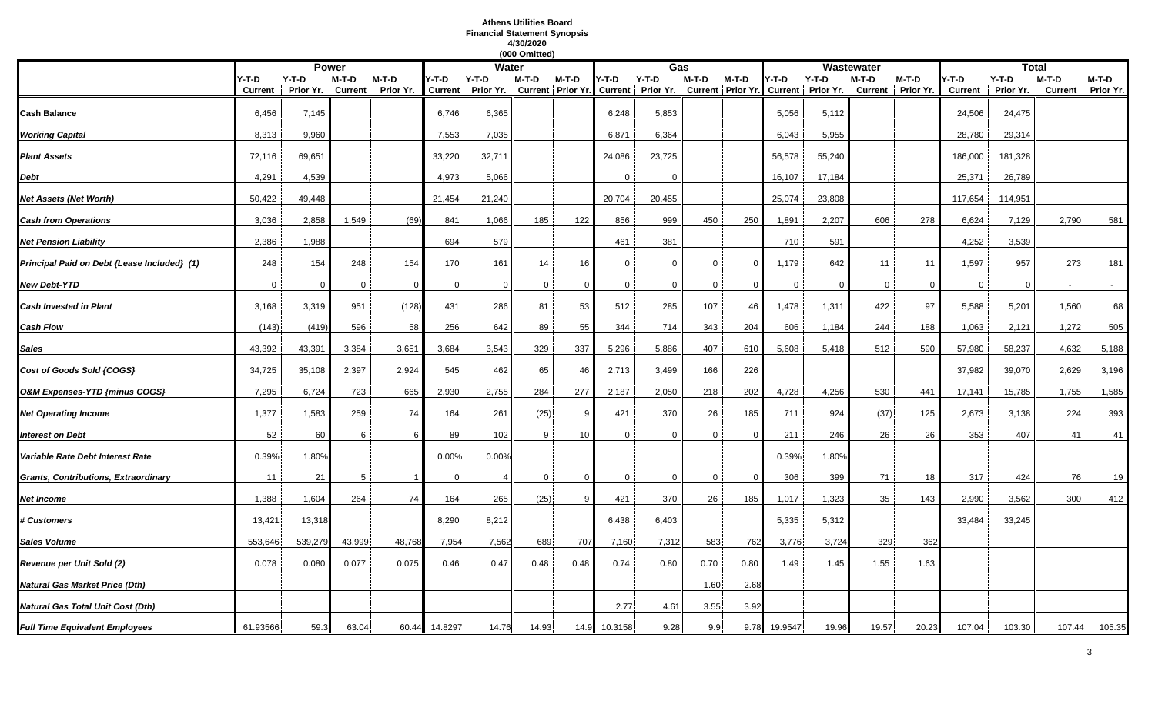### **Athens Utilities Board Financial Statement Synopsis 4/30/2020**

|                                             |                  |                      |                  |                      |             |                            | (000 Omitted) |         |              |                                                                                            |                  |          |             |          |             |                            |                         |                      |         |                            |
|---------------------------------------------|------------------|----------------------|------------------|----------------------|-------------|----------------------------|---------------|---------|--------------|--------------------------------------------------------------------------------------------|------------------|----------|-------------|----------|-------------|----------------------------|-------------------------|----------------------|---------|----------------------------|
|                                             |                  |                      | <b>Power</b>     |                      |             | <b>Water</b>               |               |         |              | Gas                                                                                        |                  |          |             |          | Wastewater  |                            |                         | <b>Total</b>         |         |                            |
|                                             | Y-T-D<br>Current | $Y-T-D$<br>Prior Yr. | M-T-D<br>Current | $M-T-D$<br>Prior Yr. | Y-T-D       | Y-T-D<br>Current Prior Yr. | M-T-D         | $M-T-D$ | Y-T-D        | $Y-T-D$<br>Current   Prior Yr. Current   Prior Yr. Current   Prior Yr. Current   Prior Yr. | $M-T-D$          | $M-T-D$  | Y-T-D       | $Y-T-D$  | M-T-D       | M-T-D<br>Current Prior Yr. | /-T-D<br><b>Current</b> | $Y-T-D$<br>Prior Yr. | $M-T-D$ | M-T-D<br>Current Prior Yr. |
|                                             |                  |                      |                  |                      |             |                            |               |         |              |                                                                                            |                  |          |             |          |             |                            |                         |                      |         |                            |
| Cash Balance                                | 6,456            | 7,145                |                  |                      | 6,746       | 6,365                      |               |         | 6,248        | 5,853                                                                                      |                  |          | 5,056       | 5,112    |             |                            | 24,506                  | 24,475               |         |                            |
| <b>Working Capital</b>                      | 8,313            | 9,960                |                  |                      | 7,553       | 7,035                      |               |         | 6,871        | 6,364                                                                                      |                  |          | 6.043       | 5,955    |             |                            | 28,780                  | 29,314               |         |                            |
| <b>Plant Assets</b>                         | 72,116           | 69,651               |                  |                      | 33,220      | 32,711                     |               |         | 24,086       | 23,725                                                                                     |                  |          | 56,578      | 55,240   |             |                            | 186,000                 | 181,328              |         |                            |
| Debt                                        | 4,291            | 4,539                |                  |                      | 4,973       | 5,066                      |               |         |              | $\Omega$                                                                                   |                  |          | 16,107      | 17,184   |             |                            | 25,371                  | 26,789               |         |                            |
| Net Assets (Net Worth)                      | 50,422           | 49,448               |                  |                      | 21,454      | 21,240                     |               |         | 20,704       | 20,455                                                                                     |                  |          | 25,074      | 23,808   |             |                            | 117,654                 | 114,951              |         |                            |
| <b>Cash from Operations</b>                 | 3,036            | 2,858                | 1,549            | (69)                 | 841         | 1,066                      | 185           | 122     | 856          | 999                                                                                        | 450              | 250      | 1,891       | 2,207    | 606         | 278                        | 6,624                   | 7,129                | 2,790   | 581                        |
| <b>Net Pension Liability</b>                | 2,386            | 1,988                |                  |                      | 694         | 579                        |               |         | 461          | 381                                                                                        |                  |          | 710         | 591      |             |                            | 4,252                   | 3,539                |         |                            |
| Principal Paid on Debt {Lease Included} (1) | 248              | 154                  | 248              | 154                  | 170         | 161                        | 14            | 16      | $\mathbf{0}$ | $\Omega$                                                                                   | $\Omega$         | ∩        | 1,179       | 642      | 11          | 11                         | 1,597                   | 957                  | 273     | 181                        |
| <b>New Debt-YTD</b>                         | $\overline{0}$   | $\mathbf 0$          | $\mathbf 0$      | $\Omega$             | $\mathbf 0$ | $\mathbf{0}$               | $\mathbf 0$   |         | $\mathbf 0$  | $\overline{0}$                                                                             | $\mathbf 0$      | $\Omega$ | $\mathbf 0$ | $\Omega$ | $\mathbf 0$ | $\Omega$                   | $\mathbf 0$             | $\Omega$             |         |                            |
| <b>Cash Invested in Plant</b>               | 3,168            | 3,319                | 951              | (128)                | 431         | 286                        | 81            | 53      | 512          | 285                                                                                        | 107              | 46       | 1,478       | 1,311    | 422         | 97                         | 5,588                   | 5,201                | 1,560   | 68                         |
| Cash Flow                                   | (143)            | (419)                | 596              | 58                   | 256         | 642                        | 89            | 55      | 344          | 714                                                                                        | 343              | 204      | 606         | 1,184    | 244         | 188                        | 1,063                   | 2,121                | 1,272   | 505                        |
| Sales                                       | 43,392           | 43,391               | 3,384            | 3,651                | 3,684       | 3,543                      | 329           | 337     | 5,296        | 5,886                                                                                      | 407              | 610      | 5,608       | 5,418    | 512         | 590                        | 57,980                  | 58,237               | 4,632   | 5,188                      |
| Cost of Goods Sold {COGS}                   | 34,725           | 35,108               | 2,397            | 2,924                | 545         | 462                        | 65            | 46      | 2,713        | 3,499                                                                                      | 166              | 226      |             |          |             |                            | 37,982                  | 39,070               | 2,629   | 3,196                      |
| O&M Expenses-YTD {minus COGS}               | 7,295            | 6,724                | 723              | 665                  | 2,930       | 2,755                      | 284           | 277     | 2,187        | 2,050                                                                                      | 218              | 202      | 4,728       | 4,256    | 530         | 441                        | 17,141                  | 15,785               | 1,755   | 1,585                      |
| <b>Net Operating Income</b>                 | 1,377            | 1,583                | 259              | 74                   | 164         | 261                        | (25)          |         | 421          | 370                                                                                        | 26               | 185      | 711         | 924      | (37)        | 125                        | 2,673                   | 3,138                | 224     | 393                        |
| <b>Interest on Debt</b>                     | 52               | 60                   | 6                |                      | 89          | 102                        | 9             | 10      | $\Omega$     | $\Omega$                                                                                   | $\mathbf{0}$     |          | 211         | 246      | 26          | 26                         | 353                     | 407                  | 41      | 41                         |
| Variable Rate Debt Interest Rate            | 0.39%            | 1.80%                |                  |                      | 0.00%       | 0.00%                      |               |         |              |                                                                                            |                  |          | 0.39%       | 1.80%    |             |                            |                         |                      |         |                            |
| Grants, Contributions, Extraordinary        | 11               | 21                   | 5                |                      | $\mathbf 0$ |                            | 0             |         | $\mathbf 0$  | $\Omega$                                                                                   | $\mathbf 0$      | - 0      | 306         | 399      | 71          | 18                         | 317                     | 424                  | 76      | 19                         |
| Net Income                                  | 1,388            | 1,604                | 264              | 74                   | 164         | 265                        | (25)          |         | 421          | 370                                                                                        | 26               | 185      | 1,017       | 1,323    | 35          | 143                        | 2,990                   | 3,562                | 300     | 412                        |
| <b># Customers</b>                          | 13,421           | 13,318               |                  |                      | 8,290       | 8,212                      |               |         | 6,438        | 6,403                                                                                      |                  |          | 5,335       | 5,312    |             |                            | 33,484                  | 33,245               |         |                            |
| Sales Volume                                | 553,646          | 539,279              | 43,999           | 48,768               | 7,954       | 7,562                      | 689           | 707     | 7,160        | 7,312                                                                                      | 583              | 762      | 3,776       | 3,724    | 329         | 362                        |                         |                      |         |                            |
| Revenue per Unit Sold (2)                   | 0.078            | 0.080                | 0.077            | 0.075                | 0.46        | 0.47                       | 0.48          | 0.48    | 0.74         | 0.80                                                                                       | 0.70             | 0.80     | 1.49        | 1.45     | 1.55        | 1.63                       |                         |                      |         |                            |
| Natural Gas Market Price (Dth)              |                  |                      |                  |                      |             |                            |               |         |              |                                                                                            | 1.60             | 2.68     |             |          |             |                            |                         |                      |         |                            |
| Natural Gas Total Unit Cost (Dth)           |                  |                      |                  |                      |             |                            |               |         | 2.77         | 4.61                                                                                       | 3.55             | 3.92     |             |          |             |                            |                         |                      |         |                            |
| <b>Full Time Equivalent Employees</b>       | 61.93566         | 59.3                 | 63.04            | 60.44                | 14.8297     | 14.76                      | 14.93         | 14.9    | 10.3158      | 9.28                                                                                       | 9.9 <sub>1</sub> | 9.78     | 19.9547     | 19.96    | 19.57       | 20.23                      | 107.04                  | 103.30               | 107.44  | 105.35                     |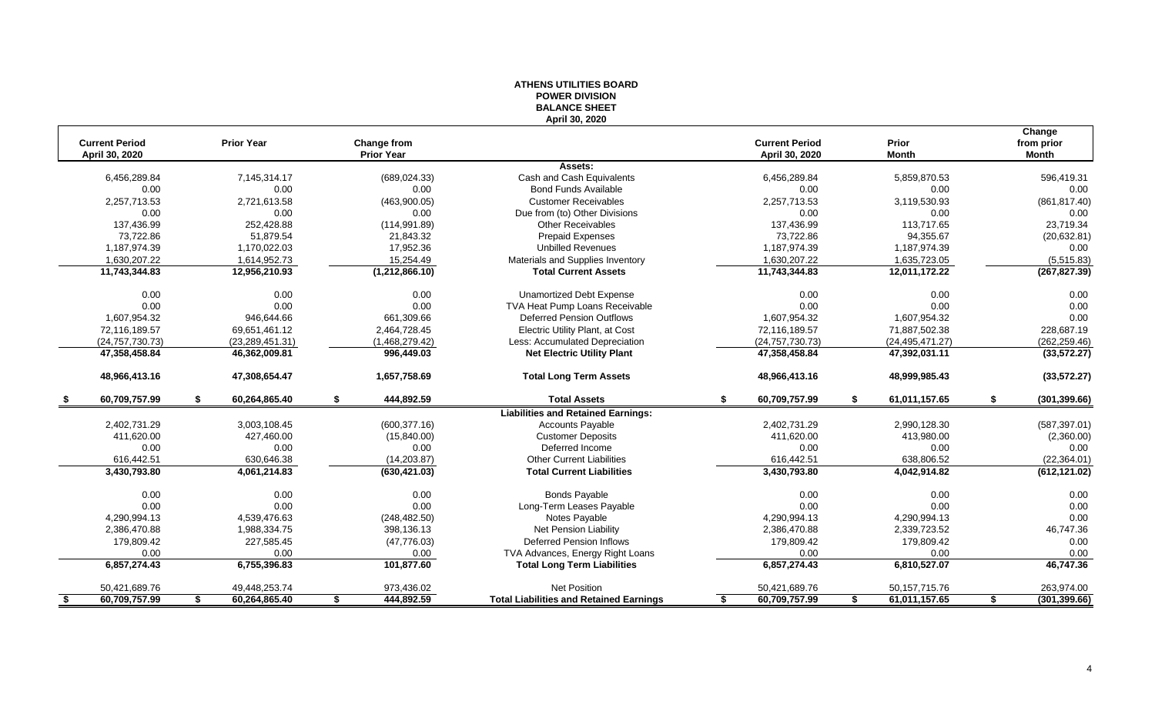|                                         |                     |                                  | ו טוטועות הושיט ו<br><b>BALANCE SHEET</b>      |                                         |                       |                               |
|-----------------------------------------|---------------------|----------------------------------|------------------------------------------------|-----------------------------------------|-----------------------|-------------------------------|
|                                         |                     |                                  | April 30, 2020                                 |                                         |                       |                               |
| <b>Current Period</b><br>April 30, 2020 | <b>Prior Year</b>   | Change from<br><b>Prior Year</b> |                                                | <b>Current Period</b><br>April 30, 2020 | Prior<br><b>Month</b> | Change<br>from prior<br>Month |
|                                         |                     |                                  | Assets:                                        |                                         |                       |                               |
| 6,456,289.84                            | 7,145,314.17        | (689, 024.33)                    | Cash and Cash Equivalents                      | 6,456,289.84                            | 5,859,870.53          | 596,419.31                    |
| 0.00                                    | 0.00                | 0.00                             | <b>Bond Funds Available</b>                    | 0.00                                    | 0.00                  | 0.00                          |
| 2,257,713.53                            | 2,721,613.58        | (463,900.05)                     | <b>Customer Receivables</b>                    | 2,257,713.53                            | 3,119,530.93          | (861, 817.40)                 |
| 0.00                                    | 0.00                | 0.00                             | Due from (to) Other Divisions                  | 0.00                                    | 0.00                  | 0.00                          |
| 137.436.99                              | 252.428.88          | (114, 991.89)                    | <b>Other Receivables</b>                       | 137,436.99                              | 113.717.65            | 23,719.34                     |
| 73,722.86                               | 51,879.54           | 21,843.32                        | Prepaid Expenses                               | 73,722.86                               | 94,355.67             | (20, 632.81)                  |
| 1,187,974.39                            | 1,170,022.03        | 17,952.36                        | <b>Unbilled Revenues</b>                       | 1,187,974.39                            | 1,187,974.39          | 0.00                          |
| 1,630,207.22                            | 1,614,952.73        | 15,254.49                        | Materials and Supplies Inventory               | 1,630,207.22                            | 1,635,723.05          | (5,515.83)                    |
| 11,743,344.83                           | 12,956,210.93       | (1, 212, 866.10)                 | <b>Total Current Assets</b>                    | 11,743,344.83                           | 12,011,172.22         | (267, 827.39)                 |
| 0.00                                    | 0.00                | 0.00                             | <b>Unamortized Debt Expense</b>                | 0.00                                    | 0.00                  | 0.00                          |
| 0.00                                    | 0.00                | 0.00                             | TVA Heat Pump Loans Receivable                 | 0.00                                    | 0.00                  | 0.00                          |
| 1,607,954.32                            | 946,644.66          | 661,309.66                       | <b>Deferred Pension Outflows</b>               | 1,607,954.32                            | 1,607,954.32          | 0.00                          |
| 72,116,189.57                           | 69,651,461.12       | 2,464,728.45                     | Electric Utility Plant, at Cost                | 72,116,189.57                           | 71,887,502.38         | 228,687.19                    |
| (24, 757, 730.73)                       | (23, 289, 451.31)   | (1,468,279.42)                   | Less: Accumulated Depreciation                 | (24, 757, 730.73)                       | (24, 495, 471.27)     | (262, 259.46)                 |
| 47,358,458.84                           | 46,362,009.81       | 996,449.03                       | <b>Net Electric Utility Plant</b>              | 47,358,458.84                           | 47,392,031.11         | (33, 572.27)                  |
| 48,966,413.16                           | 47,308,654.47       | 1,657,758.69                     | <b>Total Long Term Assets</b>                  | 48,966,413.16                           | 48,999,985.43         | (33, 572.27)                  |
| 60,709,757.99                           | 60,264,865.40<br>\$ | 444,892.59<br>\$                 | <b>Total Assets</b>                            | 60,709,757.99<br>\$                     | 61,011,157.65<br>\$   | (301, 399.66)<br>\$           |
|                                         |                     |                                  | <b>Liabilities and Retained Earnings:</b>      |                                         |                       |                               |
| 2,402,731.29                            | 3,003,108.45        | (600, 377.16)                    | <b>Accounts Payable</b>                        | 2,402,731.29                            | 2,990,128.30          | (587, 397.01)                 |
| 411,620.00                              | 427,460.00          | (15,840.00)                      | <b>Customer Deposits</b>                       | 411,620.00                              | 413,980.00            | (2,360.00)                    |
| 0.00                                    | 0.00                | 0.00                             | Deferred Income                                | 0.00                                    | 0.00                  | 0.00                          |
| 616,442.51                              | 630,646.38          | (14, 203.87)                     | <b>Other Current Liabilities</b>               | 616,442.51                              | 638,806.52            | (22, 364.01)                  |
| 3,430,793.80                            | 4,061,214.83        | (630, 421.03)                    | <b>Total Current Liabilities</b>               | 3,430,793.80                            | 4,042,914.82          | (612, 121.02)                 |
| 0.00                                    | 0.00                | 0.00                             | <b>Bonds Payable</b>                           | 0.00                                    | 0.00                  | 0.00                          |
| 0.00                                    | 0.00                | 0.00                             | Long-Term Leases Payable                       | 0.00                                    | 0.00                  | 0.00                          |
| 4,290,994.13                            | 4,539,476.63        | (248, 482.50)                    | Notes Payable                                  | 4,290,994.13                            | 4,290,994.13          | 0.00                          |
| 2,386,470.88                            | 1,988,334.75        | 398,136.13                       | Net Pension Liability                          | 2,386,470.88                            | 2,339,723.52          | 46,747.36                     |
| 179,809.42                              | 227,585.45          | (47, 776.03)                     | <b>Deferred Pension Inflows</b>                | 179,809.42                              | 179,809.42            | 0.00                          |
| 0.00                                    | 0.00                | 0.00                             | TVA Advances, Energy Right Loans               | 0.00                                    | 0.00                  | 0.00                          |
| 6,857,274.43                            | 6,755,396.83        | 101,877.60                       | <b>Total Long Term Liabilities</b>             | 6,857,274.43                            | 6,810,527.07          | 46,747.36                     |
| 50,421,689.76                           | 49,448,253.74       | 973,436.02                       | Net Position                                   | 50,421,689.76                           | 50, 157, 715. 76      | 263,974.00                    |
| \$<br>60,709,757.99                     | 60,264,865.40<br>S  | 444,892.59<br>\$                 | <b>Total Liabilities and Retained Earnings</b> | 60,709,757.99<br>\$                     | 61,011,157.65<br>\$   | (301, 399.66)<br>\$           |
|                                         |                     |                                  |                                                |                                         |                       |                               |

# **ATHENS UTILITIES BOARD POWER DIVISION**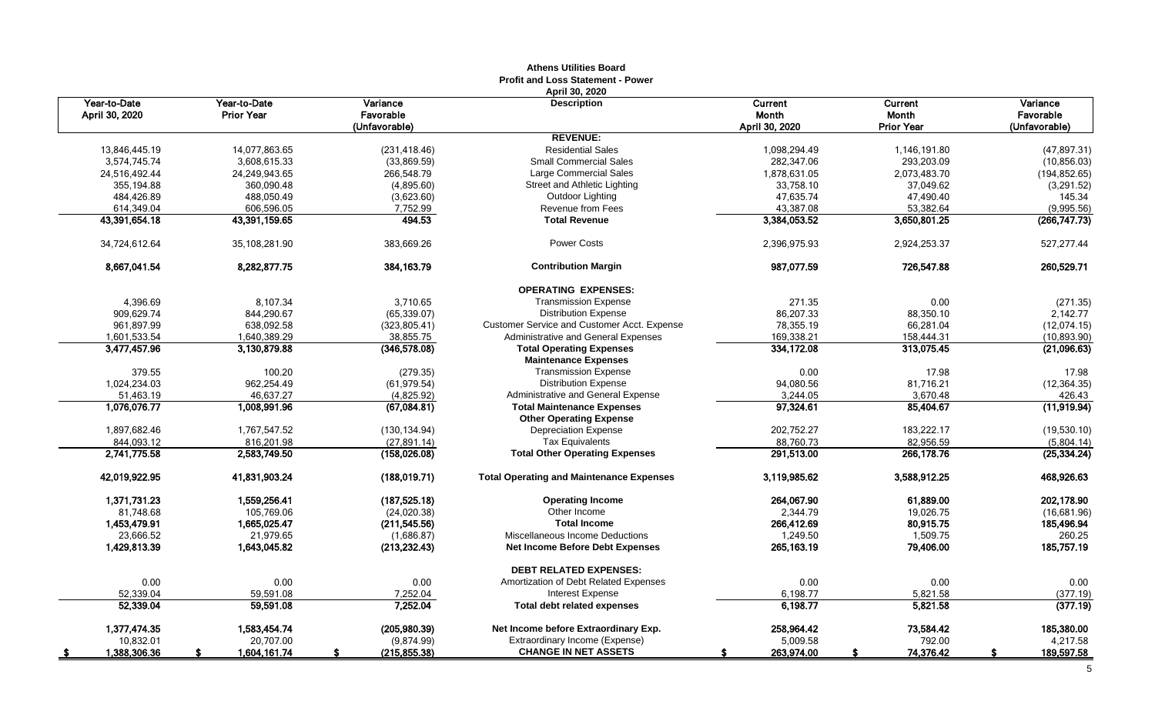|                                |                                   |                                        | <b>Profit and Loss Statement - Power</b>                       |                                           |                                              |                                        |
|--------------------------------|-----------------------------------|----------------------------------------|----------------------------------------------------------------|-------------------------------------------|----------------------------------------------|----------------------------------------|
| Year-to-Date<br>April 30, 2020 | Year-to-Date<br><b>Prior Year</b> | Variance<br>Favorable<br>(Unfavorable) | April 30, 2020<br><b>Description</b>                           | Current<br><b>Month</b><br>April 30, 2020 | Current<br><b>Month</b><br><b>Prior Year</b> | Variance<br>Favorable<br>(Unfavorable) |
|                                |                                   |                                        | <b>REVENUE:</b>                                                |                                           |                                              |                                        |
| 13.846.445.19                  | 14,077,863.65                     | (231, 418.46)                          | <b>Residential Sales</b>                                       | 1.098.294.49                              | 1,146,191.80                                 | (47, 897.31)                           |
| 3,574,745.74                   | 3,608,615.33                      | (33,869.59)                            | <b>Small Commercial Sales</b>                                  | 282,347.06                                | 293,203.09                                   | (10, 856.03)                           |
| 24,516,492.44                  | 24,249,943.65                     | 266,548.79                             | Large Commercial Sales                                         | 1,878,631.05                              | 2,073,483.70                                 | (194, 852.65)                          |
| 355,194.88                     | 360,090.48                        | (4,895.60)                             | Street and Athletic Lighting                                   | 33,758.10                                 | 37,049.62                                    | (3,291.52)                             |
| 484,426.89                     | 488,050.49                        | (3,623.60)                             | Outdoor Lighting                                               | 47,635.74                                 | 47,490.40                                    | 145.34                                 |
| 614,349.04                     | 606,596.05                        | 7,752.99                               | Revenue from Fees                                              | 43,387.08                                 | 53,382.64                                    | (9,995.56)                             |
| 43,391,654.18                  | 43,391,159.65                     | 494.53                                 | <b>Total Revenue</b>                                           | 3,384,053.52                              | 3,650,801.25                                 | (266, 747.73)                          |
| 34,724,612.64                  | 35,108,281.90                     | 383,669.26                             | <b>Power Costs</b>                                             | 2,396,975.93                              | 2,924,253.37                                 | 527,277.44                             |
| 8.667.041.54                   | 8,282,877.75                      | 384.163.79                             | <b>Contribution Margin</b>                                     | 987.077.59                                | 726,547.88                                   | 260,529.71                             |
|                                |                                   |                                        | <b>OPERATING EXPENSES:</b>                                     |                                           |                                              |                                        |
| 4,396.69                       | 8,107.34                          | 3,710.65                               | <b>Transmission Expense</b>                                    | 271.35                                    | 0.00                                         | (271.35)                               |
| 909,629.74                     | 844,290.67                        | (65, 339.07)                           | <b>Distribution Expense</b>                                    | 86,207.33                                 | 88,350.10                                    | 2,142.77                               |
| 961,897.99                     | 638,092.58                        | (323, 805.41)                          | <b>Customer Service and Customer Acct. Expense</b>             | 78,355.19                                 | 66,281.04                                    | (12,074.15)                            |
| 1,601,533.54                   | 1,640,389.29                      | 38,855.75                              | Administrative and General Expenses                            | 169,338.21                                | 158,444.31                                   | (10, 893.90)                           |
| 3,477,457.96                   | 3,130,879.88                      | (346, 578.08)                          | <b>Total Operating Expenses</b><br><b>Maintenance Expenses</b> | 334,172.08                                | 313,075.45                                   | (21,096.63)                            |
| 379.55                         | 100.20                            | (279.35)                               | <b>Transmission Expense</b>                                    | 0.00                                      | 17.98                                        | 17.98                                  |
| 1,024,234.03                   | 962,254.49                        | (61, 979.54)                           | <b>Distribution Expense</b>                                    | 94,080.56                                 | 81,716.21                                    | (12, 364.35)                           |
| 51,463.19                      | 46,637.27                         | (4,825.92)                             | Administrative and General Expense                             | 3,244.05                                  | 3,670.48                                     | 426.43                                 |
| 1,076,076.77                   | 1,008,991.96                      | (67,084.81)                            | <b>Total Maintenance Expenses</b>                              | 97,324.61                                 | 85,404.67                                    | (11,919.94)                            |
|                                |                                   |                                        | <b>Other Operating Expense</b>                                 |                                           |                                              |                                        |
| 1,897,682.46                   | 1.767.547.52                      | (130, 134.94)                          | <b>Depreciation Expense</b>                                    | 202,752.27                                | 183,222.17                                   | (19,530.10)                            |
| 844,093.12                     | 816.201.98                        | (27, 891.14)                           | <b>Tax Equivalents</b>                                         | 88,760.73                                 | 82,956.59                                    | (5,804.14)                             |
| 2,741,775.58                   | 2,583,749.50                      | (158,026.08)                           | <b>Total Other Operating Expenses</b>                          | 291,513.00                                | 266,178.76                                   | (25, 334.24)                           |
| 42,019,922.95                  | 41,831,903.24                     | (188, 019.71)                          | <b>Total Operating and Maintenance Expenses</b>                | 3.119,985.62                              | 3,588,912.25                                 | 468,926.63                             |
| 1.371.731.23                   | 1.559.256.41                      | (187, 525.18)                          | <b>Operating Income</b>                                        | 264,067.90                                | 61.889.00                                    | 202,178.90                             |
| 81,748.68                      | 105,769.06                        | (24,020.38)                            | Other Income                                                   | 2,344.79                                  | 19,026.75                                    | (16,681.96)                            |
| 1,453,479.91                   | 1,665,025.47                      | (211, 545.56)                          | <b>Total Income</b>                                            | 266,412.69                                | 80,915.75                                    | 185,496.94                             |
| 23.666.52                      | 21,979.65                         | (1,686.87)                             | Miscellaneous Income Deductions                                | 1.249.50                                  | 1,509.75                                     | 260.25                                 |
| 1,429,813.39                   | 1,643,045.82                      | (213, 232.43)                          | <b>Net Income Before Debt Expenses</b>                         | 265, 163.19                               | 79,406.00                                    | 185,757.19                             |
|                                |                                   |                                        | <b>DEBT RELATED EXPENSES:</b>                                  |                                           |                                              |                                        |
| 0.00                           | 0.00                              | 0.00                                   | Amortization of Debt Related Expenses                          | 0.00                                      | 0.00                                         | 0.00                                   |
| 52,339.04                      | 59,591.08                         | 7,252.04                               | <b>Interest Expense</b>                                        | 6,198.77                                  | 5,821.58                                     | (377.19)                               |
| 52,339.04                      | 59,591.08                         | 7,252.04                               | <b>Total debt related expenses</b>                             | 6.198.77                                  | 5,821.58                                     | (377.19)                               |
| 1,377,474.35                   | 1,583,454.74                      | (205, 980.39)                          | Net Income before Extraordinary Exp.                           | 258,964.42                                | 73,584.42                                    | 185,380.00                             |
| 10,832.01                      | 20,707.00                         | (9,874.99)                             | Extraordinary Income (Expense)                                 | 5,009.58                                  | 792.00                                       | 4,217.58                               |
| 1,388,306.36<br>- 56           | 1,604,161.74                      | (215, 855.38)                          | <b>CHANGE IN NET ASSETS</b>                                    | 263,974.00                                | 74,376.42<br>£.                              | 189,597.58<br>S                        |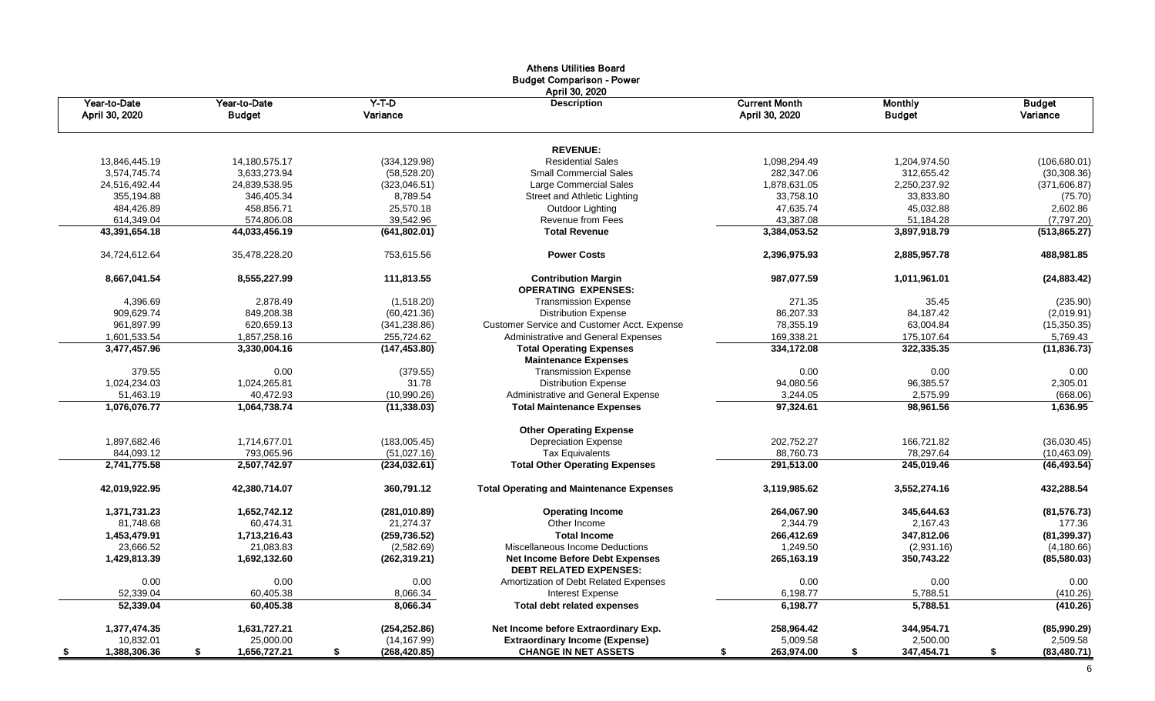|                      |                    |                     | <b>Athens Utilities Board</b><br><b>Budget Comparison - Power</b><br>April 30, 2020 |                      |                   |                    |
|----------------------|--------------------|---------------------|-------------------------------------------------------------------------------------|----------------------|-------------------|--------------------|
| Year-to-Date         | Year-to-Date       | $Y-T-D$             | <b>Description</b>                                                                  | <b>Current Month</b> | <b>Monthly</b>    | <b>Budget</b>      |
| April 30, 2020       | <b>Budget</b>      | Variance            |                                                                                     | April 30, 2020       | <b>Budget</b>     | Variance           |
|                      |                    |                     | <b>REVENUE:</b>                                                                     |                      |                   |                    |
| 13,846,445.19        | 14,180,575.17      | (334, 129.98)       | <b>Residential Sales</b>                                                            | 1,098,294.49         | 1,204,974.50      | (106, 680.01)      |
| 3,574,745.74         | 3,633,273.94       | (58, 528.20)        | <b>Small Commercial Sales</b>                                                       | 282,347.06           | 312,655.42        | (30, 308.36)       |
| 24,516,492.44        | 24,839,538.95      | (323,046.51)        | Large Commercial Sales                                                              | 1,878,631.05         | 2,250,237.92      | (371,606.87)       |
| 355,194.88           | 346,405.34         | 8,789.54            | Street and Athletic Lighting                                                        | 33,758.10            | 33,833.80         | (75.70)            |
| 484,426.89           | 458,856.71         | 25,570.18           | Outdoor Lighting                                                                    | 47,635.74            | 45,032.88         | 2,602.86           |
| 614,349.04           | 574,806.08         | 39,542.96           | Revenue from Fees                                                                   | 43,387.08            | 51,184.28         | (7,797.20)         |
| 43,391,654.18        | 44,033,456.19      | (641, 802.01)       | <b>Total Revenue</b>                                                                | 3,384,053.52         | 3,897,918.79      | (513, 865.27)      |
| 34,724,612.64        | 35,478,228.20      | 753,615.56          | <b>Power Costs</b>                                                                  | 2,396,975.93         | 2,885,957.78      | 488,981.85         |
| 8,667,041.54         | 8,555,227.99       | 111,813.55          | <b>Contribution Margin</b><br><b>OPERATING EXPENSES:</b>                            | 987,077.59           | 1,011,961.01      | (24, 883.42)       |
| 4,396.69             | 2,878.49           | (1,518.20)          | <b>Transmission Expense</b>                                                         | 271.35               | 35.45             | (235.90)           |
| 909,629.74           | 849,208.38         | (60, 421.36)        | <b>Distribution Expense</b>                                                         | 86,207.33            | 84,187.42         | (2,019.91)         |
| 961,897.99           | 620,659.13         | (341, 238.86)       | Customer Service and Customer Acct. Expense                                         | 78,355.19            | 63,004.84         | (15,350.35)        |
| 1,601,533.54         | 1,857,258.16       | 255,724.62          | Administrative and General Expenses                                                 | 169,338.21           | 175,107.64        | 5,769.43           |
| 3,477,457.96         | 3,330,004.16       | (147, 453.80)       | <b>Total Operating Expenses</b>                                                     | 334,172.08           | 322,335.35        | (11, 836.73)       |
|                      |                    |                     | <b>Maintenance Expenses</b>                                                         |                      |                   |                    |
| 379.55               | 0.00               | (379.55)            | <b>Transmission Expense</b>                                                         | 0.00                 | 0.00              | 0.00               |
| 1,024,234.03         | 1,024,265.81       | 31.78               | <b>Distribution Expense</b>                                                         | 94,080.56            | 96,385.57         | 2,305.01           |
| 51,463.19            | 40,472.93          | (10,990.26)         | Administrative and General Expense                                                  | 3,244.05             | 2,575.99          | (668.06)           |
| 1,076,076.77         | 1,064,738.74       | (11, 338.03)        | <b>Total Maintenance Expenses</b>                                                   | 97,324.61            | 98,961.56         | 1,636.95           |
|                      |                    |                     | <b>Other Operating Expense</b>                                                      |                      |                   |                    |
| 1,897,682.46         | 1,714,677.01       | (183,005.45)        | <b>Depreciation Expense</b>                                                         | 202,752.27           | 166,721.82        | (36,030.45)        |
| 844,093.12           | 793,065.96         | (51,027.16)         | <b>Tax Equivalents</b>                                                              | 88,760.73            | 78,297.64         | (10, 463.09)       |
| 2,741,775.58         | 2,507,742.97       | (234, 032.61)       | <b>Total Other Operating Expenses</b>                                               | 291,513.00           | 245,019.46        | (46, 493.54)       |
| 42,019,922.95        | 42,380,714.07      | 360,791.12          | <b>Total Operating and Maintenance Expenses</b>                                     | 3,119,985.62         | 3,552,274.16      | 432,288.54         |
| 1,371,731.23         | 1,652,742.12       | (281,010.89)        | <b>Operating Income</b>                                                             | 264,067.90           | 345,644.63        | (81, 576.73)       |
| 81,748.68            | 60,474.31          | 21,274.37           | Other Income                                                                        | 2,344.79             | 2,167.43          | 177.36             |
| 1,453,479.91         | 1,713,216.43       | (259, 736.52)       | <b>Total Income</b>                                                                 | 266,412.69           | 347,812.06        | (81, 399.37)       |
| 23,666.52            | 21,083.83          | (2,582.69)          | Miscellaneous Income Deductions                                                     | 1,249.50             | (2,931.16)        | (4, 180.66)        |
| 1,429,813.39         | 1,692,132.60       | (262, 319.21)       | <b>Net Income Before Debt Expenses</b><br><b>DEBT RELATED EXPENSES:</b>             | 265,163.19           | 350,743.22        | (85,580.03)        |
| 0.00                 | 0.00               | $0.00\,$            | Amortization of Debt Related Expenses                                               | 0.00                 | 0.00              | $0.00\,$           |
| 52,339.04            | 60,405.38          | 8,066.34            | Interest Expense                                                                    | 6,198.77             | 5,788.51          | (410.26)           |
| 52,339.04            | 60,405.38          | 8,066.34            | Total debt related expenses                                                         | 6,198.77             | 5,788.51          | (410.26)           |
| 1,377,474.35         | 1,631,727.21       | (254, 252.86)       | Net Income before Extraordinary Exp.                                                | 258,964.42           | 344,954.71        | (85,990.29)        |
| 10,832.01            | 25,000.00          | (14, 167.99)        | <b>Extraordinary Income (Expense)</b>                                               | 5,009.58             | 2,500.00          | 2,509.58           |
| 1,388,306.36<br>- 56 | 1,656,727.21<br>\$ | (268, 420.85)<br>-S | <b>CHANGE IN NET ASSETS</b>                                                         | 263,974.00           | 347,454.71<br>- 5 | (83, 480.71)<br>\$ |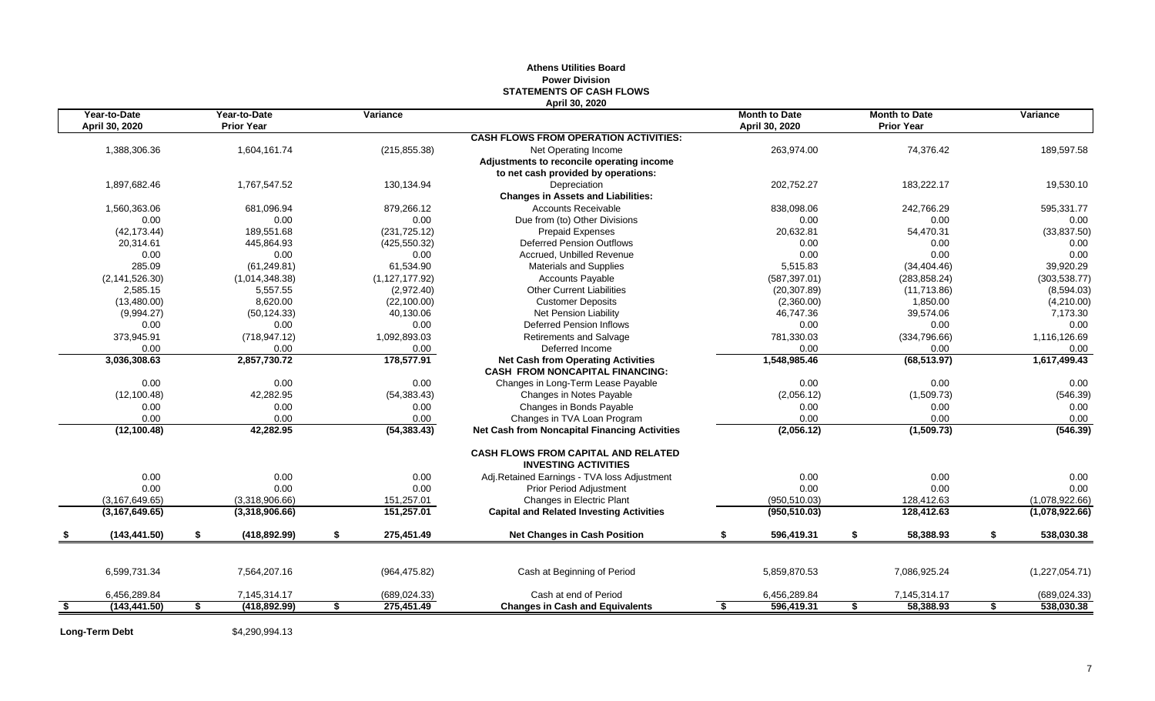|                                |                                   |                  | April 30, 2020                                                            |                                        |    |                                           |                  |
|--------------------------------|-----------------------------------|------------------|---------------------------------------------------------------------------|----------------------------------------|----|-------------------------------------------|------------------|
| Year-to-Date<br>April 30, 2020 | Year-to-Date<br><b>Prior Year</b> | Variance         |                                                                           | <b>Month to Date</b><br>April 30, 2020 |    | <b>Month to Date</b><br><b>Prior Year</b> | Variance         |
|                                |                                   |                  | <b>CASH FLOWS FROM OPERATION ACTIVITIES:</b>                              |                                        |    |                                           |                  |
| 1,388,306.36                   | 1,604,161.74                      | (215, 855.38)    | Net Operating Income                                                      | 263,974.00                             |    | 74,376.42                                 | 189,597.58       |
|                                |                                   |                  | Adjustments to reconcile operating income                                 |                                        |    |                                           |                  |
|                                |                                   |                  | to net cash provided by operations:                                       |                                        |    |                                           |                  |
| 1.897.682.46                   | 1,767,547.52                      | 130,134.94       | Depreciation                                                              | 202,752.27                             |    | 183,222.17                                | 19,530.10        |
|                                |                                   |                  | <b>Changes in Assets and Liabilities:</b>                                 |                                        |    |                                           |                  |
| 1,560,363.06                   | 681,096.94                        | 879,266.12       | <b>Accounts Receivable</b>                                                | 838,098.06                             |    | 242,766.29                                | 595,331.77       |
| 0.00                           | 0.00                              | 0.00             | Due from (to) Other Divisions                                             | 0.00                                   |    | 0.00                                      | 0.00             |
| (42, 173.44)                   | 189,551.68                        | (231, 725.12)    | <b>Prepaid Expenses</b>                                                   | 20,632.81                              |    | 54,470.31                                 | (33, 837.50)     |
| 20,314.61                      | 445,864.93                        | (425, 550.32)    | <b>Deferred Pension Outflows</b>                                          | 0.00                                   |    | 0.00                                      | 0.00             |
| 0.00                           | 0.00                              | 0.00             | Accrued, Unbilled Revenue                                                 | 0.00                                   |    | 0.00                                      | 0.00             |
| 285.09                         | (61, 249.81)                      | 61.534.90        | <b>Materials and Supplies</b>                                             | 5,515.83                               |    | (34, 404.46)                              | 39,920.29        |
| (2, 141, 526.30)               | (1,014,348.38)                    | (1, 127, 177.92) | <b>Accounts Payable</b>                                                   | (587, 397.01)                          |    | (283, 858.24)                             | (303, 538.77)    |
| 2,585.15                       | 5,557.55                          | (2,972.40)       | <b>Other Current Liabilities</b>                                          | (20, 307.89)                           |    | (11,713.86)                               | (8,594.03)       |
| (13,480.00)                    | 8,620.00                          | (22, 100.00)     | <b>Customer Deposits</b>                                                  | (2,360.00)                             |    | 1,850.00                                  | (4,210.00)       |
| (9,994.27)                     | (50, 124.33)                      | 40,130.06        | Net Pension Liability                                                     | 46,747.36                              |    | 39,574.06                                 | 7,173.30         |
| 0.00                           | 0.00                              | 0.00             | <b>Deferred Pension Inflows</b>                                           | 0.00                                   |    | 0.00                                      | 0.00             |
| 373,945.91                     | (718, 947.12)                     | 1,092,893.03     | <b>Retirements and Salvage</b>                                            | 781,330.03                             |    | (334,796.66)                              | 1,116,126.69     |
| 0.00                           | 0.00                              | 0.00             | Deferred Income                                                           | 0.00                                   |    | 0.00                                      | 0.00             |
| 3,036,308.63                   | 2,857,730.72                      | 178,577.91       | <b>Net Cash from Operating Activities</b>                                 | 1,548,985.46                           |    | (68, 513.97)                              | 1,617,499.43     |
|                                |                                   |                  | <b>CASH FROM NONCAPITAL FINANCING:</b>                                    |                                        |    |                                           |                  |
| 0.00                           | 0.00                              | 0.00             | Changes in Long-Term Lease Payable                                        | 0.00                                   |    | 0.00                                      | 0.00             |
| (12, 100.48)                   | 42,282.95                         | (54, 383.43)     | Changes in Notes Payable                                                  | (2,056.12)                             |    | (1,509.73)                                | (546.39)         |
| 0.00                           | 0.00                              | 0.00             | Changes in Bonds Payable                                                  | 0.00                                   |    | 0.00                                      | 0.00             |
| 0.00                           | 0.00                              | 0.00             | Changes in TVA Loan Program                                               | 0.00                                   |    | 0.00                                      | 0.00             |
| (12, 100.48)                   | 42,282.95                         | (54, 383.43)     | <b>Net Cash from Noncapital Financing Activities</b>                      | (2,056.12)                             |    | (1,509.73)                                | (546.39)         |
|                                |                                   |                  | <b>CASH FLOWS FROM CAPITAL AND RELATED</b><br><b>INVESTING ACTIVITIES</b> |                                        |    |                                           |                  |
| 0.00                           | 0.00                              | 0.00             | Adj.Retained Earnings - TVA loss Adjustment                               | 0.00                                   |    | 0.00                                      | 0.00             |
| 0.00                           | 0.00                              | 0.00             | Prior Period Adjustment                                                   | 0.00                                   |    | 0.00                                      | 0.00             |
| (3, 167, 649.65)               | (3,318,906.66)                    | 151,257.01       | Changes in Electric Plant                                                 | (950, 510.03)                          |    | 128,412.63                                | (1,078,922.66)   |
| (3, 167, 649.65)               | (3,318,906.66)                    | 151,257.01       | <b>Capital and Related Investing Activities</b>                           | (950, 510.03)                          |    | 128,412.63                                | (1,078,922.66)   |
| \$<br>(143, 441.50)            | \$<br>(418, 892.99)               | \$<br>275,451.49 | <b>Net Changes in Cash Position</b>                                       | S.<br>596,419.31                       | S. | 58,388.93                                 | \$<br>538,030.38 |
|                                |                                   |                  |                                                                           |                                        |    |                                           |                  |
| 6,599,731.34                   | 7,564,207.16                      | (964, 475.82)    | Cash at Beginning of Period                                               | 5,859,870.53                           |    | 7,086,925.24                              | (1,227,054.71)   |
| 6,456,289.84                   | 7,145,314.17                      | (689, 024.33)    | Cash at end of Period                                                     | 6,456,289.84                           |    | 7,145,314.17                              | (689, 024.33)    |
| \$<br>(143, 441.50)            | \$<br>(418, 892.99)               | \$<br>275,451.49 | <b>Changes in Cash and Equivalents</b>                                    | 596,419.31<br>s.                       | \$ | 58,388.93                                 | \$<br>538,030.38 |
|                                |                                   |                  |                                                                           |                                        |    |                                           |                  |

## **Athens Utilities Board Power Division STATEMENTS OF CASH FLOWS**

**Long-Term Debt** \$4,290,994.13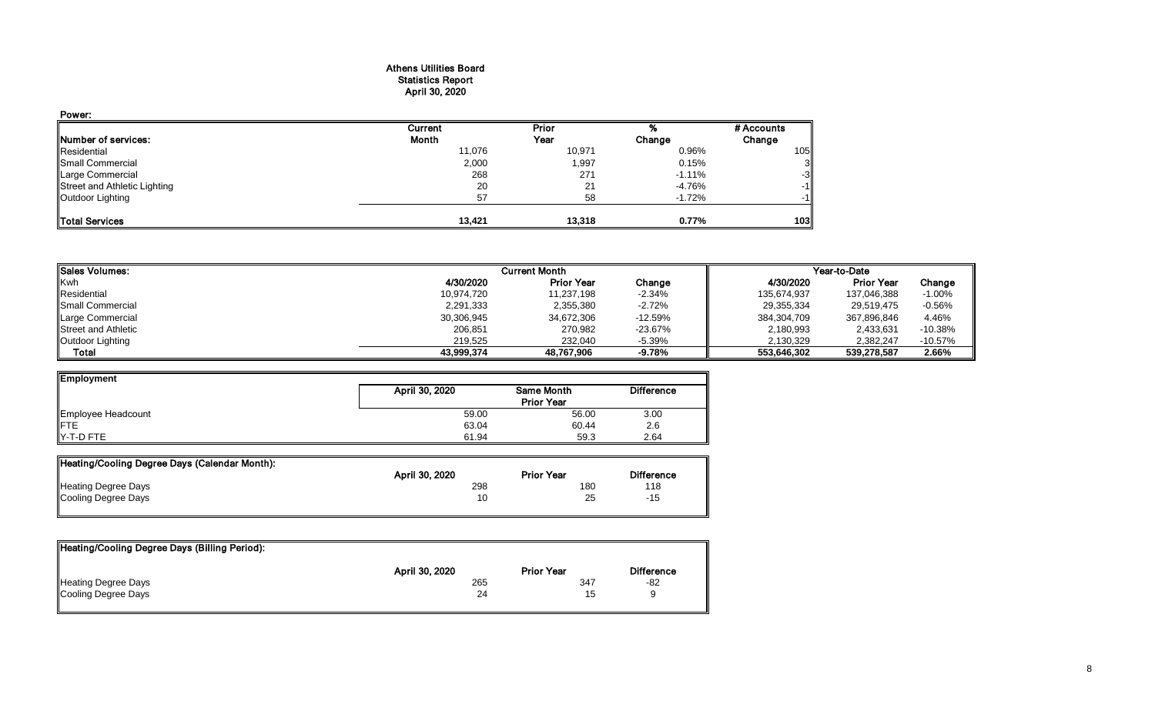#### Athens Utilities Board Statistics Report April 30, 2020

| Power:                       |         |        |          |            |
|------------------------------|---------|--------|----------|------------|
|                              | Current | Prior  |          | # Accounts |
| <b>Number of services:</b>   | Month   | Year   | Change   | Change     |
| Residential                  | 11,076  | 10,971 | 0.96%    | 105        |
| Small Commercial             | 2,000   | 1,997  | 0.15%    | 3          |
| Large Commercial             | 268     | 271    | $-1.11%$ | $-3$       |
| Street and Athletic Lighting | 20      | 21     | -4.76%   | $-1$       |
| Outdoor Lighting             | 57      | 58     | $-1.72%$ | $-1$       |
| <b>Total Services</b>        | 13.421  | 13.318 | 0.77%    | 103        |

| <b>I</b> Sales Volumes:   |            | <b>Current Month</b> |            | Year-to-Date |                   |           |  |
|---------------------------|------------|----------------------|------------|--------------|-------------------|-----------|--|
| <b>Kwh</b>                | 4/30/2020  | <b>Prior Year</b>    | Change     | 4/30/2020    | <b>Prior Year</b> | Change    |  |
| Residential               | 10,974,720 | 11,237,198           | -2.34%     | 135,674,937  | 137,046,388       | $-1.00\%$ |  |
| <b>I</b> Small Commercial | 2,291,333  | 2,355,380            | -2.72%     | 29,355,334   | 29,519,475        | $-0.56%$  |  |
| Large Commercial          | 30,306,945 | 34,672,306           | $-12.59%$  | 384,304,709  | 367,896,846       | 4.46%     |  |
| Street and Athletic       | 206,851    | 270,982              | $-23.67\%$ | 2,180,993    | 2,433,631         | $-10.38%$ |  |
| Outdoor Lighting          | 219.525    | 232.040              | $-5.39%$   | 2,130,329    | 2.382.247         | $-10.57%$ |  |
| Total                     | 43,999,374 | 48.767.906           | -9.78%     | 553.646.302  | 539,278,587       | 2.66%     |  |

| Employment         |                |                   |                   |
|--------------------|----------------|-------------------|-------------------|
|                    | April 30, 2020 | Same Month        | <b>Difference</b> |
|                    |                | <b>Prior Year</b> |                   |
| Employee Headcount | 59.00          | 56.00             | 3.00              |
| <b>IFTE</b>        | 63.04          | 60.44             | 2.6               |
| $Y-T-D$ FTE        | 61.94          | 59.3              | 2.64              |

| Heating/Cooling Degree Days (Calendar Month): |                |                   |                   |
|-----------------------------------------------|----------------|-------------------|-------------------|
|                                               | April 30, 2020 | <b>Prior Year</b> | <b>Difference</b> |
| Heating Degree Days                           | 298            | 180               | 118               |
| Cooling Degree Days                           | 10             | 25                | -15               |

| Heating/Cooling Degree Days (Billing Period): |                |                   |                   |
|-----------------------------------------------|----------------|-------------------|-------------------|
|                                               | April 30, 2020 | <b>Prior Year</b> | <b>Difference</b> |
| Heating Degree Days                           | 265            | 347               | -82               |
| Cooling Degree Days                           | 24             | 15                |                   |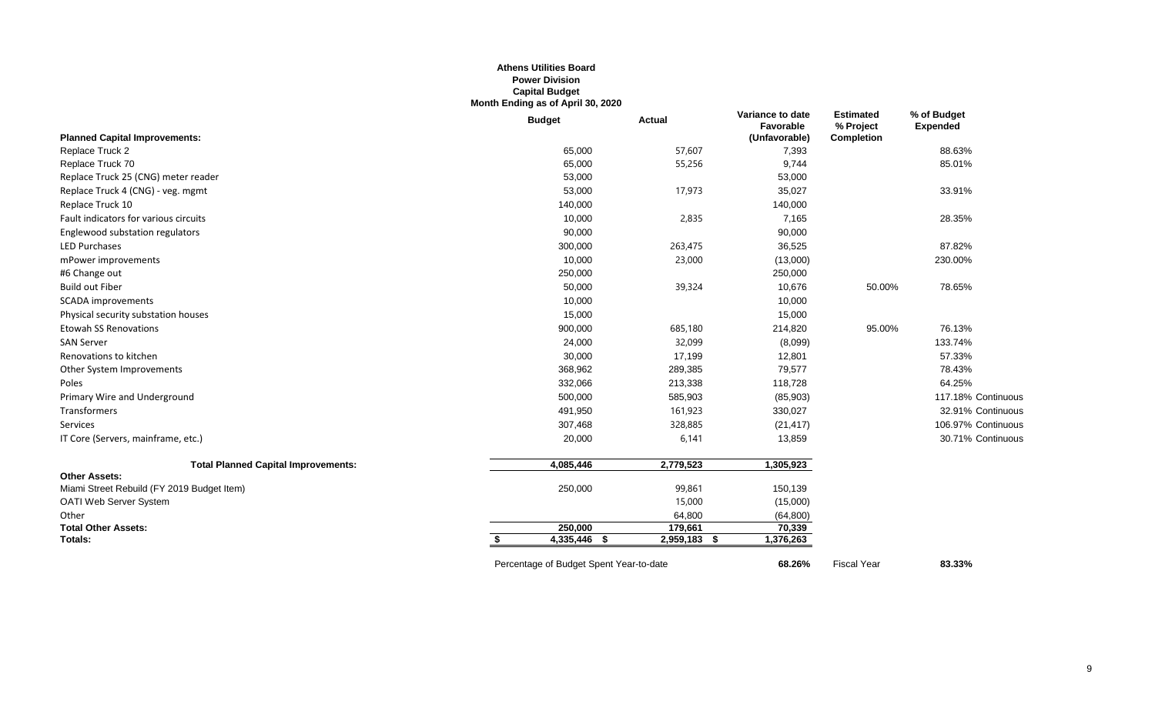#### **Athens Utilities Board Power Division Capital Budget Month Ending as of April 30, 2020**

|                                            | <b>Budget</b>                           | <b>Actual</b>     | Variance to date<br>Favorable | <b>Estimated</b><br>% Project | % of Budget<br><b>Expended</b> |
|--------------------------------------------|-----------------------------------------|-------------------|-------------------------------|-------------------------------|--------------------------------|
| <b>Planned Capital Improvements:</b>       |                                         |                   | (Unfavorable)                 | <b>Completion</b>             |                                |
| Replace Truck 2                            | 65,000                                  | 57,607            | 7,393                         |                               | 88.63%                         |
| Replace Truck 70                           | 65,000                                  | 55,256            | 9,744                         |                               | 85.01%                         |
| Replace Truck 25 (CNG) meter reader        | 53,000                                  |                   | 53,000                        |                               |                                |
| Replace Truck 4 (CNG) - veg. mgmt          | 53,000                                  | 17,973            | 35,027                        |                               | 33.91%                         |
| Replace Truck 10                           | 140,000                                 |                   | 140,000                       |                               |                                |
| Fault indicators for various circuits      | 10,000                                  | 2,835             | 7,165                         |                               | 28.35%                         |
| Englewood substation regulators            | 90,000                                  |                   | 90,000                        |                               |                                |
| <b>LED Purchases</b>                       | 300,000                                 | 263,475           | 36,525                        |                               | 87.82%                         |
| mPower improvements                        | 10,000                                  | 23,000            | (13,000)                      |                               | 230.00%                        |
| #6 Change out                              | 250,000                                 |                   | 250,000                       |                               |                                |
| <b>Build out Fiber</b>                     | 50,000                                  | 39,324            | 10,676                        | 50.00%                        | 78.65%                         |
| <b>SCADA</b> improvements                  | 10,000                                  |                   | 10,000                        |                               |                                |
| Physical security substation houses        | 15,000                                  |                   | 15,000                        |                               |                                |
| <b>Etowah SS Renovations</b>               | 900,000                                 | 685,180           | 214,820                       | 95.00%                        | 76.13%                         |
| <b>SAN Server</b>                          | 24,000                                  | 32,099            | (8,099)                       |                               | 133.74%                        |
| Renovations to kitchen                     | 30,000                                  | 17,199            | 12,801                        |                               | 57.33%                         |
| Other System Improvements                  | 368,962                                 | 289,385           | 79,577                        |                               | 78.43%                         |
| Poles                                      | 332,066                                 | 213,338           | 118,728                       |                               | 64.25%                         |
| Primary Wire and Underground               | 500,000                                 | 585,903           | (85,903)                      |                               | 117.18% Continuous             |
| Transformers                               | 491,950                                 | 161,923           | 330,027                       |                               | 32.91% Continuous              |
| Services                                   | 307,468                                 | 328,885           | (21, 417)                     |                               | 106.97% Continuous             |
| IT Core (Servers, mainframe, etc.)         | 20,000                                  | 6,141             | 13,859                        |                               | 30.71% Continuous              |
| <b>Total Planned Capital Improvements:</b> | 4,085,446                               | 2,779,523         | 1,305,923                     |                               |                                |
| <b>Other Assets:</b>                       |                                         |                   |                               |                               |                                |
| Miami Street Rebuild (FY 2019 Budget Item) | 250,000                                 | 99,861            | 150,139                       |                               |                                |
| OATI Web Server System                     |                                         | 15,000            | (15,000)                      |                               |                                |
| Other                                      |                                         | 64,800            | (64, 800)                     |                               |                                |
| <b>Total Other Assets:</b>                 | 250,000                                 | 179,661           | 70,339                        |                               |                                |
| <b>Totals:</b>                             | 4,335,446 \$                            | 2,959,183<br>- \$ | 1,376,263                     |                               |                                |
|                                            | Percentage of Budget Spent Year-to-date |                   | 68.26%                        | <b>Fiscal Year</b>            | 83.33%                         |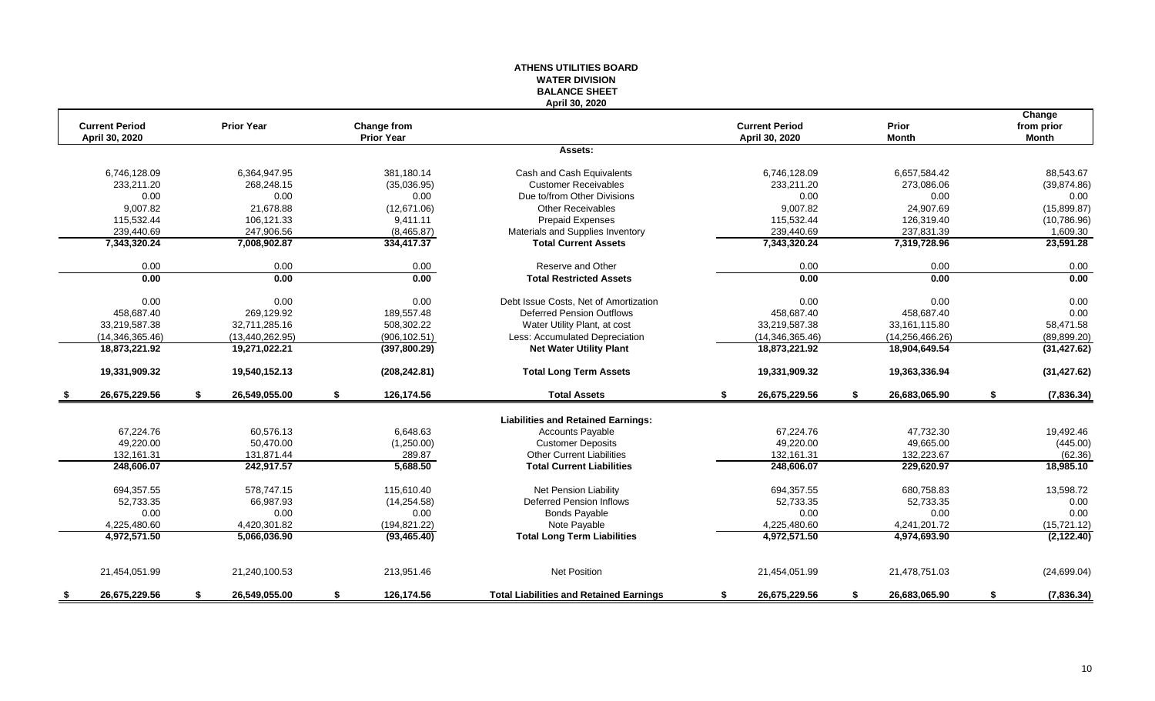|                                         |                     |                                  | <b>WATER DIVISION</b><br><b>BALANCE SHEET</b>  |                                         |                       |                                      |
|-----------------------------------------|---------------------|----------------------------------|------------------------------------------------|-----------------------------------------|-----------------------|--------------------------------------|
| <b>Current Period</b><br>April 30, 2020 | <b>Prior Year</b>   | Change from<br><b>Prior Year</b> | April 30, 2020                                 | <b>Current Period</b><br>April 30, 2020 | Prior<br><b>Month</b> | Change<br>from prior<br><b>Month</b> |
|                                         |                     |                                  | Assets:                                        |                                         |                       |                                      |
| 6,746,128.09                            | 6,364,947.95        | 381,180.14                       | Cash and Cash Equivalents                      | 6,746,128.09                            | 6,657,584.42          | 88,543.67                            |
| 233,211.20                              | 268,248.15          | (35,036.95)                      | <b>Customer Receivables</b>                    | 233,211.20                              | 273,086.06            | (39, 874.86)                         |
| 0.00                                    | 0.00                | 0.00                             | Due to/from Other Divisions                    | 0.00                                    | 0.00                  | 0.00                                 |
| 9,007.82                                | 21,678.88           | (12,671.06)                      | Other Receivables                              | 9,007.82                                | 24,907.69             | (15,899.87)                          |
| 115,532.44                              | 106,121.33          | 9,411.11                         | <b>Prepaid Expenses</b>                        | 115,532.44                              | 126,319.40            | (10,786.96)                          |
| 239,440.69                              | 247,906.56          | (8,465.87)                       | Materials and Supplies Inventory               | 239,440.69                              | 237,831.39            | 1,609.30                             |
| 7,343,320.24                            | 7,008,902.87        | 334,417.37                       | <b>Total Current Assets</b>                    | 7,343,320.24                            | 7,319,728.96          | 23,591.28                            |
| 0.00                                    | 0.00                | 0.00                             | Reserve and Other                              | 0.00                                    | 0.00                  | 0.00                                 |
| $\overline{0.00}$                       | 0.00                | 0.00                             | <b>Total Restricted Assets</b>                 | 0.00                                    | 0.00                  | 0.00                                 |
| 0.00                                    | 0.00                | 0.00                             | Debt Issue Costs, Net of Amortization          | 0.00                                    | 0.00                  | 0.00                                 |
| 458,687.40                              | 269,129.92          | 189,557.48                       | <b>Deferred Pension Outflows</b>               | 458,687.40                              | 458,687.40            | 0.00                                 |
| 33,219,587.38                           | 32,711,285.16       | 508,302.22                       | Water Utility Plant, at cost                   | 33,219,587.38                           | 33, 161, 115.80       | 58,471.58                            |
| (14, 346, 365, 46)                      | (13, 440, 262.95)   | (906, 102.51)                    | Less: Accumulated Depreciation                 | (14, 346, 365.46)                       | (14, 256, 466.26)     | (89, 899.20)                         |
| 18,873,221.92                           | 19,271,022.21       | (397, 800.29)                    | <b>Net Water Utility Plant</b>                 | 18,873,221.92                           | 18,904,649.54         | (31, 427.62)                         |
| 19,331,909.32                           | 19,540,152.13       | (208, 242.81)                    | <b>Total Long Term Assets</b>                  | 19,331,909.32                           | 19,363,336.94         | (31, 427.62)                         |
| 26,675,229.56                           | 26,549,055.00<br>s. | \$<br>126,174.56                 | <b>Total Assets</b>                            | 26,675,229.56<br>\$                     | 26,683,065.90<br>\$   | (7,836.34)<br>\$                     |
|                                         |                     |                                  | <b>Liabilities and Retained Earnings:</b>      |                                         |                       |                                      |
| 67,224.76                               | 60,576.13           | 6,648.63                         | <b>Accounts Payable</b>                        | 67,224.76                               | 47,732.30             | 19,492.46                            |
| 49,220.00                               | 50,470.00           | (1,250.00)                       | <b>Customer Deposits</b>                       | 49,220.00                               | 49,665.00             | (445.00)                             |
| 132,161.31                              | 131,871.44          | 289.87                           | <b>Other Current Liabilities</b>               | 132,161.31                              | 132,223.67            | (62.36)                              |
| 248,606.07                              | 242,917.57          | 5,688.50                         | <b>Total Current Liabilities</b>               | 248,606.07                              | 229,620.97            | 18,985.10                            |
| 694,357.55                              | 578,747.15          | 115,610.40                       | <b>Net Pension Liability</b>                   | 694,357.55                              | 680,758.83            | 13,598.72                            |
| 52,733.35                               | 66,987.93           | (14, 254.58)                     | Deferred Pension Inflows                       | 52,733.35                               | 52,733.35             | 0.00                                 |
| 0.00                                    | 0.00                | 0.00                             | <b>Bonds Payable</b>                           | 0.00                                    | 0.00                  | 0.00                                 |
| 4,225,480.60                            | 4,420,301.82        | (194, 821.22)                    | Note Payable                                   | 4,225,480.60                            | 4,241,201.72          | (15, 721.12)                         |
| 4,972,571.50                            | 5,066,036.90        | (93, 465.40)                     | <b>Total Long Term Liabilities</b>             | 4,972,571.50                            | 4,974,693.90          | (2, 122.40)                          |
| 21,454,051.99                           | 21,240,100.53       | 213,951.46                       | <b>Net Position</b>                            | 21,454,051.99                           | 21,478,751.03         | (24, 699.04)                         |
| 26.675.229.56<br>-S                     | \$<br>26.549.055.00 | \$<br>126,174.56                 | <b>Total Liabilities and Retained Earnings</b> | 26,675,229.56<br>\$                     | 26.683.065.90<br>\$   | S.<br>(7, 836.34)                    |

**ATHENS UTILITIES BOARD**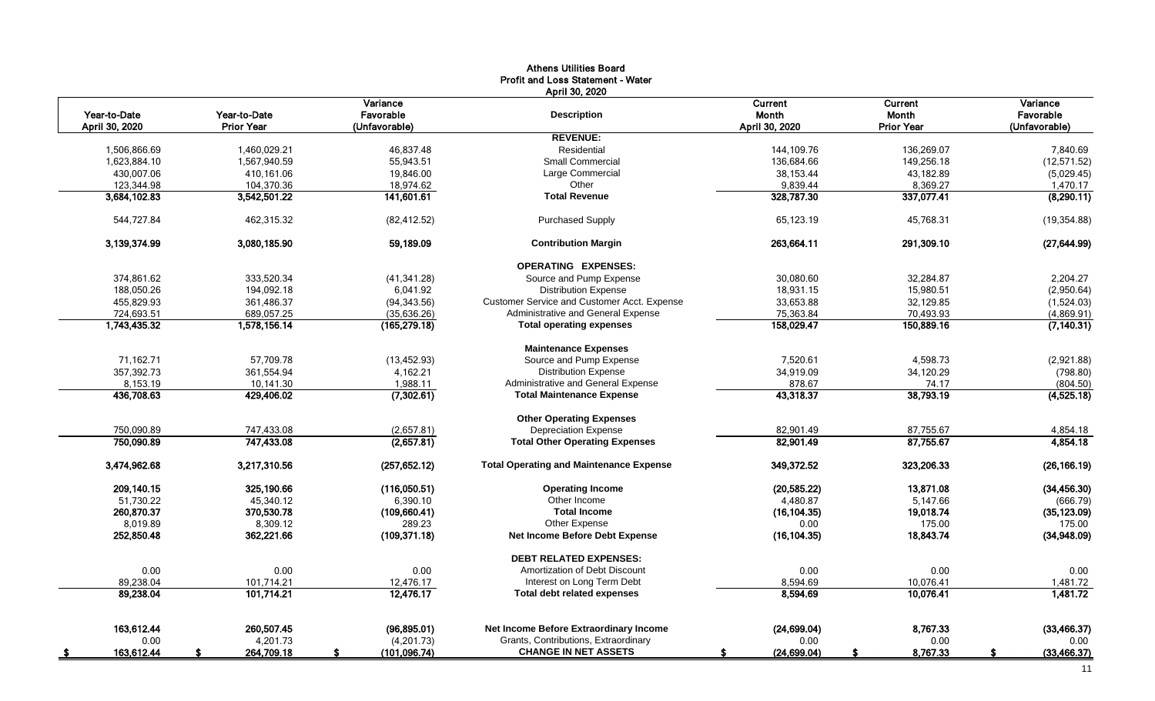|                          |                   |                     | <b>Athens Utilities Board</b>                  |                    |                   |                    |
|--------------------------|-------------------|---------------------|------------------------------------------------|--------------------|-------------------|--------------------|
|                          |                   |                     | Profit and Loss Statement - Water              |                    |                   |                    |
|                          |                   |                     | April 30, 2020                                 |                    |                   |                    |
|                          |                   | Variance            |                                                | Current            | <b>Current</b>    | Variance           |
| Year-to-Date             | Year-to-Date      | Favorable           | <b>Description</b>                             | Month              | Month             | Favorable          |
| April 30, 2020           | <b>Prior Year</b> | (Unfavorable)       |                                                | April 30, 2020     | <b>Prior Year</b> | (Unfavorable)      |
|                          |                   |                     | <b>REVENUE:</b>                                |                    |                   |                    |
| 1,506,866.69             | 1,460,029.21      | 46,837.48           | Residential                                    | 144,109.76         | 136,269.07        | 7,840.69           |
| 1,623,884.10             | 1,567,940.59      | 55,943.51           | <b>Small Commercial</b>                        | 136,684.66         | 149,256.18        | (12, 571.52)       |
| 430,007.06               | 410,161.06        | 19,846.00           | Large Commercial                               | 38,153.44          | 43,182.89         | (5,029.45)         |
| 123,344.98               | 104,370.36        | 18,974.62           | Other                                          | 9,839.44           | 8,369.27          | 1,470.17           |
| 3,684,102.83             | 3,542,501.22      | 141,601.61          | <b>Total Revenue</b>                           | 328,787.30         | 337,077.41        | (8,290.11)         |
| 544,727.84               | 462.315.32        | (82, 412.52)        | <b>Purchased Supply</b>                        | 65.123.19          | 45.768.31         | (19, 354.88)       |
| 3,139,374.99             | 3,080,185.90      | 59,189.09           | <b>Contribution Margin</b>                     | 263,664.11         | 291,309.10        | (27, 644.99)       |
|                          |                   |                     | <b>OPERATING EXPENSES:</b>                     |                    |                   |                    |
| 374.861.62               | 333,520.34        | (41, 341.28)        | Source and Pump Expense                        | 30,080.60          | 32.284.87         | 2,204.27           |
| 188,050.26               | 194,092.18        | 6,041.92            | <b>Distribution Expense</b>                    | 18,931.15          | 15,980.51         | (2,950.64)         |
| 455,829.93               | 361,486.37        |                     | Customer Service and Customer Acct. Expense    | 33,653.88          | 32,129.85         |                    |
|                          |                   | (94, 343.56)        |                                                |                    |                   | (1,524.03)         |
| 724,693.51               | 689,057.25        | (35,636.26)         | Administrative and General Expense             | 75,363.84          | 70,493.93         | (4,869.91)         |
| 1,743,435.32             | 1,578,156.14      | (165, 279.18)       | <b>Total operating expenses</b>                | 158,029.47         | 150,889.16        | (7, 140.31)        |
|                          |                   |                     | <b>Maintenance Expenses</b>                    |                    |                   |                    |
| 71.162.71                | 57.709.78         | (13, 452.93)        | Source and Pump Expense                        | 7.520.61           | 4.598.73          | (2,921.88)         |
| 357.392.73               | 361.554.94        | 4,162.21            | <b>Distribution Expense</b>                    | 34,919.09          | 34,120.29         | (798.80)           |
| 8,153.19                 | 10,141.30         | 1,988.11            | Administrative and General Expense             | 878.67             | 74.17             | (804.50)           |
| 436,708.63               | 429,406.02        | (7,302.61)          | <b>Total Maintenance Expense</b>               | 43,318.37          | 38,793.19         | (4,525.18)         |
|                          |                   |                     | <b>Other Operating Expenses</b>                |                    |                   |                    |
| 750.090.89               | 747,433.08        | (2,657.81)          | <b>Depreciation Expense</b>                    | 82,901.49          | 87,755.67         | 4,854.18           |
| 750,090.89               | 747,433.08        | (2,657.81)          | <b>Total Other Operating Expenses</b>          | 82,901.49          | 87,755.67         | 4,854.18           |
| 3,474,962.68             | 3,217,310.56      | (257, 652.12)       | <b>Total Operating and Maintenance Expense</b> | 349,372.52         | 323,206.33        | (26, 166.19)       |
| 209,140.15               | 325,190.66        | (116,050.51)        | <b>Operating Income</b>                        | (20, 585.22)       | 13,871.08         | (34, 456.30)       |
| 51,730.22                | 45,340.12         | 6,390.10            | Other Income                                   | 4,480.87           | 5,147.66          | (666.79)           |
| 260,870.37               | 370,530.78        | (109, 660.41)       | <b>Total Income</b>                            | (16, 104.35)       | 19,018.74         | (35, 123.09)       |
| 8.019.89                 | 8,309.12          | 289.23              | Other Expense                                  | 0.00               | 175.00            | 175.00             |
| 252,850.48               | 362,221.66        | (109, 371.18)       | Net Income Before Debt Expense                 | (16, 104.35)       | 18,843.74         | (34,948.09)        |
|                          |                   |                     | <b>DEBT RELATED EXPENSES:</b>                  |                    |                   |                    |
| 0.00                     | 0.00              | 0.00                | Amortization of Debt Discount                  | 0.00               | 0.00              | 0.00               |
| 89,238.04                | 101,714.21        | 12,476.17           | Interest on Long Term Debt                     | 8,594.69           | 10,076.41         | 1,481.72           |
| 89,238.04                | 101,714.21        | 12,476.17           | <b>Total debt related expenses</b>             | 8,594.69           | 10,076.41         | 1,481.72           |
|                          |                   |                     |                                                |                    |                   |                    |
| 163,612.44               | 260.507.45        | (96,895.01)         | Net Income Before Extraordinary Income         | (24, 699.04)       | 8,767.33          | (33, 466.37)       |
| 0.00                     | 4,201.73          | (4,201.73)          | Grants, Contributions, Extraordinary           | 0.00               | 0.00              | 0.00               |
| 163,612.44<br>$\sqrt{5}$ | 264,709.18<br>S.  | (101, 096.74)<br>\$ | <b>CHANGE IN NET ASSETS</b>                    | (24, 699.04)<br>S. | 8,767.33<br>\$    | \$<br>(33, 466.37) |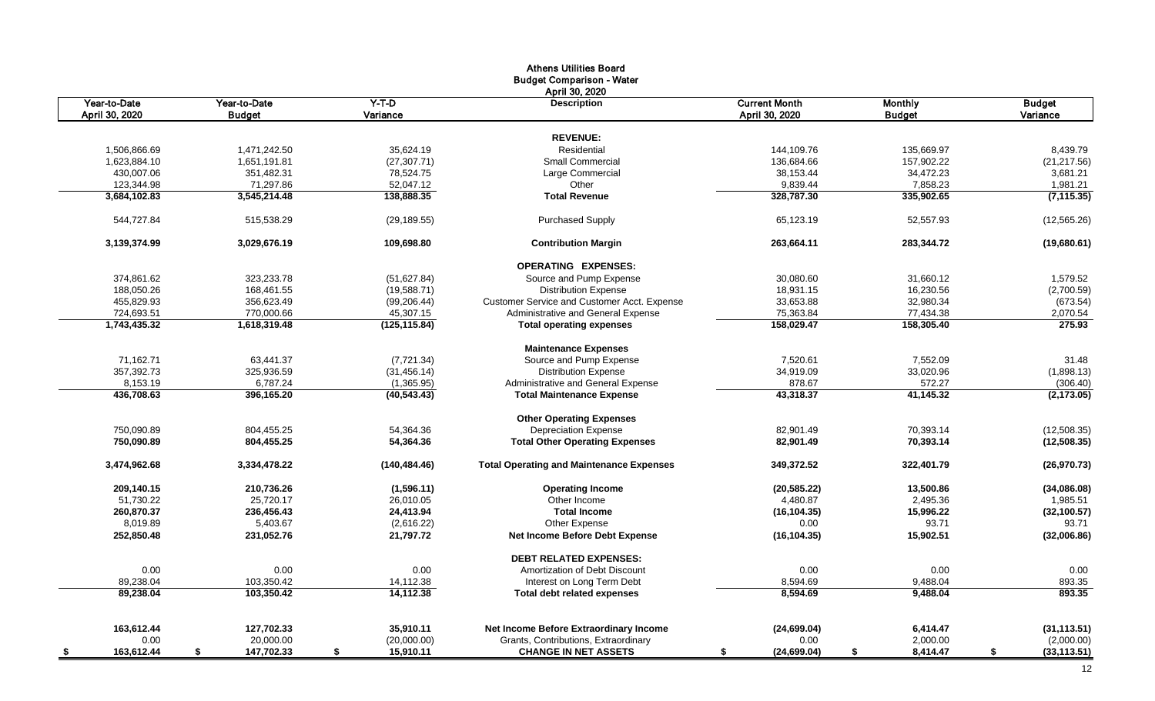|                  |                  |                 | <b>Athens Utilities Board</b>                   |                      |                |                    |
|------------------|------------------|-----------------|-------------------------------------------------|----------------------|----------------|--------------------|
|                  |                  |                 | <b>Budget Comparison - Water</b>                |                      |                |                    |
|                  |                  |                 | April 30, 2020                                  |                      |                |                    |
| Year-to-Date     | Year-to-Date     | $Y-T-D$         | <b>Description</b>                              | <b>Current Month</b> | <b>Monthly</b> | <b>Budget</b>      |
| April 30, 2020   | <b>Budget</b>    | Variance        |                                                 | April 30, 2020       | <b>Budget</b>  | Variance           |
|                  |                  |                 |                                                 |                      |                |                    |
|                  |                  |                 | <b>REVENUE:</b>                                 |                      |                |                    |
| 1,506,866.69     | 1,471,242.50     | 35,624.19       | Residential                                     | 144.109.76           | 135.669.97     | 8,439.79           |
| 1,623,884.10     | 1,651,191.81     | (27, 307.71)    | <b>Small Commercial</b>                         | 136,684.66           | 157,902.22     | (21, 217.56)       |
| 430,007.06       | 351,482.31       | 78,524.75       | Large Commercial                                | 38,153.44            | 34,472.23      | 3,681.21           |
| 123,344.98       | 71,297.86        | 52,047.12       | Other                                           | 9,839.44             | 7,858.23       | 1,981.21           |
| 3,684,102.83     | 3,545,214.48     | 138,888.35      | <b>Total Revenue</b>                            | 328,787.30           | 335,902.65     | (7, 115.35)        |
| 544,727.84       | 515,538.29       | (29, 189.55)    | <b>Purchased Supply</b>                         | 65,123.19            | 52,557.93      | (12, 565.26)       |
| 3,139,374.99     | 3,029,676.19     | 109,698.80      | <b>Contribution Margin</b>                      | 263,664.11           | 283,344.72     | (19,680.61)        |
|                  |                  |                 | <b>OPERATING EXPENSES:</b>                      |                      |                |                    |
| 374,861.62       | 323,233.78       | (51,627.84)     | Source and Pump Expense                         | 30,080.60            | 31,660.12      | 1,579.52           |
| 188,050.26       | 168,461.55       | (19,588.71)     | <b>Distribution Expense</b>                     | 18,931.15            | 16,230.56      | (2,700.59)         |
| 455,829.93       | 356,623.49       | (99, 206.44)    | Customer Service and Customer Acct. Expense     | 33,653.88            | 32,980.34      | (673.54)           |
| 724.693.51       | 770.000.66       | 45,307.15       | Administrative and General Expense              | 75,363.84            | 77,434.38      | 2,070.54           |
| 1,743,435.32     | 1,618,319.48     | (125, 115.84)   | <b>Total operating expenses</b>                 | 158,029.47           | 158,305.40     | 275.93             |
|                  |                  |                 | <b>Maintenance Expenses</b>                     |                      |                |                    |
| 71,162.71        | 63,441.37        | (7,721.34)      | Source and Pump Expense                         | 7,520.61             | 7,552.09       | 31.48              |
| 357,392.73       | 325,936.59       | (31, 456.14)    | <b>Distribution Expense</b>                     | 34,919.09            | 33,020.96      | (1,898.13)         |
| 8,153.19         | 6,787.24         | (1,365.95)      | Administrative and General Expense              | 878.67               | 572.27         | (306.40)           |
| 436.708.63       | 396.165.20       | (40, 543.43)    | <b>Total Maintenance Expense</b>                | 43.318.37            | 41,145.32      | (2, 173.05)        |
|                  |                  |                 | <b>Other Operating Expenses</b>                 |                      |                |                    |
| 750,090.89       | 804,455.25       | 54,364.36       | <b>Depreciation Expense</b>                     | 82.901.49            | 70,393.14      | (12,508.35)        |
| 750,090.89       | 804,455.25       | 54,364.36       | <b>Total Other Operating Expenses</b>           | 82,901.49            | 70,393.14      | (12,508.35)        |
| 3,474,962.68     | 3,334,478.22     | (140, 484.46)   | <b>Total Operating and Maintenance Expenses</b> | 349,372.52           | 322,401.79     | (26, 970.73)       |
| 209.140.15       | 210,736.26       | (1,596.11)      | <b>Operating Income</b>                         | (20, 585.22)         | 13,500.86      | (34,086.08)        |
| 51,730.22        | 25,720.17        | 26,010.05       | Other Income                                    | 4,480.87             | 2,495.36       | 1,985.51           |
| 260,870.37       | 236,456.43       | 24,413.94       | <b>Total Income</b>                             | (16, 104.35)         | 15,996.22      | (32, 100.57)       |
| 8,019.89         | 5,403.67         | (2,616.22)      | Other Expense                                   | 0.00                 | 93.71          | 93.71              |
| 252,850.48       | 231,052.76       | 21,797.72       | Net Income Before Debt Expense                  | (16, 104.35)         | 15,902.51      | (32,006.86)        |
|                  |                  |                 | <b>DEBT RELATED EXPENSES:</b>                   |                      |                |                    |
| 0.00             | 0.00             | 0.00            | Amortization of Debt Discount                   | 0.00                 | 0.00           | 0.00               |
| 89,238.04        | 103,350.42       | 14,112.38       | Interest on Long Term Debt                      | 8,594.69             | 9,488.04       | 893.35             |
| 89,238.04        | 103,350.42       | 14,112.38       | <b>Total debt related expenses</b>              | 8,594.69             | 9,488.04       | 893.35             |
|                  |                  |                 |                                                 |                      |                |                    |
| 163,612.44       | 127,702.33       | 35,910.11       | Net Income Before Extraordinary Income          | (24, 699.04)         | 6,414.47       | (31, 113.51)       |
| 0.00             | 20,000.00        | (20,000.00)     | Grants, Contributions, Extraordinary            | 0.00                 | 2,000.00       | (2,000.00)         |
| 163,612.44<br>\$ | \$<br>147,702.33 | \$<br>15,910.11 | <b>CHANGE IN NET ASSETS</b>                     | (24, 699.04)<br>\$   | \$<br>8,414.47 | (33, 113.51)<br>\$ |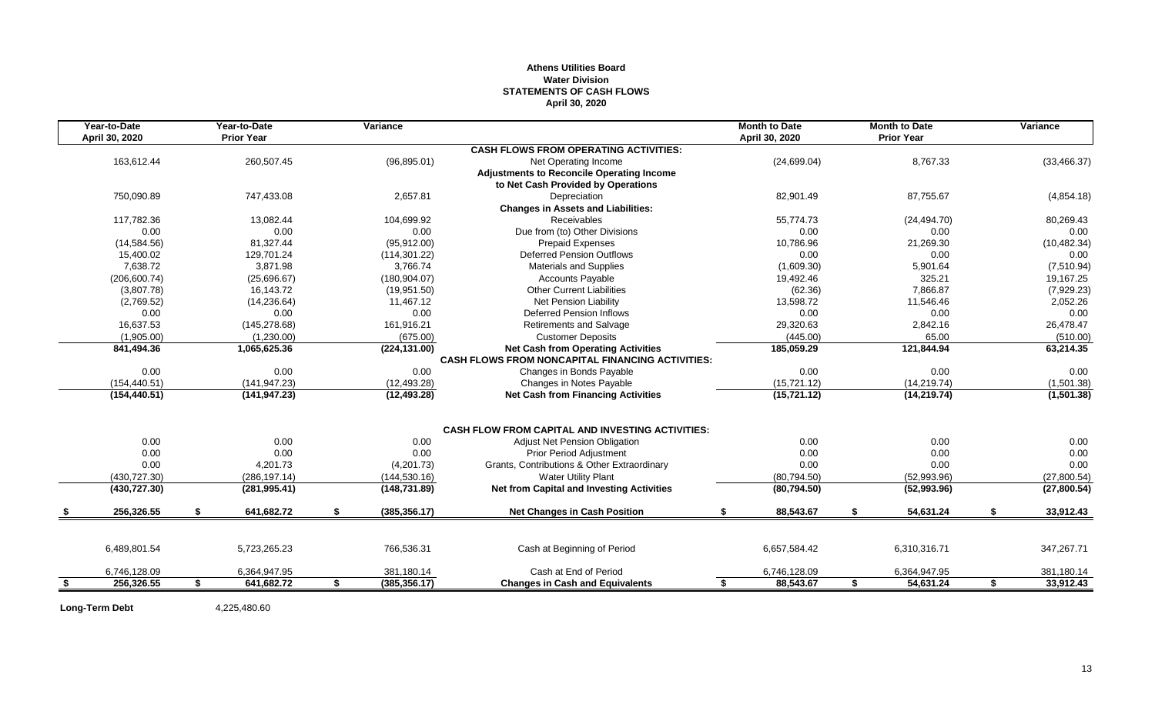#### **Athens Utilities Board Water Division STATEMENTS OF CASH FLOWS April 30, 2020**

| <b>Prior Year</b><br>April 30, 2020<br>April 30, 2020<br><b>Prior Year</b><br><b>CASH FLOWS FROM OPERATING ACTIVITIES:</b><br>260,507.45<br>(24, 699.04)<br>8,767.33<br>163,612.44<br>(96, 895.01)<br>Net Operating Income<br>(33, 466.37)<br>Adjustments to Reconcile Operating Income<br>to Net Cash Provided by Operations<br>2,657.81<br>82,901.49<br>750,090.89<br>747,433.08<br>Depreciation<br>87,755.67<br>(4,854.18)<br><b>Changes in Assets and Liabilities:</b><br>Receivables<br>117,782.36<br>13.082.44<br>104,699.92<br>55.774.73<br>80,269.43<br>(24, 494.70)<br>Due from (to) Other Divisions<br>0.00<br>0.00<br>0.00<br>0.00<br>0.00<br>0.00<br>(10, 482.34)<br>(14, 584.56)<br>81,327.44<br>(95, 912.00)<br><b>Prepaid Expenses</b><br>10,786.96<br>21,269.30<br>15,400.02<br>129,701.24<br><b>Deferred Pension Outflows</b><br>0.00<br>0.00<br>(114, 301.22)<br>0.00<br>7,638.72<br>3.871.98<br><b>Materials and Supplies</b><br>(7,510.94)<br>3.766.74<br>(1,609.30)<br>5,901.64<br>325.21<br>(206, 600.74)<br>(25,696.67)<br>(180, 904.07)<br>19,492.46<br>19,167.25<br><b>Accounts Payable</b><br>(3,807.78)<br>16,143.72<br>(19,951.50)<br><b>Other Current Liabilities</b><br>(62.36)<br>7,866.87<br>(7,929.23)<br>(2,769.52)<br>(14, 236.64)<br>Net Pension Liability<br>13,598.72<br>2,052.26<br>11,467.12<br>11,546.46<br>0.00<br>0.00<br>0.00<br><b>Deferred Pension Inflows</b><br>0.00<br>0.00<br>0.00<br>16,637.53<br>26,478.47<br>(145, 278.68)<br>161.916.21<br><b>Retirements and Salvage</b><br>29.320.63<br>2,842.16<br>(1,905.00)<br>(675.00)<br><b>Customer Deposits</b><br>(445.00)<br>65.00<br>(510.00)<br>(1,230.00)<br>63,214.35<br>(224, 131.00)<br><b>Net Cash from Operating Activities</b><br>185,059.29<br>121,844.94<br>841,494.36<br>1,065,625.36<br><b>CASH FLOWS FROM NONCAPITAL FINANCING ACTIVITIES:</b><br>0.00<br>0.00<br>0.00<br>0.00<br>0.00<br>Changes in Bonds Payable<br>0.00<br>(141, 947.23)<br>(15, 721.12)<br>(14, 219.74)<br>(1,501.38)<br>(154, 440.51)<br>(12, 493.28)<br>Changes in Notes Payable<br>(154, 440.51)<br>(141, 947.23)<br>(12, 493.28)<br><b>Net Cash from Financing Activities</b><br>(15, 721.12)<br>(14, 219.74)<br><b>CASH FLOW FROM CAPITAL AND INVESTING ACTIVITIES:</b><br>0.00<br>0.00<br>0.00<br>0.00<br>0.00<br>0.00<br>Adjust Net Pension Obligation<br>0.00<br>0.00<br>0.00<br>0.00<br><b>Prior Period Adjustment</b><br>0.00<br>0.00<br>0.00<br>Grants, Contributions & Other Extraordinary<br>0.00<br>0.00<br>0.00<br>4,201.73<br>(4,201.73)<br>(430, 727.30)<br>(286, 197.14)<br><b>Water Utility Plant</b><br>(80, 794.50)<br>(52,993.96)<br>(27,800.54)<br>(144, 530.16)<br><b>Net from Capital and Investing Activities</b><br>(148, 731.89)<br>(52,993.96)<br>(27,800.54)<br>(430, 727.30)<br>(281, 995.41)<br>(80, 794.50)<br>256,326.55<br>\$<br>641,682.72<br>\$<br>(385, 356.17)<br>88,543.67<br>S.<br>54,631.24<br>S.<br>33,912.43<br><b>Net Changes in Cash Position</b><br>\$<br>347,267.71<br>6,489,801.54<br>5,723,265.23<br>766,536.31<br>Cash at Beginning of Period<br>6,657,584.42<br>6,310,316.71<br>Cash at End of Period<br>6,746,128.09<br>6,364,947.95<br>381,180.14<br>6,746,128.09<br>6,364,947.95<br>381,180.14<br>(385, 356.17)<br>88,543.67<br>54,631.24<br>33,912.43<br>256,326.55<br>641,682.72<br><b>Changes in Cash and Equivalents</b><br>\$<br>\$<br>\$<br>s.<br>\$<br>-S | Year-to-Date | Year-to-Date | Variance |  | <b>Month to Date</b> | <b>Month to Date</b> | Variance   |
|------------------------------------------------------------------------------------------------------------------------------------------------------------------------------------------------------------------------------------------------------------------------------------------------------------------------------------------------------------------------------------------------------------------------------------------------------------------------------------------------------------------------------------------------------------------------------------------------------------------------------------------------------------------------------------------------------------------------------------------------------------------------------------------------------------------------------------------------------------------------------------------------------------------------------------------------------------------------------------------------------------------------------------------------------------------------------------------------------------------------------------------------------------------------------------------------------------------------------------------------------------------------------------------------------------------------------------------------------------------------------------------------------------------------------------------------------------------------------------------------------------------------------------------------------------------------------------------------------------------------------------------------------------------------------------------------------------------------------------------------------------------------------------------------------------------------------------------------------------------------------------------------------------------------------------------------------------------------------------------------------------------------------------------------------------------------------------------------------------------------------------------------------------------------------------------------------------------------------------------------------------------------------------------------------------------------------------------------------------------------------------------------------------------------------------------------------------------------------------------------------------------------------------------------------------------------------------------------------------------------------------------------------------------------------------------------------------------------------------------------------------------------------------------------------------------------------------------------------------------------------------------------------------------------------------------------------------------------------------------------------------------------------------------------------------------------------------------------------------------------------------------------------------------------------------------------------------------------------------------------------------------------------------------------------------------------------------------------------------------------------------------------------------|--------------|--------------|----------|--|----------------------|----------------------|------------|
|                                                                                                                                                                                                                                                                                                                                                                                                                                                                                                                                                                                                                                                                                                                                                                                                                                                                                                                                                                                                                                                                                                                                                                                                                                                                                                                                                                                                                                                                                                                                                                                                                                                                                                                                                                                                                                                                                                                                                                                                                                                                                                                                                                                                                                                                                                                                                                                                                                                                                                                                                                                                                                                                                                                                                                                                                                                                                                                                                                                                                                                                                                                                                                                                                                                                                                                                                                                                            |              |              |          |  |                      |                      |            |
|                                                                                                                                                                                                                                                                                                                                                                                                                                                                                                                                                                                                                                                                                                                                                                                                                                                                                                                                                                                                                                                                                                                                                                                                                                                                                                                                                                                                                                                                                                                                                                                                                                                                                                                                                                                                                                                                                                                                                                                                                                                                                                                                                                                                                                                                                                                                                                                                                                                                                                                                                                                                                                                                                                                                                                                                                                                                                                                                                                                                                                                                                                                                                                                                                                                                                                                                                                                                            |              |              |          |  |                      |                      |            |
|                                                                                                                                                                                                                                                                                                                                                                                                                                                                                                                                                                                                                                                                                                                                                                                                                                                                                                                                                                                                                                                                                                                                                                                                                                                                                                                                                                                                                                                                                                                                                                                                                                                                                                                                                                                                                                                                                                                                                                                                                                                                                                                                                                                                                                                                                                                                                                                                                                                                                                                                                                                                                                                                                                                                                                                                                                                                                                                                                                                                                                                                                                                                                                                                                                                                                                                                                                                                            |              |              |          |  |                      |                      |            |
|                                                                                                                                                                                                                                                                                                                                                                                                                                                                                                                                                                                                                                                                                                                                                                                                                                                                                                                                                                                                                                                                                                                                                                                                                                                                                                                                                                                                                                                                                                                                                                                                                                                                                                                                                                                                                                                                                                                                                                                                                                                                                                                                                                                                                                                                                                                                                                                                                                                                                                                                                                                                                                                                                                                                                                                                                                                                                                                                                                                                                                                                                                                                                                                                                                                                                                                                                                                                            |              |              |          |  |                      |                      |            |
|                                                                                                                                                                                                                                                                                                                                                                                                                                                                                                                                                                                                                                                                                                                                                                                                                                                                                                                                                                                                                                                                                                                                                                                                                                                                                                                                                                                                                                                                                                                                                                                                                                                                                                                                                                                                                                                                                                                                                                                                                                                                                                                                                                                                                                                                                                                                                                                                                                                                                                                                                                                                                                                                                                                                                                                                                                                                                                                                                                                                                                                                                                                                                                                                                                                                                                                                                                                                            |              |              |          |  |                      |                      |            |
|                                                                                                                                                                                                                                                                                                                                                                                                                                                                                                                                                                                                                                                                                                                                                                                                                                                                                                                                                                                                                                                                                                                                                                                                                                                                                                                                                                                                                                                                                                                                                                                                                                                                                                                                                                                                                                                                                                                                                                                                                                                                                                                                                                                                                                                                                                                                                                                                                                                                                                                                                                                                                                                                                                                                                                                                                                                                                                                                                                                                                                                                                                                                                                                                                                                                                                                                                                                                            |              |              |          |  |                      |                      |            |
|                                                                                                                                                                                                                                                                                                                                                                                                                                                                                                                                                                                                                                                                                                                                                                                                                                                                                                                                                                                                                                                                                                                                                                                                                                                                                                                                                                                                                                                                                                                                                                                                                                                                                                                                                                                                                                                                                                                                                                                                                                                                                                                                                                                                                                                                                                                                                                                                                                                                                                                                                                                                                                                                                                                                                                                                                                                                                                                                                                                                                                                                                                                                                                                                                                                                                                                                                                                                            |              |              |          |  |                      |                      |            |
|                                                                                                                                                                                                                                                                                                                                                                                                                                                                                                                                                                                                                                                                                                                                                                                                                                                                                                                                                                                                                                                                                                                                                                                                                                                                                                                                                                                                                                                                                                                                                                                                                                                                                                                                                                                                                                                                                                                                                                                                                                                                                                                                                                                                                                                                                                                                                                                                                                                                                                                                                                                                                                                                                                                                                                                                                                                                                                                                                                                                                                                                                                                                                                                                                                                                                                                                                                                                            |              |              |          |  |                      |                      |            |
|                                                                                                                                                                                                                                                                                                                                                                                                                                                                                                                                                                                                                                                                                                                                                                                                                                                                                                                                                                                                                                                                                                                                                                                                                                                                                                                                                                                                                                                                                                                                                                                                                                                                                                                                                                                                                                                                                                                                                                                                                                                                                                                                                                                                                                                                                                                                                                                                                                                                                                                                                                                                                                                                                                                                                                                                                                                                                                                                                                                                                                                                                                                                                                                                                                                                                                                                                                                                            |              |              |          |  |                      |                      |            |
|                                                                                                                                                                                                                                                                                                                                                                                                                                                                                                                                                                                                                                                                                                                                                                                                                                                                                                                                                                                                                                                                                                                                                                                                                                                                                                                                                                                                                                                                                                                                                                                                                                                                                                                                                                                                                                                                                                                                                                                                                                                                                                                                                                                                                                                                                                                                                                                                                                                                                                                                                                                                                                                                                                                                                                                                                                                                                                                                                                                                                                                                                                                                                                                                                                                                                                                                                                                                            |              |              |          |  |                      |                      |            |
|                                                                                                                                                                                                                                                                                                                                                                                                                                                                                                                                                                                                                                                                                                                                                                                                                                                                                                                                                                                                                                                                                                                                                                                                                                                                                                                                                                                                                                                                                                                                                                                                                                                                                                                                                                                                                                                                                                                                                                                                                                                                                                                                                                                                                                                                                                                                                                                                                                                                                                                                                                                                                                                                                                                                                                                                                                                                                                                                                                                                                                                                                                                                                                                                                                                                                                                                                                                                            |              |              |          |  |                      |                      |            |
|                                                                                                                                                                                                                                                                                                                                                                                                                                                                                                                                                                                                                                                                                                                                                                                                                                                                                                                                                                                                                                                                                                                                                                                                                                                                                                                                                                                                                                                                                                                                                                                                                                                                                                                                                                                                                                                                                                                                                                                                                                                                                                                                                                                                                                                                                                                                                                                                                                                                                                                                                                                                                                                                                                                                                                                                                                                                                                                                                                                                                                                                                                                                                                                                                                                                                                                                                                                                            |              |              |          |  |                      |                      |            |
|                                                                                                                                                                                                                                                                                                                                                                                                                                                                                                                                                                                                                                                                                                                                                                                                                                                                                                                                                                                                                                                                                                                                                                                                                                                                                                                                                                                                                                                                                                                                                                                                                                                                                                                                                                                                                                                                                                                                                                                                                                                                                                                                                                                                                                                                                                                                                                                                                                                                                                                                                                                                                                                                                                                                                                                                                                                                                                                                                                                                                                                                                                                                                                                                                                                                                                                                                                                                            |              |              |          |  |                      |                      |            |
|                                                                                                                                                                                                                                                                                                                                                                                                                                                                                                                                                                                                                                                                                                                                                                                                                                                                                                                                                                                                                                                                                                                                                                                                                                                                                                                                                                                                                                                                                                                                                                                                                                                                                                                                                                                                                                                                                                                                                                                                                                                                                                                                                                                                                                                                                                                                                                                                                                                                                                                                                                                                                                                                                                                                                                                                                                                                                                                                                                                                                                                                                                                                                                                                                                                                                                                                                                                                            |              |              |          |  |                      |                      |            |
|                                                                                                                                                                                                                                                                                                                                                                                                                                                                                                                                                                                                                                                                                                                                                                                                                                                                                                                                                                                                                                                                                                                                                                                                                                                                                                                                                                                                                                                                                                                                                                                                                                                                                                                                                                                                                                                                                                                                                                                                                                                                                                                                                                                                                                                                                                                                                                                                                                                                                                                                                                                                                                                                                                                                                                                                                                                                                                                                                                                                                                                                                                                                                                                                                                                                                                                                                                                                            |              |              |          |  |                      |                      |            |
|                                                                                                                                                                                                                                                                                                                                                                                                                                                                                                                                                                                                                                                                                                                                                                                                                                                                                                                                                                                                                                                                                                                                                                                                                                                                                                                                                                                                                                                                                                                                                                                                                                                                                                                                                                                                                                                                                                                                                                                                                                                                                                                                                                                                                                                                                                                                                                                                                                                                                                                                                                                                                                                                                                                                                                                                                                                                                                                                                                                                                                                                                                                                                                                                                                                                                                                                                                                                            |              |              |          |  |                      |                      |            |
|                                                                                                                                                                                                                                                                                                                                                                                                                                                                                                                                                                                                                                                                                                                                                                                                                                                                                                                                                                                                                                                                                                                                                                                                                                                                                                                                                                                                                                                                                                                                                                                                                                                                                                                                                                                                                                                                                                                                                                                                                                                                                                                                                                                                                                                                                                                                                                                                                                                                                                                                                                                                                                                                                                                                                                                                                                                                                                                                                                                                                                                                                                                                                                                                                                                                                                                                                                                                            |              |              |          |  |                      |                      |            |
|                                                                                                                                                                                                                                                                                                                                                                                                                                                                                                                                                                                                                                                                                                                                                                                                                                                                                                                                                                                                                                                                                                                                                                                                                                                                                                                                                                                                                                                                                                                                                                                                                                                                                                                                                                                                                                                                                                                                                                                                                                                                                                                                                                                                                                                                                                                                                                                                                                                                                                                                                                                                                                                                                                                                                                                                                                                                                                                                                                                                                                                                                                                                                                                                                                                                                                                                                                                                            |              |              |          |  |                      |                      |            |
|                                                                                                                                                                                                                                                                                                                                                                                                                                                                                                                                                                                                                                                                                                                                                                                                                                                                                                                                                                                                                                                                                                                                                                                                                                                                                                                                                                                                                                                                                                                                                                                                                                                                                                                                                                                                                                                                                                                                                                                                                                                                                                                                                                                                                                                                                                                                                                                                                                                                                                                                                                                                                                                                                                                                                                                                                                                                                                                                                                                                                                                                                                                                                                                                                                                                                                                                                                                                            |              |              |          |  |                      |                      |            |
|                                                                                                                                                                                                                                                                                                                                                                                                                                                                                                                                                                                                                                                                                                                                                                                                                                                                                                                                                                                                                                                                                                                                                                                                                                                                                                                                                                                                                                                                                                                                                                                                                                                                                                                                                                                                                                                                                                                                                                                                                                                                                                                                                                                                                                                                                                                                                                                                                                                                                                                                                                                                                                                                                                                                                                                                                                                                                                                                                                                                                                                                                                                                                                                                                                                                                                                                                                                                            |              |              |          |  |                      |                      |            |
|                                                                                                                                                                                                                                                                                                                                                                                                                                                                                                                                                                                                                                                                                                                                                                                                                                                                                                                                                                                                                                                                                                                                                                                                                                                                                                                                                                                                                                                                                                                                                                                                                                                                                                                                                                                                                                                                                                                                                                                                                                                                                                                                                                                                                                                                                                                                                                                                                                                                                                                                                                                                                                                                                                                                                                                                                                                                                                                                                                                                                                                                                                                                                                                                                                                                                                                                                                                                            |              |              |          |  |                      |                      |            |
|                                                                                                                                                                                                                                                                                                                                                                                                                                                                                                                                                                                                                                                                                                                                                                                                                                                                                                                                                                                                                                                                                                                                                                                                                                                                                                                                                                                                                                                                                                                                                                                                                                                                                                                                                                                                                                                                                                                                                                                                                                                                                                                                                                                                                                                                                                                                                                                                                                                                                                                                                                                                                                                                                                                                                                                                                                                                                                                                                                                                                                                                                                                                                                                                                                                                                                                                                                                                            |              |              |          |  |                      |                      |            |
|                                                                                                                                                                                                                                                                                                                                                                                                                                                                                                                                                                                                                                                                                                                                                                                                                                                                                                                                                                                                                                                                                                                                                                                                                                                                                                                                                                                                                                                                                                                                                                                                                                                                                                                                                                                                                                                                                                                                                                                                                                                                                                                                                                                                                                                                                                                                                                                                                                                                                                                                                                                                                                                                                                                                                                                                                                                                                                                                                                                                                                                                                                                                                                                                                                                                                                                                                                                                            |              |              |          |  |                      |                      | (1,501.38) |
|                                                                                                                                                                                                                                                                                                                                                                                                                                                                                                                                                                                                                                                                                                                                                                                                                                                                                                                                                                                                                                                                                                                                                                                                                                                                                                                                                                                                                                                                                                                                                                                                                                                                                                                                                                                                                                                                                                                                                                                                                                                                                                                                                                                                                                                                                                                                                                                                                                                                                                                                                                                                                                                                                                                                                                                                                                                                                                                                                                                                                                                                                                                                                                                                                                                                                                                                                                                                            |              |              |          |  |                      |                      |            |
|                                                                                                                                                                                                                                                                                                                                                                                                                                                                                                                                                                                                                                                                                                                                                                                                                                                                                                                                                                                                                                                                                                                                                                                                                                                                                                                                                                                                                                                                                                                                                                                                                                                                                                                                                                                                                                                                                                                                                                                                                                                                                                                                                                                                                                                                                                                                                                                                                                                                                                                                                                                                                                                                                                                                                                                                                                                                                                                                                                                                                                                                                                                                                                                                                                                                                                                                                                                                            |              |              |          |  |                      |                      |            |
|                                                                                                                                                                                                                                                                                                                                                                                                                                                                                                                                                                                                                                                                                                                                                                                                                                                                                                                                                                                                                                                                                                                                                                                                                                                                                                                                                                                                                                                                                                                                                                                                                                                                                                                                                                                                                                                                                                                                                                                                                                                                                                                                                                                                                                                                                                                                                                                                                                                                                                                                                                                                                                                                                                                                                                                                                                                                                                                                                                                                                                                                                                                                                                                                                                                                                                                                                                                                            |              |              |          |  |                      |                      |            |
|                                                                                                                                                                                                                                                                                                                                                                                                                                                                                                                                                                                                                                                                                                                                                                                                                                                                                                                                                                                                                                                                                                                                                                                                                                                                                                                                                                                                                                                                                                                                                                                                                                                                                                                                                                                                                                                                                                                                                                                                                                                                                                                                                                                                                                                                                                                                                                                                                                                                                                                                                                                                                                                                                                                                                                                                                                                                                                                                                                                                                                                                                                                                                                                                                                                                                                                                                                                                            |              |              |          |  |                      |                      |            |
|                                                                                                                                                                                                                                                                                                                                                                                                                                                                                                                                                                                                                                                                                                                                                                                                                                                                                                                                                                                                                                                                                                                                                                                                                                                                                                                                                                                                                                                                                                                                                                                                                                                                                                                                                                                                                                                                                                                                                                                                                                                                                                                                                                                                                                                                                                                                                                                                                                                                                                                                                                                                                                                                                                                                                                                                                                                                                                                                                                                                                                                                                                                                                                                                                                                                                                                                                                                                            |              |              |          |  |                      |                      |            |
|                                                                                                                                                                                                                                                                                                                                                                                                                                                                                                                                                                                                                                                                                                                                                                                                                                                                                                                                                                                                                                                                                                                                                                                                                                                                                                                                                                                                                                                                                                                                                                                                                                                                                                                                                                                                                                                                                                                                                                                                                                                                                                                                                                                                                                                                                                                                                                                                                                                                                                                                                                                                                                                                                                                                                                                                                                                                                                                                                                                                                                                                                                                                                                                                                                                                                                                                                                                                            |              |              |          |  |                      |                      |            |
|                                                                                                                                                                                                                                                                                                                                                                                                                                                                                                                                                                                                                                                                                                                                                                                                                                                                                                                                                                                                                                                                                                                                                                                                                                                                                                                                                                                                                                                                                                                                                                                                                                                                                                                                                                                                                                                                                                                                                                                                                                                                                                                                                                                                                                                                                                                                                                                                                                                                                                                                                                                                                                                                                                                                                                                                                                                                                                                                                                                                                                                                                                                                                                                                                                                                                                                                                                                                            |              |              |          |  |                      |                      |            |
|                                                                                                                                                                                                                                                                                                                                                                                                                                                                                                                                                                                                                                                                                                                                                                                                                                                                                                                                                                                                                                                                                                                                                                                                                                                                                                                                                                                                                                                                                                                                                                                                                                                                                                                                                                                                                                                                                                                                                                                                                                                                                                                                                                                                                                                                                                                                                                                                                                                                                                                                                                                                                                                                                                                                                                                                                                                                                                                                                                                                                                                                                                                                                                                                                                                                                                                                                                                                            |              |              |          |  |                      |                      |            |
|                                                                                                                                                                                                                                                                                                                                                                                                                                                                                                                                                                                                                                                                                                                                                                                                                                                                                                                                                                                                                                                                                                                                                                                                                                                                                                                                                                                                                                                                                                                                                                                                                                                                                                                                                                                                                                                                                                                                                                                                                                                                                                                                                                                                                                                                                                                                                                                                                                                                                                                                                                                                                                                                                                                                                                                                                                                                                                                                                                                                                                                                                                                                                                                                                                                                                                                                                                                                            |              |              |          |  |                      |                      |            |
|                                                                                                                                                                                                                                                                                                                                                                                                                                                                                                                                                                                                                                                                                                                                                                                                                                                                                                                                                                                                                                                                                                                                                                                                                                                                                                                                                                                                                                                                                                                                                                                                                                                                                                                                                                                                                                                                                                                                                                                                                                                                                                                                                                                                                                                                                                                                                                                                                                                                                                                                                                                                                                                                                                                                                                                                                                                                                                                                                                                                                                                                                                                                                                                                                                                                                                                                                                                                            |              |              |          |  |                      |                      |            |
|                                                                                                                                                                                                                                                                                                                                                                                                                                                                                                                                                                                                                                                                                                                                                                                                                                                                                                                                                                                                                                                                                                                                                                                                                                                                                                                                                                                                                                                                                                                                                                                                                                                                                                                                                                                                                                                                                                                                                                                                                                                                                                                                                                                                                                                                                                                                                                                                                                                                                                                                                                                                                                                                                                                                                                                                                                                                                                                                                                                                                                                                                                                                                                                                                                                                                                                                                                                                            |              |              |          |  |                      |                      |            |
|                                                                                                                                                                                                                                                                                                                                                                                                                                                                                                                                                                                                                                                                                                                                                                                                                                                                                                                                                                                                                                                                                                                                                                                                                                                                                                                                                                                                                                                                                                                                                                                                                                                                                                                                                                                                                                                                                                                                                                                                                                                                                                                                                                                                                                                                                                                                                                                                                                                                                                                                                                                                                                                                                                                                                                                                                                                                                                                                                                                                                                                                                                                                                                                                                                                                                                                                                                                                            |              |              |          |  |                      |                      |            |

**Long-Term Debt** 4,225,480.60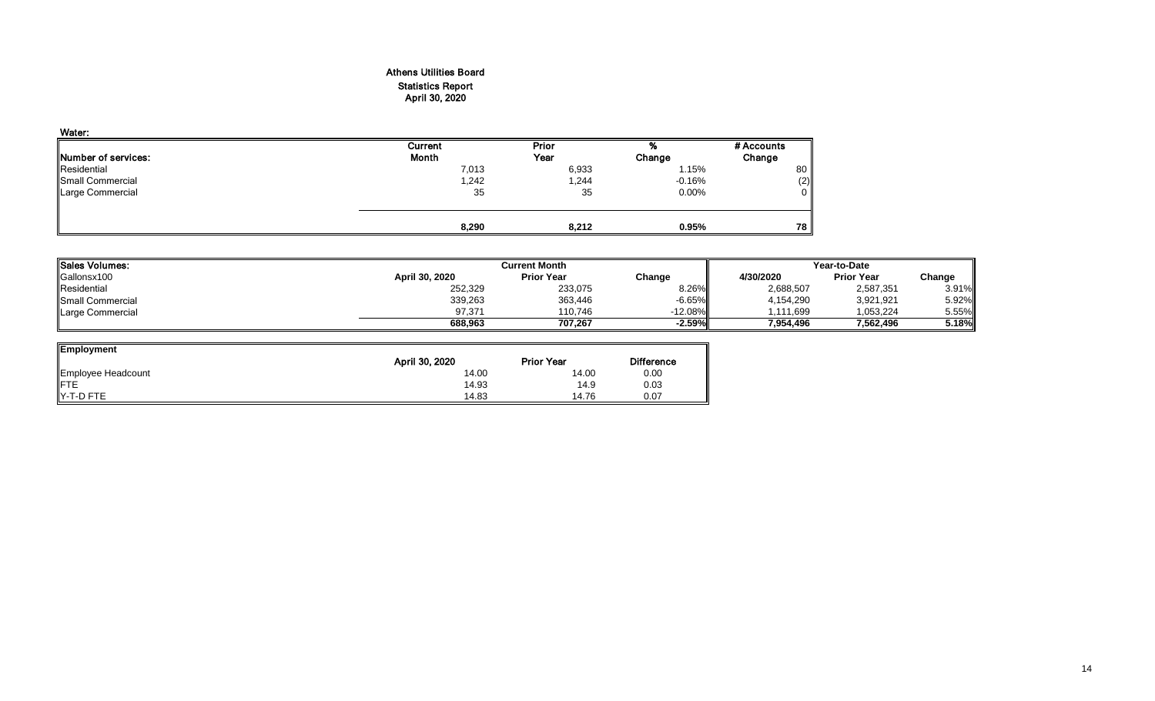#### Athens Utilities Board Statistics Report April 30, 2020

| Water:                      |         |       |          |            |
|-----------------------------|---------|-------|----------|------------|
|                             | Current | Prior | %        | # Accounts |
| <b>INumber of services:</b> | Month   | Year  | Change   | Change     |
| Residential                 | 7,013   | 6,933 | 1.15%    | 80         |
| Small Commercial            | 1,242   | 1,244 | $-0.16%$ | (2)        |
| Large Commercial            | 35      | 35    | $0.00\%$ | 0          |
|                             |         |       |          |            |
|                             | 8,290   | 8,212 | 0.95%    | 78         |

| <b>Sales Volumes:</b> |                | <b>Current Month</b> |           | Year-to-Date |                   |        |  |
|-----------------------|----------------|----------------------|-----------|--------------|-------------------|--------|--|
| Gallonsx100           | April 30, 2020 | <b>Prior Year</b>    | Change    | 4/30/2020    | <b>Prior Year</b> | Change |  |
| Residential           | 252,329        | 233,075              | 8.26%     | 2,688,507    | 2,587,351         | 3.91%  |  |
| Small Commercial      | 339,263        | 363,446              | $-6.65%$  | 4,154,290    | 3,921,921         | 5.92%  |  |
| Large Commercial      | 97.371         | 110.746              | $-12.08%$ | .111.699     | 1.053.224         | 5.55%  |  |
|                       | 688.963        | 707.267              | $-2.59%$  | 7.954.496    | 7.562.496         | 5.18%  |  |

| <b>Employment</b>  |                                     |       |                   |
|--------------------|-------------------------------------|-------|-------------------|
|                    | April 30, 2020<br><b>Prior Year</b> |       | <b>Difference</b> |
| Employee Headcount | 14.00                               | 14.00 | 0.00              |
| <b>IFTE</b>        | 14.93                               | 14.9  | 0.03              |
| IY-T-D FTE         | 14.83                               | 14.76 | 0.07              |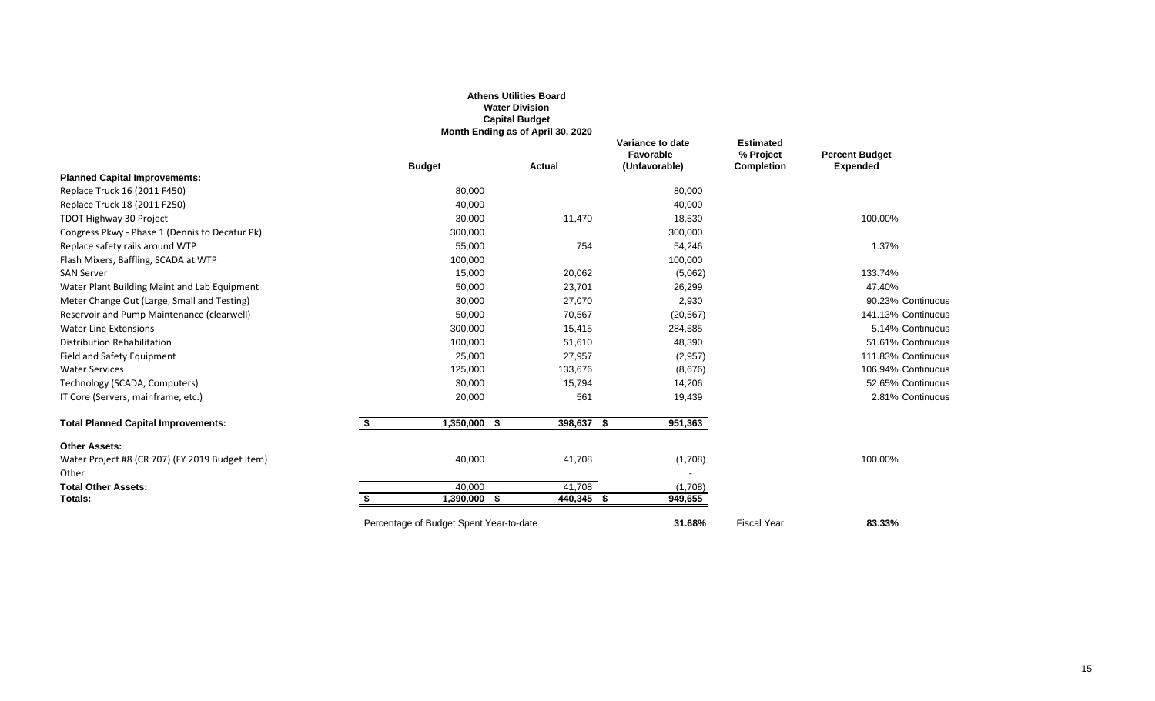|                                                 |                                         | <b>Water Division</b><br><b>Capital Budget</b><br>Month Ending as of April 30, 2020 |                                                |                                                    |                                          |
|-------------------------------------------------|-----------------------------------------|-------------------------------------------------------------------------------------|------------------------------------------------|----------------------------------------------------|------------------------------------------|
|                                                 | <b>Budget</b>                           | Actual                                                                              | Variance to date<br>Favorable<br>(Unfavorable) | <b>Estimated</b><br>% Project<br><b>Completion</b> | <b>Percent Budget</b><br><b>Expended</b> |
| <b>Planned Capital Improvements:</b>            |                                         |                                                                                     |                                                |                                                    |                                          |
| Replace Truck 16 (2011 F450)                    | 80,000                                  |                                                                                     | 80,000                                         |                                                    |                                          |
| Replace Truck 18 (2011 F250)                    | 40,000                                  |                                                                                     | 40,000                                         |                                                    |                                          |
| TDOT Highway 30 Project                         | 30,000                                  | 11,470                                                                              | 18,530                                         |                                                    | 100.00%                                  |
| Congress Pkwy - Phase 1 (Dennis to Decatur Pk)  | 300,000                                 |                                                                                     | 300,000                                        |                                                    |                                          |
| Replace safety rails around WTP                 | 55,000                                  | 754                                                                                 | 54,246                                         |                                                    | 1.37%                                    |
| Flash Mixers, Baffling, SCADA at WTP            | 100,000                                 |                                                                                     | 100,000                                        |                                                    |                                          |
| <b>SAN Server</b>                               | 15,000                                  | 20,062                                                                              | (5,062)                                        |                                                    | 133.74%                                  |
| Water Plant Building Maint and Lab Equipment    | 50,000                                  | 23,701                                                                              | 26,299                                         |                                                    | 47.40%                                   |
| Meter Change Out (Large, Small and Testing)     | 30,000                                  | 27,070                                                                              | 2,930                                          |                                                    | 90.23% Continuous                        |
| Reservoir and Pump Maintenance (clearwell)      | 50,000                                  | 70,567                                                                              | (20, 567)                                      |                                                    | 141.13% Continuous                       |
| <b>Water Line Extensions</b>                    | 300,000                                 | 15,415                                                                              | 284,585                                        |                                                    | 5.14% Continuous                         |
| Distribution Rehabilitation                     | 100,000                                 | 51,610                                                                              | 48,390                                         |                                                    | 51.61% Continuous                        |
| Field and Safety Equipment                      | 25,000                                  | 27,957                                                                              | (2,957)                                        |                                                    | 111.83% Continuous                       |
| <b>Water Services</b>                           | 125,000                                 | 133,676                                                                             | (8,676)                                        |                                                    | 106.94% Continuous                       |
| Technology (SCADA, Computers)                   | 30,000                                  | 15,794                                                                              | 14,206                                         |                                                    | 52.65% Continuous                        |
| IT Core (Servers, mainframe, etc.)              | 20,000                                  | 561                                                                                 | 19,439                                         |                                                    | 2.81% Continuous                         |
| <b>Total Planned Capital Improvements:</b>      | \$<br>$1,350,000$ \$                    | 398,637 \$                                                                          | 951,363                                        |                                                    |                                          |
| <b>Other Assets:</b>                            |                                         |                                                                                     |                                                |                                                    |                                          |
| Water Project #8 (CR 707) (FY 2019 Budget Item) | 40,000                                  | 41,708                                                                              | (1,708)                                        |                                                    | 100.00%                                  |
| Other                                           |                                         |                                                                                     |                                                |                                                    |                                          |
| <b>Total Other Assets:</b>                      | 40,000                                  | 41,708                                                                              | (1,708)                                        |                                                    |                                          |
| Totals:                                         | 1,390,000 \$                            | 440,345 \$                                                                          | 949,655                                        |                                                    |                                          |
|                                                 | Percentage of Budget Spent Year-to-date |                                                                                     | 31.68%                                         | <b>Fiscal Year</b>                                 | 83.33%                                   |

**Athens Utilities Board**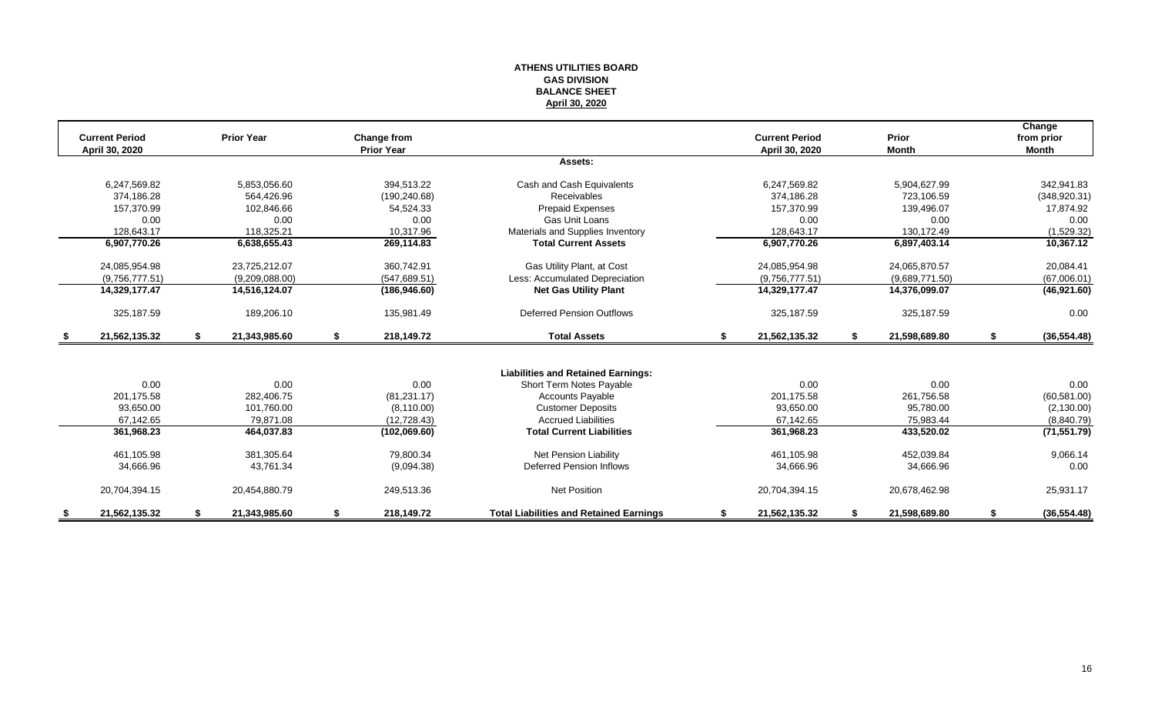#### **ATHENS UTILITIES BOARD GAS DIVISION BALANCE SHEET April 30, 2020**

| <b>Current Period</b> | <b>Prior Year</b>   |    | <b>Change from</b> |                                                |    | <b>Current Period</b> |     | Prior          | Change<br>from prior |
|-----------------------|---------------------|----|--------------------|------------------------------------------------|----|-----------------------|-----|----------------|----------------------|
| April 30, 2020        |                     |    | <b>Prior Year</b>  |                                                |    | April 30, 2020        |     | <b>Month</b>   | <b>Month</b>         |
|                       |                     |    |                    | Assets:                                        |    |                       |     |                |                      |
| 6,247,569.82          | 5,853,056.60        |    | 394,513.22         | Cash and Cash Equivalents                      |    | 6,247,569.82          |     | 5,904,627.99   | 342,941.83           |
| 374.186.28            | 564.426.96          |    | (190, 240.68)      | <b>Receivables</b>                             |    | 374.186.28            |     | 723.106.59     | (348, 920.31)        |
| 157,370.99            | 102,846.66          |    | 54,524.33          | Prepaid Expenses                               |    | 157,370.99            |     | 139,496.07     | 17,874.92            |
| 0.00                  | 0.00                |    | 0.00               | Gas Unit Loans                                 |    | 0.00                  |     | 0.00           | 0.00                 |
| 128,643.17            | 118,325.21          |    | 10,317.96          | Materials and Supplies Inventory               |    | 128,643.17            |     | 130,172.49     | (1,529.32)           |
| 6,907,770.26          | 6,638,655.43        |    | 269,114.83         | <b>Total Current Assets</b>                    |    | 6,907,770.26          |     | 6,897,403.14   | 10,367.12            |
| 24,085,954.98         | 23,725,212.07       |    | 360,742.91         | Gas Utility Plant, at Cost                     |    | 24,085,954.98         |     | 24,065,870.57  | 20,084.41            |
| (9,756,777.51)        | (9,209,088.00)      |    | (547, 689.51)      | Less: Accumulated Depreciation                 |    | (9,756,777.51)        |     | (9,689,771.50) | (67,006.01)          |
| 14,329,177.47         | 14,516,124.07       |    | (186, 946.60)      | <b>Net Gas Utility Plant</b>                   |    | 14,329,177.47         |     | 14,376,099.07  | (46,921.60)          |
| 325,187.59            | 189,206.10          |    | 135,981.49         | <b>Deferred Pension Outflows</b>               |    | 325, 187.59           |     | 325,187.59     | 0.00                 |
| \$<br>21,562,135.32   | \$<br>21,343,985.60 | \$ | 218,149.72         | <b>Total Assets</b>                            | \$ | 21,562,135.32         | -\$ | 21,598,689.80  | \$<br>(36, 554.48)   |
|                       |                     |    |                    |                                                |    |                       |     |                |                      |
|                       |                     |    |                    | <b>Liabilities and Retained Earnings:</b>      |    |                       |     |                |                      |
| 0.00                  | 0.00                |    | 0.00               | Short Term Notes Payable                       |    | 0.00                  |     | 0.00           | 0.00                 |
| 201.175.58            | 282,406.75          |    | (81, 231.17)       | <b>Accounts Payable</b>                        |    | 201.175.58            |     | 261,756.58     | (60, 581.00)         |
| 93,650.00             | 101,760.00          |    | (8, 110.00)        | <b>Customer Deposits</b>                       |    | 93,650.00             |     | 95,780.00      | (2, 130.00)          |
| 67,142.65             | 79,871.08           |    | (12, 728.43)       | <b>Accrued Liabilities</b>                     |    | 67,142.65             |     | 75,983.44      | (8,840.79)           |
| 361,968.23            | 464,037.83          |    | (102,069.60)       | <b>Total Current Liabilities</b>               |    | 361,968.23            |     | 433,520.02     | (71, 551.79)         |
| 461,105.98            | 381,305.64          |    | 79,800.34          | <b>Net Pension Liability</b>                   |    | 461,105.98            |     | 452,039.84     | 9,066.14             |
| 34,666.96             | 43,761.34           |    | (9,094.38)         | Deferred Pension Inflows                       |    | 34,666.96             |     | 34,666.96      | 0.00                 |
| 20,704,394.15         | 20,454,880.79       |    | 249,513.36         | <b>Net Position</b>                            |    | 20,704,394.15         |     | 20,678,462.98  | 25,931.17            |
| 21,562,135.32         | 21,343,985.60       | S  | 218,149.72         | <b>Total Liabilities and Retained Earnings</b> | S  | 21,562,135.32         |     | 21,598,689.80  | (36, 554.48)         |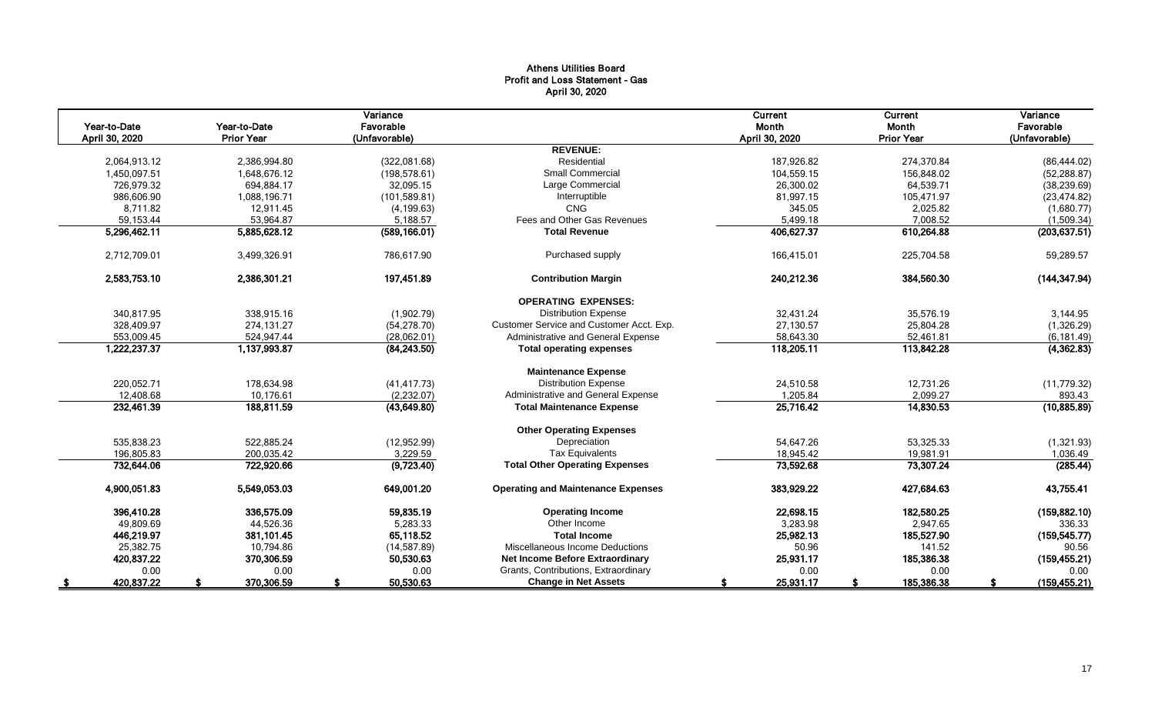### Athens Utilities Board Profit and Loss Statement - Gas April 30, 2020

|                                |                                   | Variance                   |                                           | Current                 | Current                    | Variance                   |
|--------------------------------|-----------------------------------|----------------------------|-------------------------------------------|-------------------------|----------------------------|----------------------------|
| Year-to-Date<br>April 30, 2020 | Year-to-Date<br><b>Prior Year</b> | Favorable<br>(Unfavorable) |                                           | Month<br>April 30, 2020 | Month<br><b>Prior Year</b> | Favorable<br>(Unfavorable) |
|                                |                                   |                            | <b>REVENUE:</b>                           |                         |                            |                            |
| 2,064,913.12                   | 2,386,994.80                      | (322,081.68)               | Residential                               | 187,926.82              | 274,370.84                 | (86, 444.02)               |
| 1,450,097.51                   | 1,648,676.12                      | (198, 578.61)              | <b>Small Commercial</b>                   | 104,559.15              | 156,848.02                 | (52, 288.87)               |
| 726,979.32                     | 694,884.17                        | 32,095.15                  | Large Commercial                          | 26,300.02               | 64,539.71                  | (38, 239.69)               |
| 986.606.90                     | 1,088,196.71                      | (101, 589.81)              | Interruptible                             | 81,997.15               | 105,471.97                 | (23, 474.82)               |
| 8,711.82                       | 12,911.45                         | (4, 199.63)                | CNG                                       | 345.05                  | 2,025.82                   | (1,680.77)                 |
| 59,153.44                      | 53,964.87                         | 5,188.57                   | Fees and Other Gas Revenues               | 5,499.18                | 7,008.52                   | (1,509.34)                 |
| 5,296,462.11                   | 5,885,628.12                      | (589, 166.01)              | <b>Total Revenue</b>                      | 406,627.37              | 610,264.88                 | (203, 637.51)              |
| 2,712,709.01                   | 3,499,326.91                      | 786,617.90                 | Purchased supply                          | 166,415.01              | 225,704.58                 | 59,289.57                  |
| 2,583,753.10                   | 2,386,301.21                      | 197,451.89                 | <b>Contribution Margin</b>                | 240,212.36              | 384,560.30                 | (144, 347.94)              |
|                                |                                   |                            | <b>OPERATING EXPENSES:</b>                |                         |                            |                            |
| 340,817.95                     | 338,915.16                        | (1,902.79)                 | <b>Distribution Expense</b>               | 32,431.24               | 35,576.19                  | 3,144.95                   |
| 328,409.97                     | 274,131.27                        | (54, 278.70)               | Customer Service and Customer Acct. Exp.  | 27,130.57               | 25,804.28                  | (1,326.29)                 |
| 553,009.45                     | 524,947.44                        | (28,062.01)                | Administrative and General Expense        | 58,643.30               | 52,461.81                  | (6, 181.49)                |
| 1,222,237.37                   | 1,137,993.87                      | (84, 243.50)               | <b>Total operating expenses</b>           | 118,205.11              | 113,842.28                 | (4,362.83)                 |
|                                |                                   |                            | <b>Maintenance Expense</b>                |                         |                            |                            |
| 220,052.71                     | 178,634.98                        | (41, 417.73)               | <b>Distribution Expense</b>               | 24,510.58               | 12,731.26                  | (11, 779.32)               |
| 12,408.68                      | 10.176.61                         | (2,232.07)                 | Administrative and General Expense        | 1,205.84                | 2,099.27                   | 893.43                     |
| 232,461.39                     | 188,811.59                        | (43, 649.80)               | <b>Total Maintenance Expense</b>          | 25,716.42               | 14,830.53                  | (10, 885.89)               |
|                                |                                   |                            | <b>Other Operating Expenses</b>           |                         |                            |                            |
| 535.838.23                     | 522.885.24                        | (12,952.99)                | Depreciation                              | 54.647.26               | 53,325.33                  | (1,321.93)                 |
| 196,805.83                     | 200.035.42                        | 3,229.59                   | <b>Tax Equivalents</b>                    | 18,945.42               | 19,981.91                  | 1,036.49                   |
| 732,644.06                     | 722,920.66                        | (9,723.40)                 | <b>Total Other Operating Expenses</b>     | 73,592.68               | 73,307.24                  | (285.44)                   |
| 4,900,051.83                   | 5,549,053.03                      | 649,001.20                 | <b>Operating and Maintenance Expenses</b> | 383,929.22              | 427,684.63                 | 43,755.41                  |
| 396,410.28                     | 336,575.09                        | 59,835.19                  | <b>Operating Income</b>                   | 22,698.15               | 182,580.25                 | (159, 882.10)              |
| 49,809.69                      | 44,526.36                         | 5,283.33                   | Other Income                              | 3,283.98                | 2,947.65                   | 336.33                     |
| 446,219.97                     | 381,101.45                        | 65,118.52                  | <b>Total Income</b>                       | 25,982.13               | 185,527.90                 | (159, 545.77)              |
| 25,382.75                      | 10,794.86                         | (14, 587.89)               | Miscellaneous Income Deductions           | 50.96                   | 141.52                     | 90.56                      |
| 420,837.22                     | 370,306.59                        | 50,530.63                  | Net Income Before Extraordinary           | 25,931.17               | 185,386.38                 | (159, 455.21)              |
| 0.00                           | 0.00                              | 0.00                       | Grants, Contributions, Extraordinary      | 0.00                    | 0.00                       | 0.00                       |
| 420,837.22                     | 370,306.59                        | 50,530.63                  | <b>Change in Net Assets</b>               | 25,931.17               | 185,386.38                 | (159, 455.21)              |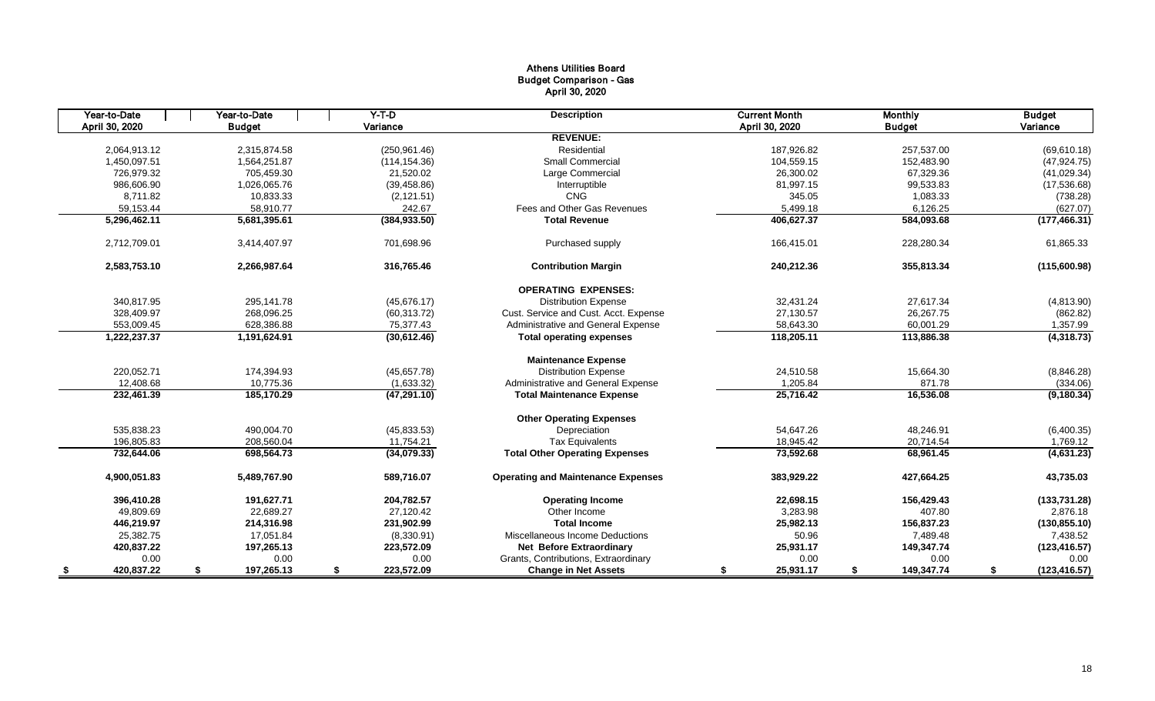### Athens Utilities Board Budget Comparison - Gas April 30, 2020

| Year-to-Date   | Year-to-Date     | $Y-T$ -D         | <b>Description</b>                        | <b>Current Month</b> | <b>Monthly</b>   | <b>Budget</b>       |             |
|----------------|------------------|------------------|-------------------------------------------|----------------------|------------------|---------------------|-------------|
| April 30, 2020 | <b>Budget</b>    | Variance         |                                           | April 30, 2020       | <b>Budget</b>    | Variance            |             |
|                |                  |                  | <b>REVENUE:</b>                           |                      |                  |                     |             |
| 2,064,913.12   | 2.315.874.58     | (250, 961.46)    | Residential                               | 187.926.82           | 257,537.00       | (69, 610.18)        |             |
| 1,450,097.51   | 1,564,251.87     | (114, 154.36)    | <b>Small Commercial</b>                   | 104,559.15           | 152,483.90       | (47, 924.75)        |             |
| 726.979.32     | 705.459.30       | 21,520.02        | Large Commercial                          | 26,300.02            | 67,329.36        | (41,029.34)         |             |
| 986,606.90     | 1,026,065.76     | (39, 458.86)     | Interruptible                             | 81,997.15            | 99,533.83        | (17,536.68)         |             |
| 8.711.82       | 10,833.33        | (2, 121.51)      | <b>CNG</b>                                | 345.05               | 1,083.33         |                     | (738.28)    |
| 59,153.44      | 58,910.77        | 242.67           | Fees and Other Gas Revenues               | 5,499.18             | 6,126.25         |                     | (627.07)    |
| 5,296,462.11   | 5,681,395.61     | (384, 933.50)    | <b>Total Revenue</b>                      | 406,627.37           | 584,093.68       | (177, 466.31)       |             |
| 2,712,709.01   | 3,414,407.97     | 701,698.96       | Purchased supply                          | 166,415.01           | 228,280.34       | 61,865.33           |             |
| 2,583,753.10   | 2,266,987.64     | 316,765.46       | <b>Contribution Margin</b>                | 240,212.36           | 355,813.34       | (115,600.98)        |             |
|                |                  |                  | <b>OPERATING EXPENSES:</b>                |                      |                  |                     |             |
| 340,817.95     | 295,141.78       | (45,676.17)      | <b>Distribution Expense</b>               | 32,431.24            | 27,617.34        |                     | (4,813.90)  |
| 328,409.97     | 268.096.25       | (60, 313.72)     | Cust. Service and Cust. Acct. Expense     | 27,130.57            | 26,267.75        |                     | (862.82)    |
| 553,009.45     | 628,386.88       | 75,377.43        | Administrative and General Expense        | 58,643.30            | 60,001.29        |                     | 1,357.99    |
| 1,222,237.37   | 1,191,624.91     | (30,612.46)      | <b>Total operating expenses</b>           | 118,205.11           | 113,886.38       |                     | (4,318.73)  |
|                |                  |                  | <b>Maintenance Expense</b>                |                      |                  |                     |             |
| 220,052.71     | 174,394.93       | (45,657.78)      | <b>Distribution Expense</b>               | 24,510.58            | 15,664.30        |                     | (8,846.28)  |
| 12,408.68      | 10.775.36        | (1,633.32)       | Administrative and General Expense        | 1.205.84             | 871.78           |                     | (334.06)    |
| 232,461.39     | 185,170.29       | (47, 291.10)     | <b>Total Maintenance Expense</b>          | 25,716.42            | 16,536.08        |                     | (9, 180.34) |
|                |                  |                  | <b>Other Operating Expenses</b>           |                      |                  |                     |             |
| 535,838.23     | 490.004.70       | (45, 833.53)     | Depreciation                              | 54,647.26            | 48.246.91        |                     | (6,400.35)  |
| 196,805.83     | 208,560.04       | 11,754.21        | <b>Tax Equivalents</b>                    | 18,945.42            | 20,714.54        |                     | 1,769.12    |
| 732,644.06     | 698,564.73       | (34,079.33)      | <b>Total Other Operating Expenses</b>     | 73,592.68            | 68,961.45        |                     | (4,631.23)  |
| 4.900.051.83   | 5,489,767.90     | 589.716.07       | <b>Operating and Maintenance Expenses</b> | 383,929.22           | 427.664.25       | 43,735.03           |             |
| 396,410.28     | 191.627.71       | 204.782.57       | <b>Operating Income</b>                   | 22,698.15            | 156,429.43       | (133, 731.28)       |             |
| 49,809.69      | 22,689.27        | 27,120.42        | Other Income                              | 3,283.98             | 407.80           |                     | 2,876.18    |
| 446,219.97     | 214,316.98       | 231,902.99       | <b>Total Income</b>                       | 25,982.13            | 156,837.23       | (130, 855.10)       |             |
| 25,382.75      | 17,051.84        | (8,330.91)       | Miscellaneous Income Deductions           | 50.96                | 7,489.48         |                     | 7,438.52    |
| 420,837.22     | 197,265.13       | 223,572.09       | <b>Net Before Extraordinary</b>           | 25,931.17            | 149,347.74       | (123, 416.57)       |             |
| 0.00           | 0.00             | 0.00             | Grants, Contributions, Extraordinary      | 0.00                 | 0.00             |                     | 0.00        |
| 420,837.22     | 197,265.13<br>\$ | 223,572.09<br>\$ | <b>Change in Net Assets</b>               | 25,931.17<br>S       | 149,347.74<br>\$ | (123, 416.57)<br>\$ |             |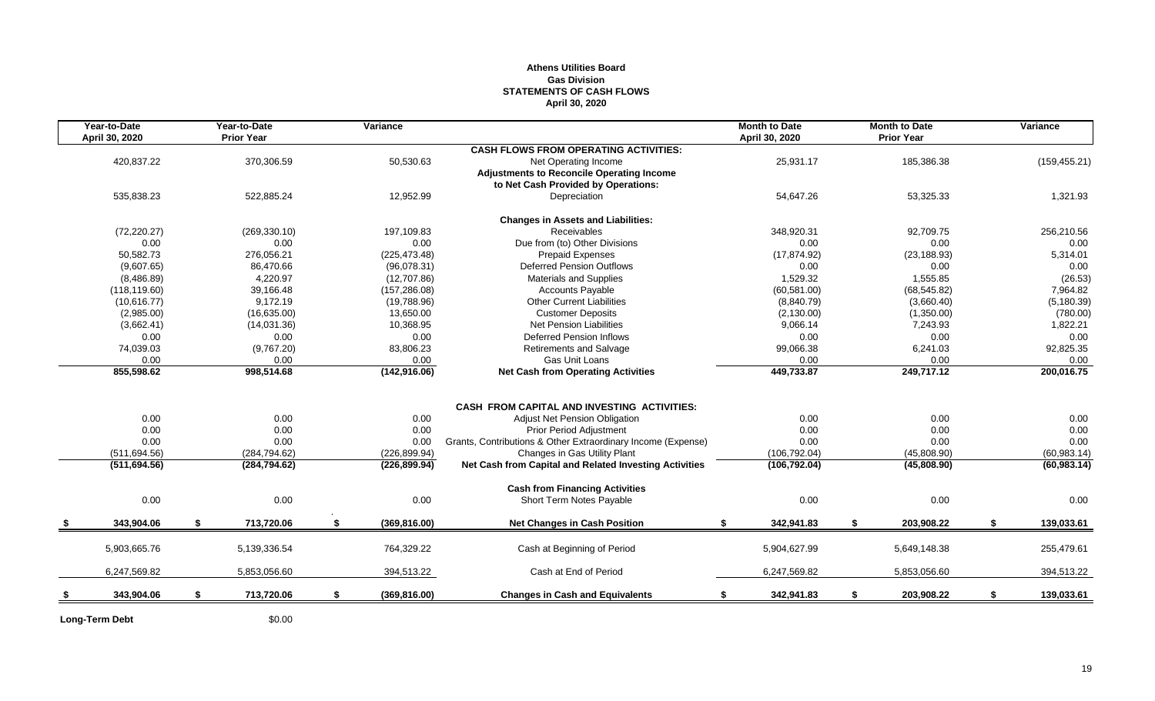#### **Athens Utilities Board Gas Division STATEMENTS OF CASH FLOWS April 30, 2020**

| Year-to-Date<br>April 30, 2020 |    | Year-to-Date<br><b>Prior Year</b> |    | Variance      |                                                              | <b>Month to Date</b><br>April 30, 2020 |             | <b>Month to Date</b><br><b>Prior Year</b> | Variance         |
|--------------------------------|----|-----------------------------------|----|---------------|--------------------------------------------------------------|----------------------------------------|-------------|-------------------------------------------|------------------|
|                                |    |                                   |    |               | <b>CASH FLOWS FROM OPERATING ACTIVITIES:</b>                 |                                        |             |                                           |                  |
| 420,837.22                     |    | 370,306.59                        |    | 50,530.63     | Net Operating Income                                         | 25,931.17                              |             | 185,386.38                                | (159, 455.21)    |
|                                |    |                                   |    |               | <b>Adjustments to Reconcile Operating Income</b>             |                                        |             |                                           |                  |
|                                |    |                                   |    |               | to Net Cash Provided by Operations:                          |                                        |             |                                           |                  |
| 535,838.23                     |    | 522,885.24                        |    | 12,952.99     | Depreciation                                                 | 54,647.26                              |             | 53,325.33                                 | 1,321.93         |
|                                |    |                                   |    |               | <b>Changes in Assets and Liabilities:</b>                    |                                        |             |                                           |                  |
| (72, 220.27)                   |    | (269, 330.10)                     |    | 197,109.83    | Receivables                                                  | 348,920.31                             |             | 92,709.75                                 | 256,210.56       |
| 0.00                           |    | 0.00                              |    | 0.00          | Due from (to) Other Divisions                                |                                        | 0.00        | 0.00                                      | 0.00             |
| 50,582.73                      |    | 276,056.21                        |    | (225, 473.48) | <b>Prepaid Expenses</b>                                      | (17, 874.92)                           |             | (23, 188.93)                              | 5,314.01         |
| (9,607.65)                     |    | 86,470.66                         |    | (96,078.31)   | <b>Deferred Pension Outflows</b>                             |                                        | 0.00        | 0.00                                      | 0.00             |
| (8,486.89)                     |    | 4,220.97                          |    | (12,707.86)   | <b>Materials and Supplies</b>                                |                                        | 1,529.32    | 1,555.85                                  | (26.53)          |
| (118, 119.60)                  |    | 39,166.48                         |    | (157, 286.08) | <b>Accounts Payable</b>                                      | (60, 581.00)                           |             | (68, 545.82)                              | 7,964.82         |
| (10,616.77)                    |    | 9,172.19                          |    | (19,788.96)   | <b>Other Current Liabilities</b>                             |                                        | (8,840.79)  | (3,660.40)                                | (5, 180.39)      |
| (2,985.00)                     |    | (16, 635.00)                      |    | 13,650.00     | <b>Customer Deposits</b>                                     |                                        | (2, 130.00) | (1,350.00)                                | (780.00)         |
| (3,662.41)                     |    | (14,031.36)                       |    | 10,368.95     | <b>Net Pension Liabilities</b>                               |                                        | 9,066.14    | 7,243.93                                  | 1,822.21         |
| 0.00                           |    | 0.00                              |    | 0.00          | <b>Deferred Pension Inflows</b>                              |                                        | 0.00        | 0.00                                      | 0.00             |
| 74,039.03                      |    | (9,767.20)                        |    | 83,806.23     | Retirements and Salvage                                      | 99,066.38                              |             | 6,241.03                                  | 92,825.35        |
| 0.00                           |    | 0.00                              |    | 0.00          | Gas Unit Loans                                               |                                        | 0.00        | 0.00                                      | 0.00             |
| 855,598.62                     |    | 998,514.68                        |    | (142, 916.06) | <b>Net Cash from Operating Activities</b>                    | 449,733.87                             |             | 249,717.12                                | 200,016.75       |
|                                |    |                                   |    |               |                                                              |                                        |             |                                           |                  |
|                                |    |                                   |    |               | <b>CASH FROM CAPITAL AND INVESTING ACTIVITIES:</b>           |                                        |             |                                           |                  |
| 0.00                           |    | 0.00                              |    | 0.00          | <b>Adjust Net Pension Obligation</b>                         |                                        | 0.00        | 0.00                                      | 0.00             |
| 0.00                           |    | 0.00                              |    | 0.00          | <b>Prior Period Adjustment</b>                               |                                        | 0.00        | 0.00                                      | 0.00             |
| 0.00                           |    | 0.00                              |    | 0.00          | Grants, Contributions & Other Extraordinary Income (Expense) |                                        | 0.00        | 0.00                                      | 0.00             |
| (511, 694.56)                  |    | (284, 794.62)                     |    | (226, 899.94) | Changes in Gas Utility Plant                                 | (106, 792.04)                          |             | (45,808.90)                               | (60, 983.14)     |
| (511, 694.56)                  |    | (284, 794.62)                     |    | (226, 899.94) | Net Cash from Capital and Related Investing Activities       | (106, 792.04)                          |             | (45,808.90)                               | (60, 983.14)     |
|                                |    |                                   |    |               | <b>Cash from Financing Activities</b>                        |                                        |             |                                           |                  |
| 0.00                           |    | 0.00                              |    | 0.00          | Short Term Notes Payable                                     |                                        | 0.00        | 0.00                                      | 0.00             |
| 343,904.06                     | -S | 713,720.06                        | s. | (369, 816.00) | <b>Net Changes in Cash Position</b>                          | 342,941.83<br>\$                       |             | \$<br>203,908.22                          | \$<br>139,033.61 |
| 5,903,665.76                   |    | 5,139,336.54                      |    | 764,329.22    | Cash at Beginning of Period                                  | 5,904,627.99                           |             | 5,649,148.38                              | 255,479.61       |
|                                |    |                                   |    |               |                                                              |                                        |             |                                           |                  |
| 6,247,569.82                   |    | 5,853,056.60                      |    | 394,513.22    | Cash at End of Period                                        | 6,247,569.82                           |             | 5,853,056.60                              | 394,513.22       |
| 343,904.06                     | \$ | 713,720.06                        | \$ | (369, 816.00) | <b>Changes in Cash and Equivalents</b>                       | 342,941.83<br>\$                       |             | \$<br>203,908.22                          | \$<br>139,033.61 |
|                                |    |                                   |    |               |                                                              |                                        |             |                                           |                  |

Long-Term Debt \$0.00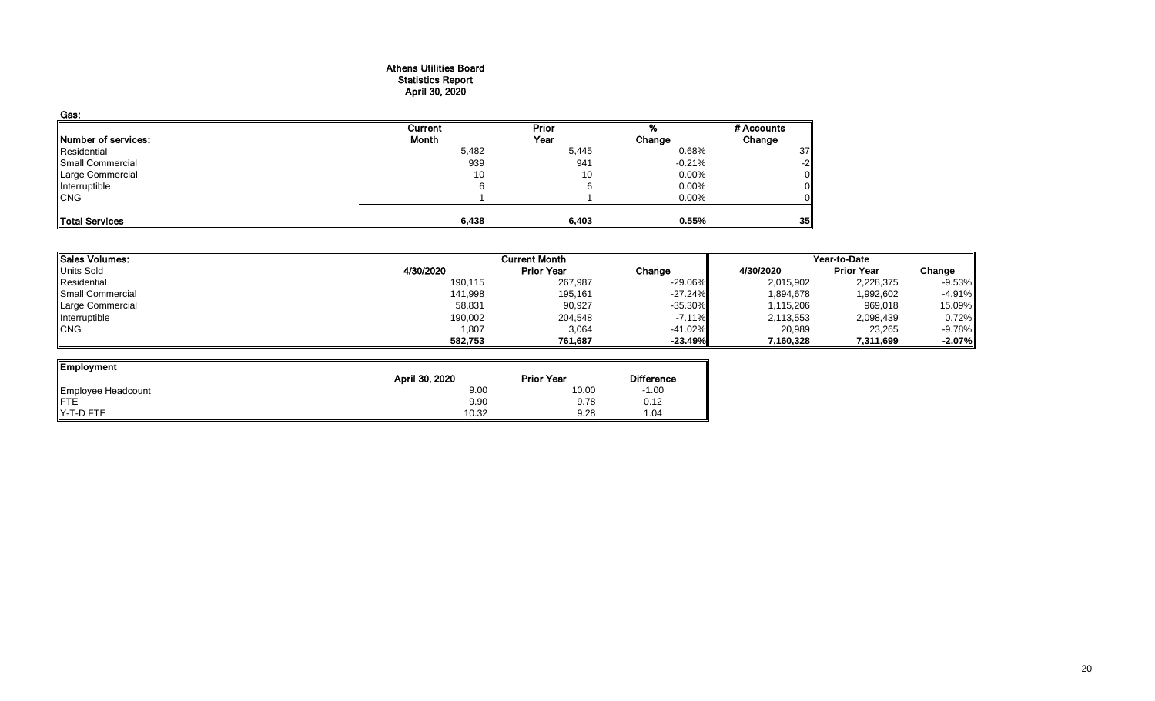#### Athens Utilities Board Statistics Report April 30, 2020

| Gas:                |         |       |          |            |
|---------------------|---------|-------|----------|------------|
|                     | Current | Prior |          | # Accounts |
| Number of services: | Month   | Year  | Change   | Change     |
| Residential         | 5,482   | 5,445 | 0.68%    | 37         |
| Small Commercial    | 939     | 941   | $-0.21%$ | $-2$       |
| Large Commercial    | 10      | 10    | 0.00%    |            |
| Interruptible       |         |       | 0.00%    |            |
| <b>CNG</b>          |         |       | 0.00%    |            |
| Total Services      | 6,438   | 6,403 | 0.55%    | 35         |

| <b>Sales Volumes:</b> |           | <b>Current Month</b> |           | Year-to-Date |                   |           |  |
|-----------------------|-----------|----------------------|-----------|--------------|-------------------|-----------|--|
| <b>Units Sold</b>     | 4/30/2020 | <b>Prior Year</b>    | Change    | 4/30/2020    | <b>Prior Year</b> | Change    |  |
| Residential           | 190,115   | 267,987              | $-29.06%$ | 2,015,902    | 2,228,375         | $-9.53\%$ |  |
| Small Commercial      | 141,998   | 195,161              | $-27.24%$ | 1,894,678    | 1,992,602         | $-4.91\%$ |  |
| Large Commercial      | 58,831    | 90,927               | $-35.30%$ | 1,115,206    | 969,018           | 15.09%    |  |
| Interruptible         | 190,002   | 204,548              | $-7.11\%$ | 2,113,553    | 2,098,439         | 0.72%     |  |
| <b>CNG</b>            | 1,807     | 3,064                | $-41.02%$ | 20,989       | 23,265            | $-9.78\%$ |  |
|                       | 582,753   | 761,687              | $-23.49%$ | 7,160,328    | 7,311,699         | $-2.07\%$ |  |

| Employment                |                |                   |                   |
|---------------------------|----------------|-------------------|-------------------|
|                           | April 30, 2020 | <b>Prior Year</b> | <b>Difference</b> |
| Employee Headcount<br>FTE | 9.00           | 10.00             | $-1.00$           |
|                           | 9.90           | 9.78              | 0.12              |
| <b>Y-T-D FTE</b>          | 10.32          | 9.28              | 1.04              |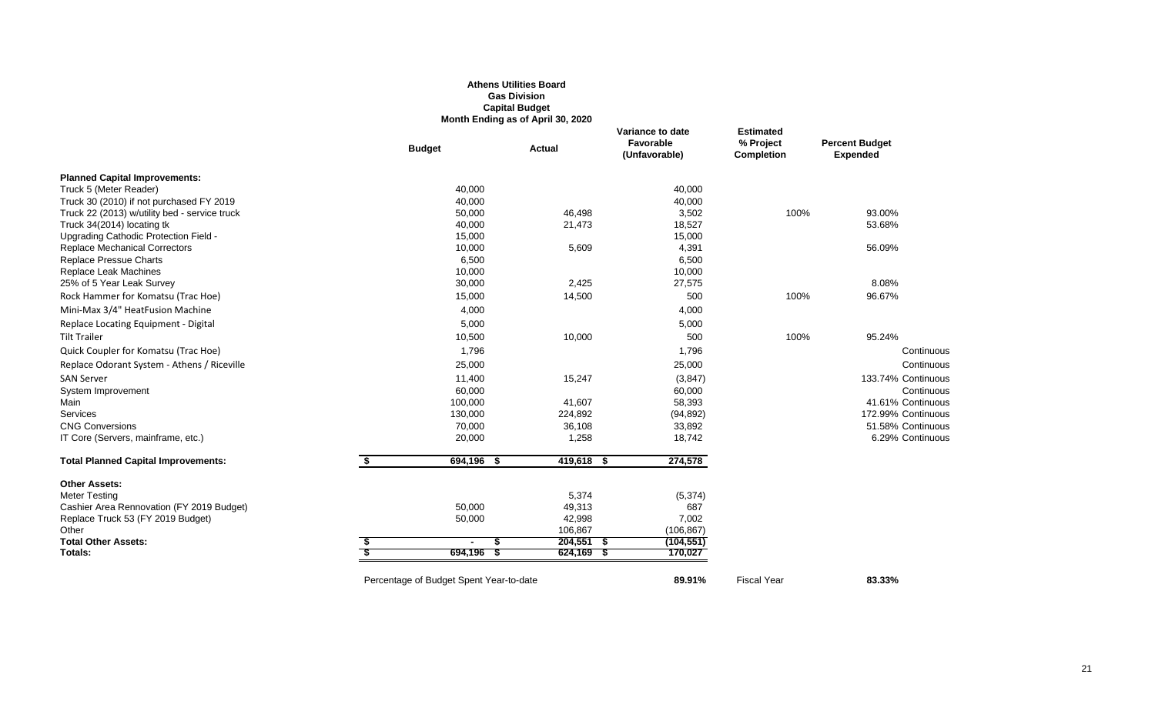#### **Athens Utilities Board Gas Division Capital Budget Month Ending as of April 30, 2020**

|                                               |    |                                         | month Ending as or April 60, 2020 |                                                |                                                    |                                          |
|-----------------------------------------------|----|-----------------------------------------|-----------------------------------|------------------------------------------------|----------------------------------------------------|------------------------------------------|
|                                               |    | <b>Budget</b>                           | <b>Actual</b>                     | Variance to date<br>Favorable<br>(Unfavorable) | <b>Estimated</b><br>% Project<br><b>Completion</b> | <b>Percent Budget</b><br><b>Expended</b> |
| <b>Planned Capital Improvements:</b>          |    |                                         |                                   |                                                |                                                    |                                          |
| Truck 5 (Meter Reader)                        |    | 40,000                                  |                                   | 40,000                                         |                                                    |                                          |
| Truck 30 (2010) if not purchased FY 2019      |    | 40,000                                  |                                   | 40,000                                         |                                                    |                                          |
| Truck 22 (2013) w/utility bed - service truck |    | 50,000                                  | 46,498                            | 3,502                                          | 100%                                               | 93.00%                                   |
| Truck 34(2014) locating tk                    |    | 40,000                                  | 21,473                            | 18,527                                         |                                                    | 53.68%                                   |
| Upgrading Cathodic Protection Field -         |    | 15,000                                  |                                   | 15,000                                         |                                                    |                                          |
| Replace Mechanical Correctors                 |    | 10,000                                  | 5,609                             | 4,391                                          |                                                    | 56.09%                                   |
| Replace Pressue Charts                        |    | 6,500                                   |                                   | 6,500                                          |                                                    |                                          |
| Replace Leak Machines                         |    | 10,000                                  |                                   | 10,000                                         |                                                    |                                          |
| 25% of 5 Year Leak Survey                     |    | 30,000                                  | 2,425                             | 27,575                                         |                                                    | 8.08%                                    |
| Rock Hammer for Komatsu (Trac Hoe)            |    | 15,000                                  | 14,500                            | 500                                            | 100%                                               | 96.67%                                   |
| Mini-Max 3/4" HeatFusion Machine              |    | 4,000                                   |                                   | 4,000                                          |                                                    |                                          |
| Replace Locating Equipment - Digital          |    | 5,000                                   |                                   | 5,000                                          |                                                    |                                          |
| <b>Tilt Trailer</b>                           |    | 10,500                                  | 10,000                            | 500                                            | 100%                                               | 95.24%                                   |
| Quick Coupler for Komatsu (Trac Hoe)          |    | 1,796                                   |                                   | 1,796                                          |                                                    | Continuous                               |
| Replace Odorant System - Athens / Riceville   |    | 25,000                                  |                                   | 25,000                                         |                                                    | Continuous                               |
| <b>SAN Server</b>                             |    | 11,400                                  | 15,247                            | (3, 847)                                       |                                                    | 133.74% Continuous                       |
| System Improvement                            |    | 60,000                                  |                                   | 60,000                                         |                                                    | Continuous                               |
| Main                                          |    | 100,000                                 | 41,607                            | 58,393                                         |                                                    | 41.61% Continuous                        |
| Services                                      |    | 130,000                                 | 224,892                           | (94, 892)                                      |                                                    | 172.99% Continuous                       |
| <b>CNG Conversions</b>                        |    | 70,000                                  | 36,108                            | 33,892                                         |                                                    | 51.58% Continuous                        |
| IT Core (Servers, mainframe, etc.)            |    | 20,000                                  | 1,258                             | 18,742                                         |                                                    | 6.29% Continuous                         |
| <b>Total Planned Capital Improvements:</b>    | S. | 694,196 \$                              | 419,618 \$                        | 274,578                                        |                                                    |                                          |
| <b>Other Assets:</b>                          |    |                                         |                                   |                                                |                                                    |                                          |
| <b>Meter Testing</b>                          |    |                                         | 5,374                             | (5, 374)                                       |                                                    |                                          |
| Cashier Area Rennovation (FY 2019 Budget)     |    | 50,000                                  | 49,313                            | 687                                            |                                                    |                                          |
| Replace Truck 53 (FY 2019 Budget)             |    | 50,000                                  | 42,998                            | 7,002                                          |                                                    |                                          |
| Other                                         |    |                                         | 106,867                           | (106, 867)                                     |                                                    |                                          |
| <b>Total Other Assets:</b>                    |    | $\overline{\phantom{a}}$                | $204,551$ \$                      | (104, 551)                                     |                                                    |                                          |
| Totals:                                       |    | 694,196<br>- 5                          | $624,169$ \$                      | 170,027                                        |                                                    |                                          |
|                                               |    | Percentage of Budget Spent Year-to-date |                                   | 89.91%                                         | <b>Fiscal Year</b>                                 | 83.33%                                   |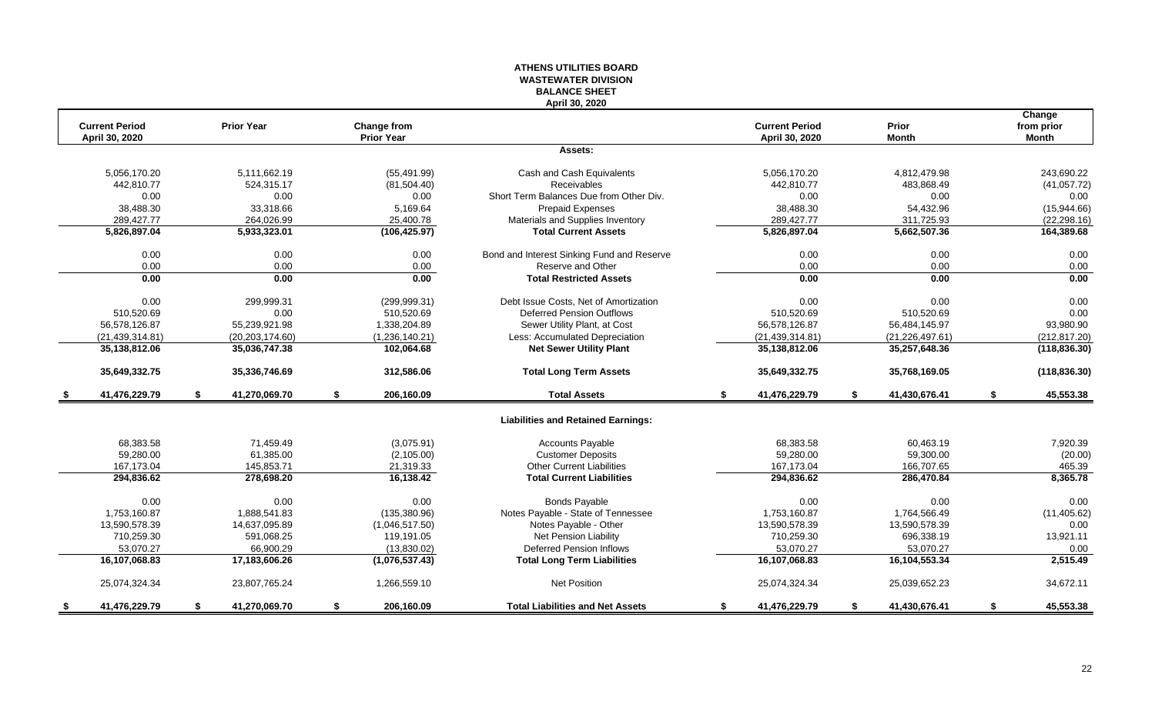#### **ATHENS UTILITIES BOARD WASTEWATER DIVISION BALANCE SHEET April 30, 2020**

|                                         |    |                   |                                  |                                            |    |                                         |    |                       | Change                     |
|-----------------------------------------|----|-------------------|----------------------------------|--------------------------------------------|----|-----------------------------------------|----|-----------------------|----------------------------|
| <b>Current Period</b><br>April 30, 2020 |    | <b>Prior Year</b> | Change from<br><b>Prior Year</b> |                                            |    | <b>Current Period</b><br>April 30, 2020 |    | Prior<br><b>Month</b> | from prior<br><b>Month</b> |
|                                         |    |                   |                                  | Assets:                                    |    |                                         |    |                       |                            |
|                                         |    |                   |                                  |                                            |    |                                         |    |                       |                            |
| 5,056,170.20                            |    | 5,111,662.19      | (55, 491.99)                     | Cash and Cash Equivalents                  |    | 5,056,170.20                            |    | 4,812,479.98          | 243,690.22                 |
| 442,810.77                              |    | 524,315.17        | (81, 504.40)                     | Receivables                                |    | 442,810.77                              |    | 483,868.49            | (41, 057.72)               |
| 0.00                                    |    | 0.00              | 0.00                             | Short Term Balances Due from Other Div.    |    | 0.00                                    |    | 0.00                  | 0.00                       |
| 38.488.30                               |    | 33.318.66         | 5.169.64                         | <b>Prepaid Expenses</b>                    |    | 38.488.30                               |    | 54,432.96             | (15,944.66)                |
| 289,427.77                              |    | 264,026.99        | 25,400.78                        | Materials and Supplies Inventory           |    | 289,427.77                              |    | 311,725.93            | (22, 298.16)               |
| 5,826,897.04                            |    | 5,933,323.01      | (106, 425.97)                    | <b>Total Current Assets</b>                |    | 5,826,897.04                            |    | 5,662,507.36          | 164,389.68                 |
| 0.00                                    |    | 0.00              | 0.00                             | Bond and Interest Sinking Fund and Reserve |    | 0.00                                    |    | 0.00                  | 0.00                       |
| 0.00                                    |    | 0.00              | 0.00                             | Reserve and Other                          |    | 0.00                                    |    | 0.00                  | 0.00                       |
| 0.00                                    |    | 0.00              | 0.00                             | <b>Total Restricted Assets</b>             |    | 0.00                                    |    | 0.00                  | 0.00                       |
| 0.00                                    |    | 299,999.31        | (299, 999.31)                    | Debt Issue Costs, Net of Amortization      |    | 0.00                                    |    | 0.00                  | 0.00                       |
| 510,520.69                              |    | 0.00              | 510,520.69                       | Deferred Pension Outflows                  |    | 510,520.69                              |    | 510,520.69            | 0.00                       |
| 56,578,126.87                           |    | 55,239,921.98     | 1,338,204.89                     | Sewer Utility Plant, at Cost               |    | 56,578,126.87                           |    | 56,484,145.97         | 93,980.90                  |
| (21, 439, 314.81)                       |    | (20, 203, 174.60) | (1,236,140.21)                   | Less: Accumulated Depreciation             |    | (21, 439, 314.81)                       |    | (21, 226, 497.61)     | (212, 817.20)              |
| 35,138,812.06                           |    | 35,036,747.38     | 102,064.68                       | <b>Net Sewer Utility Plant</b>             |    | 35,138,812.06                           |    | 35,257,648.36         | (118, 836.30)              |
| 35,649,332.75                           |    | 35,336,746.69     | 312,586.06                       | <b>Total Long Term Assets</b>              |    | 35,649,332.75                           |    | 35,768,169.05         | (118, 836.30)              |
| 41,476,229.79                           | S. | 41,270,069.70     | \$<br>206,160.09                 | <b>Total Assets</b>                        | S. | 41,476,229.79                           | \$ | 41,430,676.41         | \$<br>45,553.38            |
|                                         |    |                   |                                  | <b>Liabilities and Retained Earnings:</b>  |    |                                         |    |                       |                            |
| 68,383.58                               |    | 71,459.49         | (3,075.91)                       | <b>Accounts Payable</b>                    |    | 68,383.58                               |    | 60,463.19             | 7,920.39                   |
| 59,280.00                               |    | 61,385.00         | (2, 105.00)                      | <b>Customer Deposits</b>                   |    | 59,280.00                               |    | 59,300.00             | (20.00)                    |
| 167,173.04                              |    | 145,853.71        | 21,319.33                        | <b>Other Current Liabilities</b>           |    | 167,173.04                              |    | 166,707.65            | 465.39                     |
| 294,836.62                              |    | 278,698.20        | 16,138.42                        | <b>Total Current Liabilities</b>           |    | 294,836.62                              |    | 286,470.84            | 8,365.78                   |
| 0.00                                    |    | 0.00              | 0.00                             | <b>Bonds Payable</b>                       |    | 0.00                                    |    | 0.00                  | 0.00                       |
| 1,753,160.87                            |    | 1,888,541.83      | (135, 380.96)                    | Notes Payable - State of Tennessee         |    | 1,753,160.87                            |    | 1,764,566.49          | (11, 405.62)               |
| 13.590.578.39                           |    | 14,637,095.89     | (1,046,517.50)                   | Notes Payable - Other                      |    | 13,590,578.39                           |    | 13.590.578.39         | 0.00                       |
| 710,259.30                              |    | 591,068.25        | 119,191.05                       | Net Pension Liability                      |    | 710,259.30                              |    | 696,338.19            | 13,921.11                  |
| 53,070.27                               |    | 66.900.29         | (13,830.02)                      | <b>Deferred Pension Inflows</b>            |    | 53.070.27                               |    | 53.070.27             | 0.00                       |
| 16,107,068.83                           |    | 17,183,606.26     | (1,076,537.43)                   | <b>Total Long Term Liabilities</b>         |    | 16,107,068.83                           |    | 16,104,553.34         | 2,515.49                   |
| 25,074,324.34                           |    | 23,807,765.24     | 1,266,559.10                     | <b>Net Position</b>                        |    | 25,074,324.34                           |    | 25,039,652.23         | 34,672.11                  |
| 41,476,229.79                           | S. | 41,270,069.70     | \$<br>206,160.09                 | <b>Total Liabilities and Net Assets</b>    | \$ | 41,476,229.79                           | S. | 41,430,676.41         | \$<br>45,553.38            |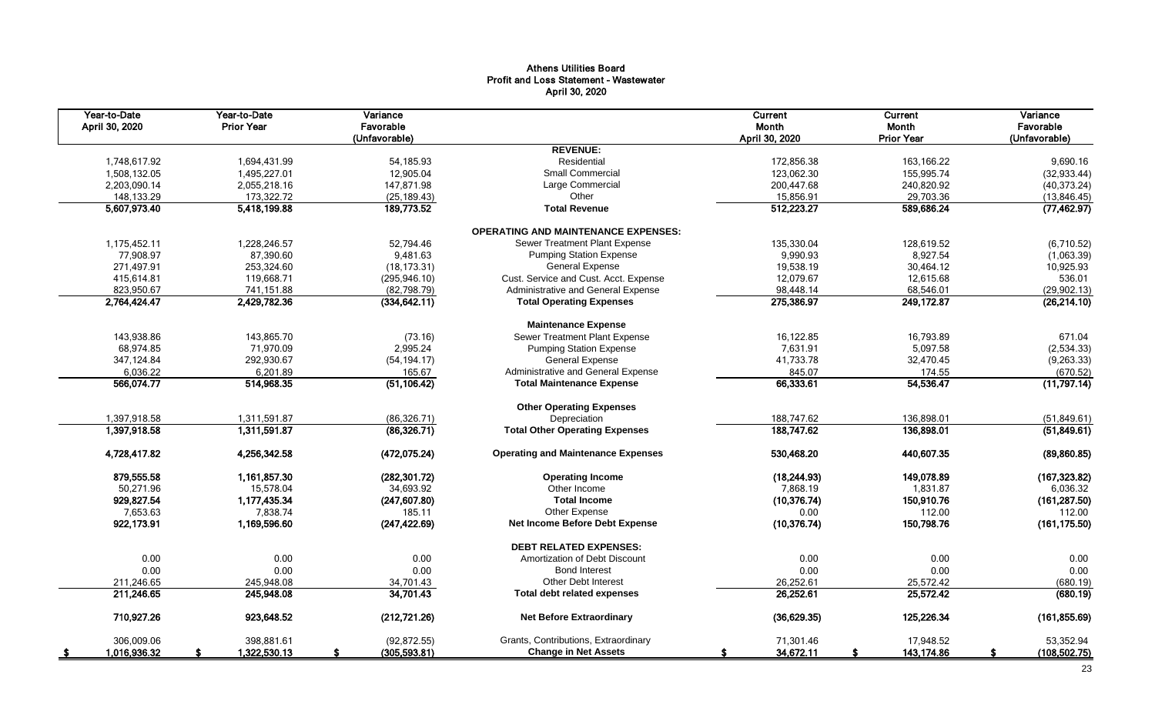#### Athens Utilities Board Profit and Loss Statement - Wastewater April 30, 2020

| Year-to-Date<br>April 30, 2020 | Year-to-Date<br><b>Prior Year</b> | Variance<br>Favorable<br>(Unfavorable) |                                            | Current<br>Month<br>April 30, 2020 | Current<br>Month<br><b>Prior Year</b> | Variance<br>Favorable<br>(Unfavorable) |
|--------------------------------|-----------------------------------|----------------------------------------|--------------------------------------------|------------------------------------|---------------------------------------|----------------------------------------|
|                                |                                   |                                        | <b>REVENUE:</b>                            |                                    |                                       |                                        |
| 1,748,617.92                   | 1,694,431.99                      | 54,185.93                              | Residential                                | 172,856.38                         | 163,166.22                            | 9,690.16                               |
| 1,508,132.05                   | 1,495,227.01                      | 12,905.04                              | <b>Small Commercial</b>                    | 123,062.30                         | 155,995.74                            | (32, 933.44)                           |
| 2,203,090.14                   | 2,055,218.16                      | 147,871.98                             | Large Commercial                           | 200,447.68                         | 240,820.92                            | (40, 373.24)                           |
| 148,133.29                     | 173,322.72                        | (25, 189.43)                           | Other                                      | 15,856.91                          | 29,703.36                             | (13,846.45)                            |
| 5,607,973.40                   | 5,418,199.88                      | 189,773.52                             | <b>Total Revenue</b>                       | 512,223.27                         | 589,686.24                            | (77, 462.97)                           |
|                                |                                   |                                        | <b>OPERATING AND MAINTENANCE EXPENSES:</b> |                                    |                                       |                                        |
| 1,175,452.11                   | 1,228,246.57                      | 52.794.46                              | Sewer Treatment Plant Expense              | 135,330.04                         | 128,619.52                            | (6,710.52)                             |
| 77,908.97                      | 87,390.60                         | 9,481.63                               | <b>Pumping Station Expense</b>             | 9,990.93                           | 8,927.54                              | (1,063.39)                             |
| 271,497.91                     | 253,324.60                        | (18, 173.31)                           | <b>General Expense</b>                     | 19,538.19                          | 30,464.12                             | 10,925.93                              |
| 415,614.81                     | 119,668.71                        | (295, 946.10)                          | Cust. Service and Cust. Acct. Expense      | 12,079.67                          | 12,615.68                             | 536.01                                 |
| 823,950.67                     | 741,151.88                        | (82, 798.79)                           | Administrative and General Expense         | 98,448.14                          | 68,546.01                             | (29, 902.13)                           |
| 2,764,424.47                   | 2,429,782.36                      | (334, 642.11)                          | <b>Total Operating Expenses</b>            | 275,386.97                         | 249, 172.87                           | (26, 214.10)                           |
|                                |                                   |                                        | <b>Maintenance Expense</b>                 |                                    |                                       |                                        |
| 143,938.86                     | 143,865.70                        | (73.16)                                | Sewer Treatment Plant Expense              | 16,122.85                          | 16,793.89                             | 671.04                                 |
| 68,974.85                      | 71,970.09                         | 2,995.24                               | <b>Pumping Station Expense</b>             | 7,631.91                           | 5,097.58                              | (2,534.33)                             |
| 347,124.84                     | 292,930.67                        | (54, 194.17)                           | <b>General Expense</b>                     | 41,733.78                          | 32,470.45                             | (9, 263.33)                            |
| 6,036.22                       | 6,201.89                          | 165.67                                 | Administrative and General Expense         | 845.07                             | 174.55                                | (670.52)                               |
| 566,074.77                     | 514,968.35                        | (51, 106.42)                           | <b>Total Maintenance Expense</b>           | 66,333.61                          | 54,536.47                             | (11,797.14)                            |
|                                |                                   |                                        |                                            |                                    |                                       |                                        |
|                                |                                   |                                        | <b>Other Operating Expenses</b>            |                                    |                                       |                                        |
| 1,397,918.58                   | 1,311,591.87                      | (86, 326.71)                           | Depreciation                               | 188,747.62                         | 136,898.01                            | (51,849.61)                            |
| 1,397,918.58                   | 1,311,591.87                      | (86, 326.71)                           | <b>Total Other Operating Expenses</b>      | 188,747.62                         | 136,898.01                            | (51,849.61)                            |
| 4,728,417.82                   | 4,256,342.58                      | (472, 075.24)                          | <b>Operating and Maintenance Expenses</b>  | 530,468.20                         | 440,607.35                            | (89, 860.85)                           |
| 879,555.58                     | 1,161,857.30                      | (282, 301.72)                          | <b>Operating Income</b>                    | (18, 244.93)                       | 149,078.89                            | (167, 323.82)                          |
| 50,271.96                      | 15,578.04                         | 34,693.92                              | Other Income                               | 7,868.19                           | 1,831.87                              | 6,036.32                               |
| 929,827.54                     | 1,177,435.34                      | (247, 607.80)                          | <b>Total Income</b>                        | (10, 376.74)                       | 150,910.76                            | (161, 287.50)                          |
| 7,653.63                       | 7,838.74                          | 185.11                                 | Other Expense                              | 0.00                               | 112.00                                | 112.00                                 |
| 922,173.91                     | 1,169,596.60                      | (247, 422.69)                          | Net Income Before Debt Expense             | (10, 376.74)                       | 150,798.76                            | (161, 175.50)                          |
|                                |                                   |                                        | <b>DEBT RELATED EXPENSES:</b>              |                                    |                                       |                                        |
| 0.00                           | 0.00                              | 0.00                                   | Amortization of Debt Discount              | 0.00                               | 0.00                                  | 0.00                                   |
| 0.00                           | 0.00                              | 0.00                                   | <b>Bond Interest</b>                       | 0.00                               | 0.00                                  | 0.00                                   |
| 211,246.65                     | 245,948.08                        | 34,701.43                              | <b>Other Debt Interest</b>                 | 26,252.61                          | 25,572.42                             | (680.19)                               |
| 211,246.65                     | 245,948.08                        | 34,701.43                              | <b>Total debt related expenses</b>         | 26,252.61                          | 25,572.42                             | (680.19)                               |
| 710,927.26                     | 923,648.52                        | (212, 721.26)                          | <b>Net Before Extraordinary</b>            | (36,629.35)                        | 125,226.34                            | (161, 855.69)                          |
| 306,009.06                     | 398,881.61                        | (92, 872.55)                           | Grants, Contributions, Extraordinary       | 71,301.46                          | 17,948.52                             | 53,352.94                              |
| 1,016,936.32<br>- \$           | 1,322,530.13                      | (305, 593.81)<br>£.                    | <b>Change in Net Assets</b>                | 34,672.11<br>S                     | 143,174.86<br>S                       | (108, 502.75)                          |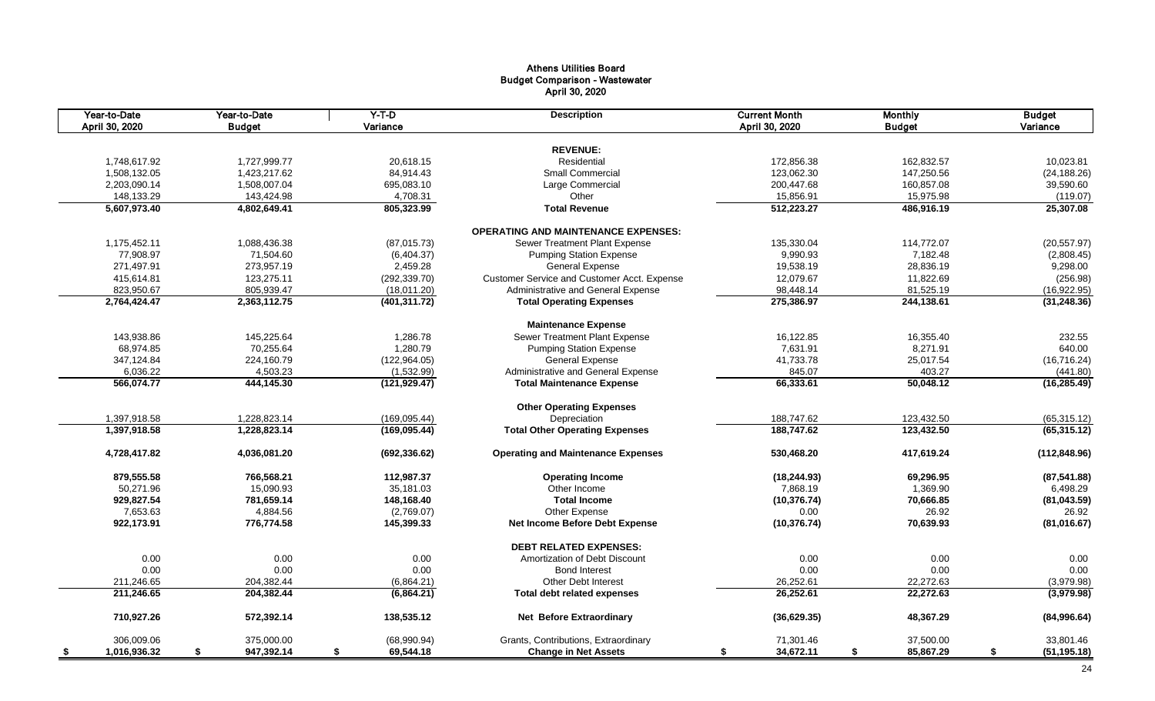#### Athens Utilities Board Budget Comparison - Wastewater April 30, 2020

| Year-to-Date<br>April 30, 2020 | Year-to-Date<br><b>Budget</b> | $Y-T-D$<br>Variance | <b>Description</b>                          | <b>Current Month</b><br>April 30, 2020 | <b>Monthly</b><br><b>Budget</b> | <b>Budget</b><br>Variance |
|--------------------------------|-------------------------------|---------------------|---------------------------------------------|----------------------------------------|---------------------------------|---------------------------|
|                                |                               |                     | <b>REVENUE:</b>                             |                                        |                                 |                           |
|                                |                               |                     | Residential                                 |                                        |                                 |                           |
| 1,748,617.92                   | 1,727,999.77                  | 20,618.15           |                                             | 172,856.38                             | 162,832.57                      | 10,023.81                 |
| 1,508,132.05                   | 1,423,217.62                  | 84,914.43           | Small Commercial                            | 123,062.30                             | 147,250.56                      | (24, 188.26)              |
| 2,203,090.14                   | 1,508,007.04                  | 695,083.10          | Large Commercial                            | 200,447.68                             | 160,857.08                      | 39,590.60                 |
| 148,133.29                     | 143,424.98                    | 4,708.31            | Other                                       | 15,856.91                              | 15,975.98                       | (119.07)                  |
| 5,607,973.40                   | 4,802,649.41                  | 805,323.99          | <b>Total Revenue</b>                        | 512,223.27                             | 486,916.19                      | 25,307.08                 |
|                                |                               |                     | <b>OPERATING AND MAINTENANCE EXPENSES:</b>  |                                        |                                 |                           |
| 1,175,452.11                   | 1,088,436.38                  | (87,015.73)         | Sewer Treatment Plant Expense               | 135,330.04                             | 114,772.07                      | (20, 557.97)              |
| 77.908.97                      | 71.504.60                     | (6,404.37)          | <b>Pumping Station Expense</b>              | 9,990.93                               | 7,182.48                        | (2,808.45)                |
| 271,497.91                     | 273,957.19                    | 2,459.28            | <b>General Expense</b>                      | 19,538.19                              | 28,836.19                       | 9,298.00                  |
| 415,614.81                     | 123,275.11                    | (292, 339.70)       | Customer Service and Customer Acct. Expense | 12,079.67                              | 11,822.69                       | (256.98)                  |
| 823,950.67                     | 805,939.47                    | (18,011.20)         | Administrative and General Expense          | 98,448.14                              | 81,525.19                       | (16,922.95)               |
| 2,764,424.47                   | 2,363,112.75                  | (401, 311.72)       | <b>Total Operating Expenses</b>             | 275,386.97                             | 244,138.61                      | (31, 248.36)              |
|                                |                               |                     | <b>Maintenance Expense</b>                  |                                        |                                 |                           |
| 143,938.86                     | 145,225.64                    | 1,286.78            | Sewer Treatment Plant Expense               | 16,122.85                              | 16,355.40                       | 232.55                    |
| 68,974.85                      | 70,255.64                     | 1,280.79            | <b>Pumping Station Expense</b>              | 7,631.91                               | 8,271.91                        | 640.00                    |
| 347,124.84                     | 224,160.79                    | (122, 964.05)       | <b>General Expense</b>                      | 41,733.78                              | 25,017.54                       | (16, 716.24)              |
| 6,036.22                       | 4,503.23                      | (1,532.99)          | Administrative and General Expense          | 845.07                                 | 403.27                          | (441.80)                  |
| 566,074.77                     | 444,145.30                    | (121, 929.47)       | <b>Total Maintenance Expense</b>            | 66,333.61                              | 50,048.12                       | (16, 285.49)              |
|                                |                               |                     |                                             |                                        |                                 |                           |
|                                |                               |                     | <b>Other Operating Expenses</b>             |                                        |                                 |                           |
| 1,397,918.58                   | 1,228,823.14                  | (169, 095.44)       | Depreciation                                | 188,747.62                             | 123,432.50                      | (65, 315.12)              |
| 1,397,918.58                   | 1,228,823.14                  | (169, 095.44)       | <b>Total Other Operating Expenses</b>       | 188,747.62                             | 123,432.50                      | (65, 315.12)              |
| 4,728,417.82                   | 4,036,081.20                  |                     | <b>Operating and Maintenance Expenses</b>   | 530,468.20                             | 417,619.24                      | (112, 848.96)             |
|                                |                               | (692, 336.62)       |                                             |                                        |                                 |                           |
| 879,555.58                     | 766,568.21                    | 112,987.37          | <b>Operating Income</b>                     | (18, 244.93)                           | 69,296.95                       | (87, 541.88)              |
| 50,271.96                      | 15,090.93                     | 35,181.03           | Other Income                                | 7,868.19                               | 1,369.90                        | 6,498.29                  |
| 929,827.54                     | 781,659.14                    | 148,168.40          | <b>Total Income</b>                         | (10, 376.74)                           | 70,666.85                       | (81, 043.59)              |
| 7,653.63                       | 4,884.56                      | (2,769.07)          | Other Expense                               | 0.00                                   | 26.92                           | 26.92                     |
| 922,173.91                     | 776.774.58                    | 145,399.33          | <b>Net Income Before Debt Expense</b>       | (10, 376.74)                           | 70,639.93                       | (81,016.67)               |
|                                |                               |                     | <b>DEBT RELATED EXPENSES:</b>               |                                        |                                 |                           |
| 0.00                           | 0.00                          | 0.00                | Amortization of Debt Discount               | 0.00                                   | 0.00                            | 0.00                      |
| 0.00                           | 0.00                          | 0.00                | <b>Bond Interest</b>                        | 0.00                                   | 0.00                            | 0.00                      |
| 211,246.65                     | 204,382.44                    | (6,864.21)          | <b>Other Debt Interest</b>                  | 26,252.61                              | 22,272.63                       | (3,979.98)                |
| 211,246.65                     | 204,382.44                    | (6,864.21)          | <b>Total debt related expenses</b>          | 26,252.61                              | 22,272.63                       | (3,979.98)                |
| 710,927.26                     | 572,392.14                    | 138,535.12          | <b>Net Before Extraordinary</b>             | (36, 629.35)                           | 48,367.29                       | (84,996.64)               |
| 306,009.06                     | 375,000.00                    | (68,990.94)         | Grants, Contributions, Extraordinary        | 71,301.46                              | 37,500.00                       | 33,801.46                 |
| 1,016,936.32<br>- \$           | 947,392.14<br>\$              | \$<br>69,544.18     | <b>Change in Net Assets</b>                 | 34,672.11<br>\$                        | 85,867.29<br>\$                 | (51, 195.18)<br>\$        |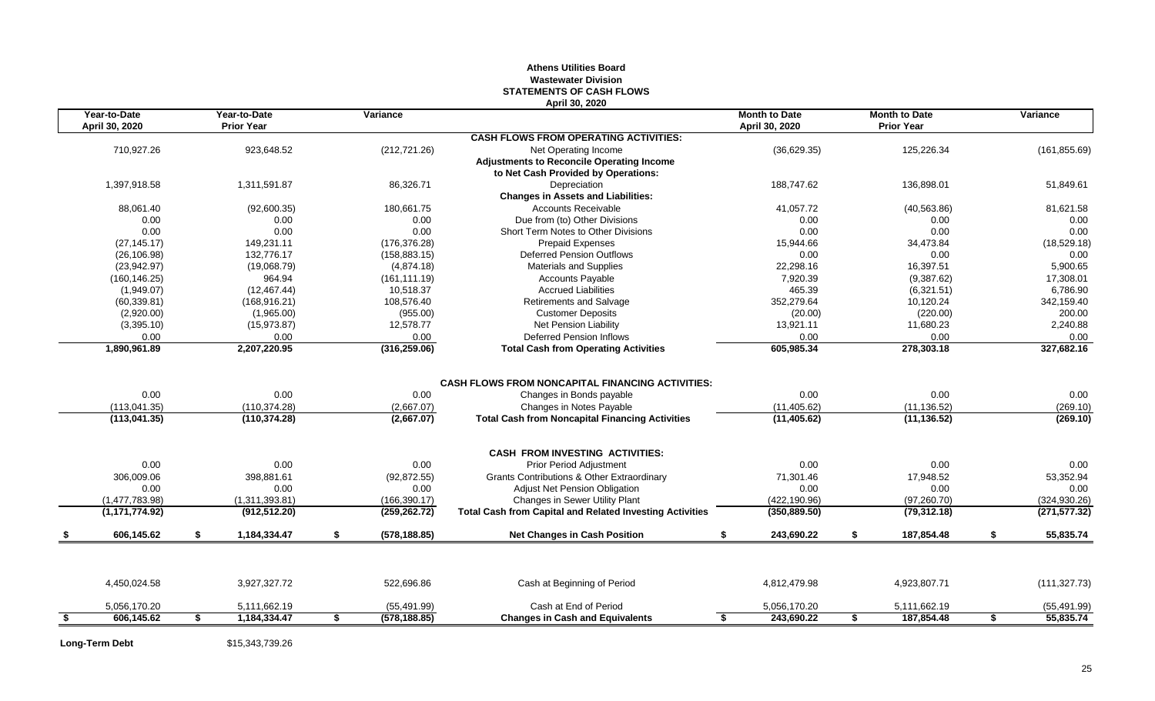#### **Athens Utilities Board Wastewater Division STATEMENTS OF CASH FLOWS April 30, 2020**

| Year-to-Date<br>April 30, 2020 |    | Year-to-Date<br><b>Prior Year</b> |    | Variance      |                                                                 | <b>Month to Date</b><br>April 30, 2020 |    | <b>Month to Date</b><br><b>Prior Year</b> | Variance        |
|--------------------------------|----|-----------------------------------|----|---------------|-----------------------------------------------------------------|----------------------------------------|----|-------------------------------------------|-----------------|
|                                |    |                                   |    |               | <b>CASH FLOWS FROM OPERATING ACTIVITIES:</b>                    |                                        |    |                                           |                 |
| 710,927.26                     |    | 923,648.52                        |    | (212, 721.26) | Net Operating Income                                            | (36,629.35)                            |    | 125,226.34                                | (161, 855.69)   |
|                                |    |                                   |    |               | <b>Adjustments to Reconcile Operating Income</b>                |                                        |    |                                           |                 |
|                                |    |                                   |    |               | to Net Cash Provided by Operations:                             |                                        |    |                                           |                 |
| 1.397.918.58                   |    | 1.311.591.87                      |    | 86,326.71     | Depreciation                                                    | 188.747.62                             |    | 136.898.01                                | 51.849.61       |
|                                |    |                                   |    |               | <b>Changes in Assets and Liabilities:</b>                       |                                        |    |                                           |                 |
| 88,061.40                      |    | (92,600.35)                       |    | 180,661.75    | <b>Accounts Receivable</b>                                      | 41,057.72                              |    | (40, 563.86)                              | 81,621.58       |
| 0.00                           |    | 0.00                              |    | 0.00          | Due from (to) Other Divisions                                   | 0.00                                   |    | 0.00                                      | 0.00            |
| 0.00                           |    | 0.00                              |    | 0.00          | Short Term Notes to Other Divisions                             | 0.00                                   |    | 0.00                                      | 0.00            |
| (27, 145.17)                   |    | 149,231.11                        |    | (176, 376.28) | <b>Prepaid Expenses</b>                                         | 15,944.66                              |    | 34,473.84                                 | (18,529.18)     |
| (26, 106.98)                   |    | 132.776.17                        |    | (158, 883.15) | <b>Deferred Pension Outflows</b>                                | 0.00                                   |    | 0.00                                      | 0.00            |
| (23,942.97)                    |    | (19,068.79)                       |    | (4,874.18)    | <b>Materials and Supplies</b>                                   | 22,298.16                              |    | 16,397.51                                 | 5,900.65        |
| (160, 146.25)                  |    | 964.94                            |    | (161, 111.19) | <b>Accounts Payable</b>                                         | 7,920.39                               |    | (9,387.62)                                | 17,308.01       |
| (1,949.07)                     |    | (12, 467.44)                      |    | 10,518.37     | <b>Accrued Liabilities</b>                                      | 465.39                                 |    | (6,321.51)                                | 6,786.90        |
| (60, 339.81)                   |    | (168, 916.21)                     |    | 108,576.40    | Retirements and Salvage                                         | 352,279.64                             |    | 10,120.24                                 | 342,159.40      |
| (2,920.00)                     |    | (1,965.00)                        |    | (955.00)      | <b>Customer Deposits</b>                                        | (20.00)                                |    | (220.00)                                  | 200.00          |
| (3,395.10)                     |    | (15, 973.87)                      |    | 12,578.77     | Net Pension Liability                                           | 13,921.11                              |    | 11,680.23                                 | 2,240.88        |
| 0.00                           |    | 0.00                              |    | 0.00          | <b>Deferred Pension Inflows</b>                                 | 0.00                                   |    | 0.00                                      | 0.00            |
| 1,890,961.89                   |    | 2,207,220.95                      |    | (316, 259.06) | <b>Total Cash from Operating Activities</b>                     | 605,985.34                             |    | 278,303.18                                | 327,682.16      |
|                                |    |                                   |    |               |                                                                 |                                        |    |                                           |                 |
|                                |    |                                   |    |               | <b>CASH FLOWS FROM NONCAPITAL FINANCING ACTIVITIES:</b>         |                                        |    |                                           |                 |
| 0.00                           |    | 0.00                              |    | 0.00          | Changes in Bonds payable                                        | 0.00                                   |    | 0.00                                      | 0.00            |
| (113.041.35)                   |    | (110, 374.28)                     |    | (2,667.07)    | Changes in Notes Payable                                        | (11, 405.62)                           |    | (11, 136.52)                              | (269.10)        |
| (113, 041.35)                  |    | (110, 374.28)                     |    | (2,667.07)    | <b>Total Cash from Noncapital Financing Activities</b>          | (11, 405.62)                           |    | (11, 136.52)                              | (269.10)        |
|                                |    |                                   |    |               |                                                                 |                                        |    |                                           |                 |
|                                |    |                                   |    |               | <b>CASH FROM INVESTING ACTIVITIES:</b>                          |                                        |    |                                           |                 |
| 0.00                           |    | 0.00                              |    | 0.00          | <b>Prior Period Adjustment</b>                                  | 0.00                                   |    | 0.00                                      | 0.00            |
| 306.009.06                     |    | 398.881.61                        |    | (92, 872.55)  | <b>Grants Contributions &amp; Other Extraordinary</b>           | 71.301.46                              |    | 17,948.52                                 | 53,352.94       |
| 0.00                           |    | 0.00                              |    | 0.00          | Adjust Net Pension Obligation                                   | 0.00                                   |    | 0.00                                      | 0.00            |
| (1,477,783.98)                 |    | (1,311,393.81)                    |    | (166, 390.17) | Changes in Sewer Utility Plant                                  | (422, 190.96)                          |    | (97, 260.70)                              | (324, 930.26)   |
| (1, 171, 774.92)               |    | (912, 512.20)                     |    | (259, 262.72) | <b>Total Cash from Capital and Related Investing Activities</b> | (350, 889.50)                          |    | (79, 312.18)                              | (271, 577.32)   |
| 606.145.62                     | S. | 1,184,334.47                      | \$ | (578, 188.85) | <b>Net Changes in Cash Position</b>                             | S.<br>243,690.22                       | \$ | 187,854.48                                | \$<br>55,835.74 |
|                                |    |                                   |    |               |                                                                 |                                        |    |                                           |                 |
| 4,450,024.58                   |    | 3,927,327.72                      |    | 522,696.86    | Cash at Beginning of Period                                     | 4,812,479.98                           |    | 4,923,807.71                              | (111, 327.73)   |
| 5,056,170.20                   |    | 5,111,662.19                      |    | (55, 491.99)  | Cash at End of Period                                           | 5,056,170.20                           |    | 5,111,662.19                              | (55, 491.99)    |
| 606.145.62                     |    | 1,184,334.47                      | S  | (578, 188.85) | <b>Changes in Cash and Equivalents</b>                          | 243.690.22<br>S.                       | S. | 187,854.48                                | \$<br>55,835.74 |
|                                |    |                                   |    |               |                                                                 |                                        |    |                                           |                 |

**Long-Term Debt** \$15,343,739.26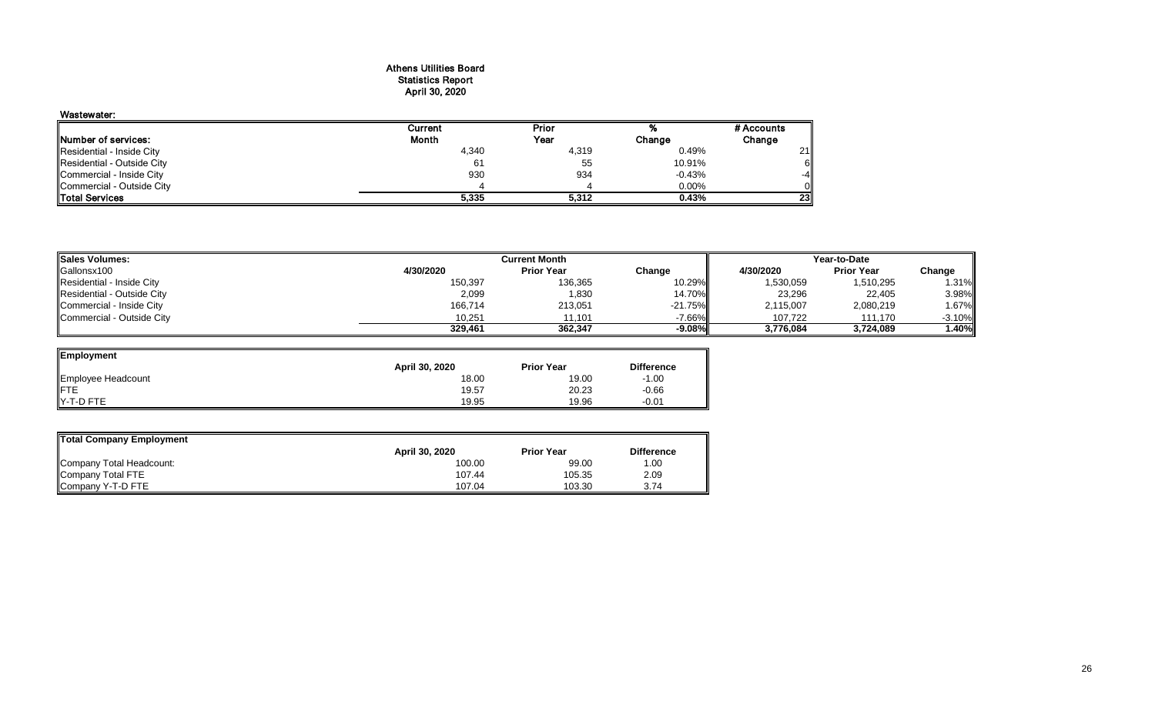#### Athens Utilities Board Statistics Report April 30, 2020

#### Wastewater:

|                            | Current | Prior |          | # Accounts |
|----------------------------|---------|-------|----------|------------|
| Number of services:        | Month   | Year  | Change   | Change     |
| Residential - Inside City  | 4,340   | 4,319 | 0.49%    | 21         |
| Residential - Outside City | 61      | 55    | 10.91%   | 6II        |
| Commercial - Inside City   | 930     | 934   | $-0.43%$ | $-4$       |
| Commercial - Outside City  |         |       | $0.00\%$ | Οll        |
| <b>Total Services</b>      | 5,335   | 5.312 | 0.43%    | <b>23I</b> |

| <b>Sales Volumes:</b>      |           | Year-to-Date      |            |           |                   |           |
|----------------------------|-----------|-------------------|------------|-----------|-------------------|-----------|
| Gallonsx100                | 4/30/2020 | <b>Prior Year</b> | Change     | 4/30/2020 | <b>Prior Year</b> | Change    |
| Residential - Inside City  | 150,397   | 136,365           | 10.29%     | 1,530,059 | 1,510,295         | 1.31%     |
| Residential - Outside City | 2,099     | 1,830             | 14.70%     | 23,296    | 22,405            | 3.98%     |
| Commercial - Inside City   | 166,714   | 213,051           | $-21.75\%$ | 2,115,007 | 2,080,219         | 1.67%     |
| Commercial - Outside City  | 10.251    | 11.101            | -7.66%     | 107.722   | 111.170           | $-3.10\%$ |
|                            | 329,461   | 362.347           | $-9.08\%$  | 3,776,084 | 3.724.089         | 1.40%     |

| Employment         |                |                   |                   |
|--------------------|----------------|-------------------|-------------------|
|                    | April 30, 2020 | <b>Prior Year</b> | <b>Difference</b> |
| Employee Headcount | 18.00          | 19.00             | $-1.00$           |
|                    | 19.57          | 20.23             | $-0.66$           |
| <b>Y-T-D FTE</b>   | 19.95          | 19.96             | $-0.01$           |

| Total Company Employment |                |                   |                   |
|--------------------------|----------------|-------------------|-------------------|
|                          | April 30, 2020 | <b>Prior Year</b> | <b>Difference</b> |
| Company Total Headcount: | 100.00         | 99.00             | 1.00              |
| Company Total FTE        | 107.44         | 105.35            | 2.09              |
| Company Y-T-D FTE        | 107.04         | 103.30            | 3.74              |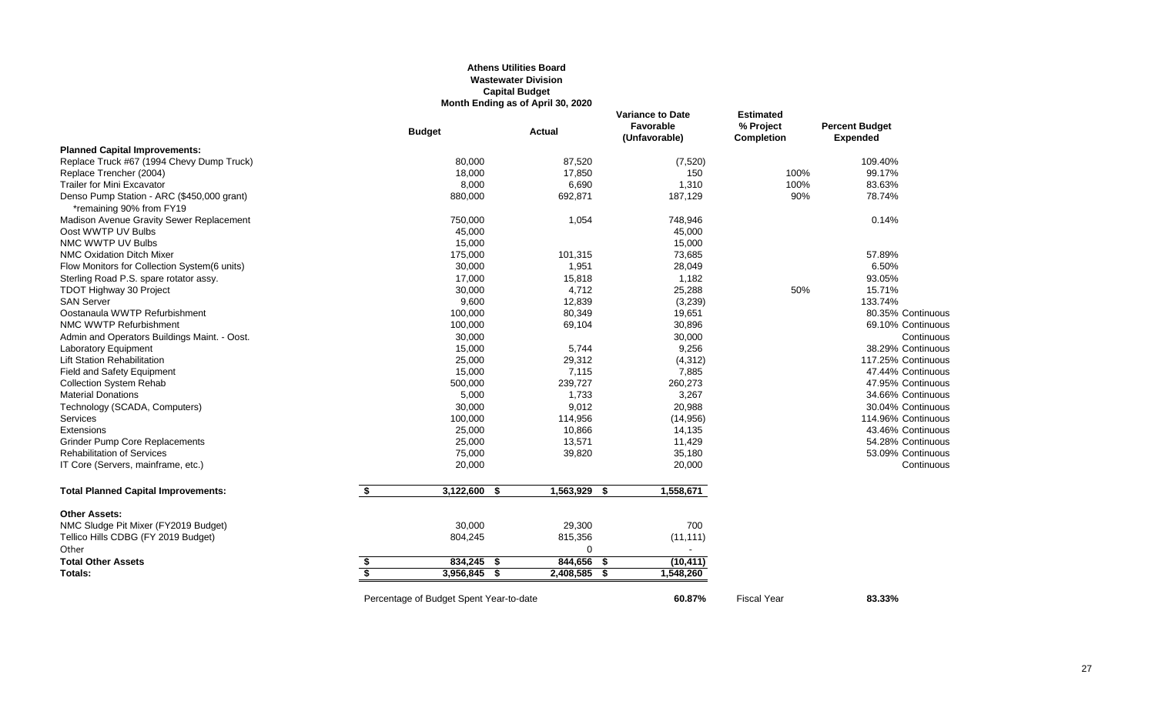#### **Athens Utilities Board Wastewater Division Capital Budget Month Ending as of April 30, 2020**

|                                                                        | <b>Budget</b>                           | <b>Actual</b> | <b>Variance to Date</b><br>Favorable<br>(Unfavorable) | <b>Estimated</b><br>% Project<br><b>Completion</b> | <b>Percent Budget</b><br><b>Expended</b> |
|------------------------------------------------------------------------|-----------------------------------------|---------------|-------------------------------------------------------|----------------------------------------------------|------------------------------------------|
| <b>Planned Capital Improvements:</b>                                   |                                         |               |                                                       |                                                    |                                          |
| Replace Truck #67 (1994 Chevy Dump Truck)                              | 80,000                                  | 87,520        | (7, 520)                                              |                                                    | 109.40%                                  |
| Replace Trencher (2004)                                                | 18,000                                  | 17,850        | 150                                                   | 100%                                               | 99.17%                                   |
| <b>Trailer for Mini Excavator</b>                                      | 8,000                                   | 6,690         | 1,310                                                 | 100%                                               | 83.63%                                   |
| Denso Pump Station - ARC (\$450,000 grant)<br>*remaining 90% from FY19 | 880,000                                 | 692,871       | 187,129                                               | 90%                                                | 78.74%                                   |
| Madison Avenue Gravity Sewer Replacement                               | 750,000                                 | 1,054         | 748,946                                               |                                                    | 0.14%                                    |
| Oost WWTP UV Bulbs                                                     | 45,000                                  |               | 45,000                                                |                                                    |                                          |
| NMC WWTP UV Bulbs                                                      | 15,000                                  |               | 15,000                                                |                                                    |                                          |
| <b>NMC Oxidation Ditch Mixer</b>                                       | 175,000                                 | 101,315       | 73,685                                                |                                                    | 57.89%                                   |
| Flow Monitors for Collection System(6 units)                           | 30,000                                  | 1,951         | 28,049                                                |                                                    | 6.50%                                    |
| Sterling Road P.S. spare rotator assy.                                 | 17,000                                  | 15,818        | 1,182                                                 |                                                    | 93.05%                                   |
| <b>TDOT Highway 30 Project</b>                                         | 30,000                                  | 4,712         | 25,288                                                | 50%                                                | 15.71%                                   |
| <b>SAN Server</b>                                                      | 9,600                                   | 12,839        | (3,239)                                               |                                                    | 133.74%                                  |
| Oostanaula WWTP Refurbishment                                          | 100,000                                 | 80,349        | 19,651                                                |                                                    | 80.35% Continuous                        |
| NMC WWTP Refurbishment                                                 | 100,000                                 | 69,104        | 30,896                                                |                                                    | 69.10% Continuous                        |
| Admin and Operators Buildings Maint. - Oost.                           | 30,000                                  |               | 30,000                                                |                                                    | Continuous                               |
| Laboratory Equipment                                                   | 15,000                                  | 5,744         | 9,256                                                 |                                                    | 38.29% Continuous                        |
| <b>Lift Station Rehabilitation</b>                                     | 25,000                                  | 29,312        | (4, 312)                                              |                                                    | 117.25% Continuous                       |
| <b>Field and Safety Equipment</b>                                      | 15,000                                  | 7,115         | 7,885                                                 |                                                    | 47.44% Continuous                        |
| <b>Collection System Rehab</b>                                         | 500,000                                 | 239,727       | 260,273                                               |                                                    | 47.95% Continuous                        |
| <b>Material Donations</b>                                              | 5,000                                   | 1,733         | 3,267                                                 |                                                    | 34.66% Continuous                        |
| Technology (SCADA, Computers)                                          | 30,000                                  | 9,012         | 20,988                                                |                                                    | 30.04% Continuous                        |
| Services                                                               | 100,000                                 | 114,956       | (14, 956)                                             |                                                    | 114.96% Continuous                       |
| Extensions                                                             | 25,000                                  | 10,866        | 14,135                                                |                                                    | 43.46% Continuous                        |
| <b>Grinder Pump Core Replacements</b>                                  | 25,000                                  | 13,571        | 11,429                                                |                                                    | 54.28% Continuous                        |
| <b>Rehabilitation of Services</b>                                      | 75,000                                  | 39,820        | 35,180                                                |                                                    | 53.09% Continuous                        |
| IT Core (Servers, mainframe, etc.)                                     | 20,000                                  |               | 20,000                                                |                                                    | Continuous                               |
| <b>Total Planned Capital Improvements:</b>                             | \$<br>$3,122,600$ \$                    | 1,563,929 \$  | 1,558,671                                             |                                                    |                                          |
| <b>Other Assets:</b>                                                   |                                         |               |                                                       |                                                    |                                          |
| NMC Sludge Pit Mixer (FY2019 Budget)                                   | 30,000                                  | 29,300        | 700                                                   |                                                    |                                          |
| Tellico Hills CDBG (FY 2019 Budget)                                    | 804,245                                 | 815,356       | (11, 111)                                             |                                                    |                                          |
| Other                                                                  |                                         | $\Omega$      | $\sim$                                                |                                                    |                                          |
| <b>Total Other Assets</b>                                              | \$<br>834,245 \$                        | 844,656 \$    | (10, 411)                                             |                                                    |                                          |
| Totals:                                                                | \$<br>3,956,845<br>- \$                 | 2,408,585     | 1,548,260<br>- \$                                     |                                                    |                                          |
|                                                                        | Percentage of Budget Spent Year-to-date |               | 60.87%                                                | <b>Fiscal Year</b>                                 | 83.33%                                   |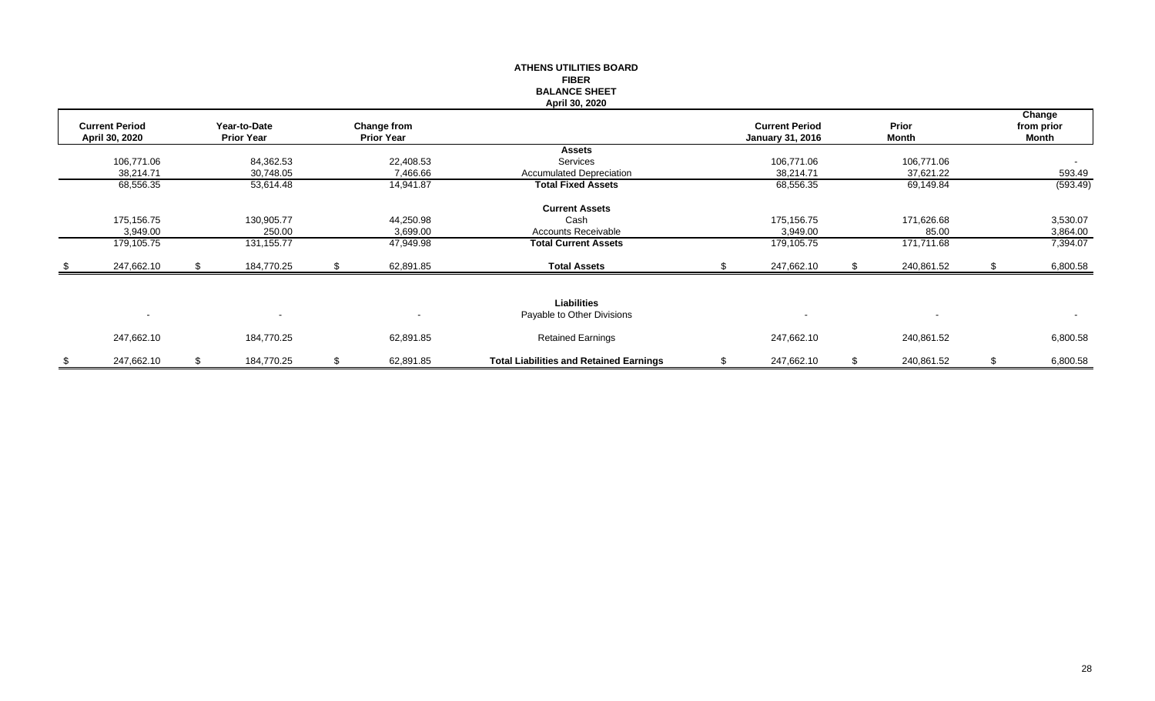|     |                                         |    |                                   |    |                                  | <b>ATHENS UTILITIES BOARD</b>                    |                                                  |                       |                                      |
|-----|-----------------------------------------|----|-----------------------------------|----|----------------------------------|--------------------------------------------------|--------------------------------------------------|-----------------------|--------------------------------------|
|     |                                         |    |                                   |    |                                  | <b>FIBER</b><br><b>BALANCE SHEET</b>             |                                                  |                       |                                      |
|     |                                         |    |                                   |    |                                  | April 30, 2020                                   |                                                  |                       |                                      |
|     | <b>Current Period</b><br>April 30, 2020 |    | Year-to-Date<br><b>Prior Year</b> |    | Change from<br><b>Prior Year</b> |                                                  | <b>Current Period</b><br><b>January 31, 2016</b> | Prior<br><b>Month</b> | Change<br>from prior<br><b>Month</b> |
|     |                                         |    |                                   |    |                                  | <b>Assets</b>                                    |                                                  |                       |                                      |
|     | 106,771.06                              |    | 84,362.53                         |    | 22,408.53                        | Services                                         | 106,771.06                                       | 106,771.06            | $\sim$                               |
|     | 38,214.71                               |    | 30,748.05                         |    | 7,466.66                         | <b>Accumulated Depreciation</b>                  | 38,214.71                                        | 37,621.22             | 593.49                               |
|     | 68,556.35                               |    | 53,614.48                         |    | 14,941.87                        | <b>Total Fixed Assets</b>                        | 68,556.35                                        | 69,149.84             | (593.49)                             |
|     |                                         |    |                                   |    |                                  | <b>Current Assets</b>                            |                                                  |                       |                                      |
|     | 175,156.75                              |    | 130,905.77                        |    | 44,250.98                        | Cash                                             | 175,156.75                                       | 171,626.68            | 3,530.07                             |
|     | 3,949.00                                |    | 250.00                            |    | 3,699.00                         | Accounts Receivable                              | 3,949.00                                         | 85.00                 | 3,864.00                             |
|     | 179,105.75                              |    | 131, 155.77                       |    | 47,949.98                        | <b>Total Current Assets</b>                      | 179,105.75                                       | 171,711.68            | 7,394.07                             |
| -SS | 247,662.10                              | S. | 184,770.25                        | S. | 62,891.85                        | <b>Total Assets</b>                              | 247,662.10                                       | 240,861.52            | 6,800.58                             |
|     |                                         |    |                                   |    |                                  |                                                  |                                                  |                       |                                      |
|     | $\blacksquare$                          |    |                                   |    |                                  | <b>Liabilities</b><br>Payable to Other Divisions |                                                  |                       | $\sim$                               |
|     | 247,662.10                              |    | 184,770.25                        |    | 62,891.85                        | <b>Retained Earnings</b>                         | 247,662.10                                       | 240,861.52            | 6,800.58                             |
| \$  | 247,662.10                              | \$ | 184,770.25                        | \$ | 62,891.85                        | <b>Total Liabilities and Retained Earnings</b>   | \$<br>247,662.10                                 | \$<br>240,861.52      | \$<br>6,800.58                       |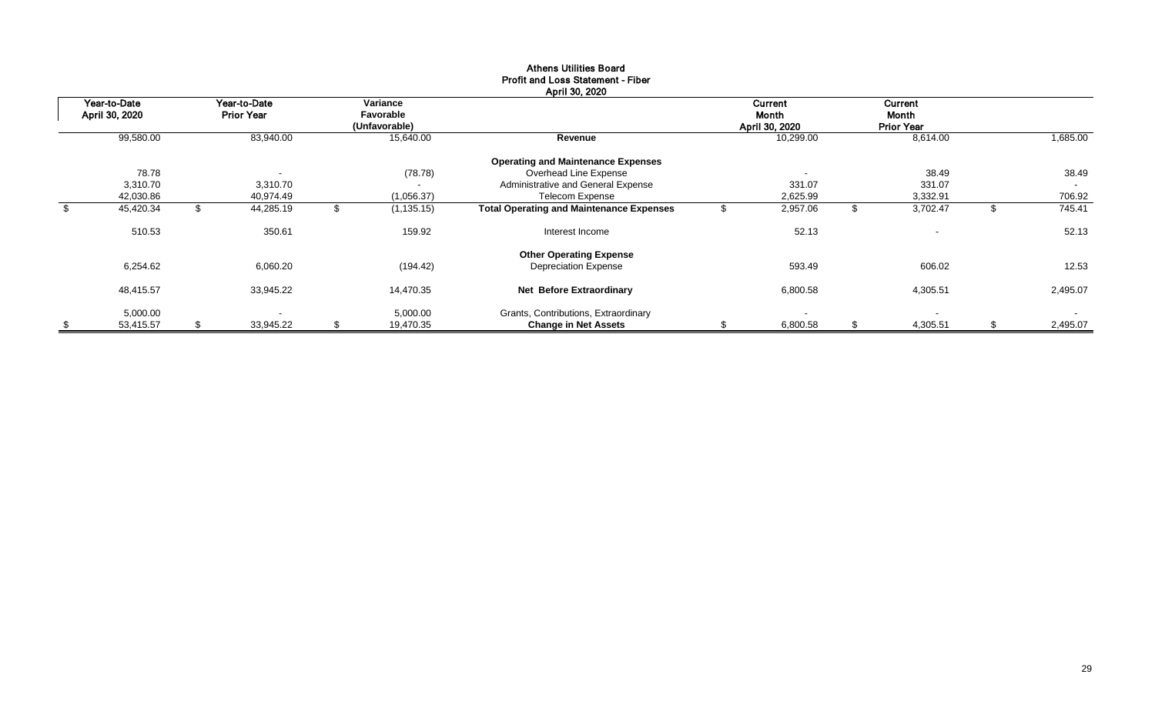| Year-to-Date<br>April 30, 2020 | Year-to-Date<br><b>Prior Year</b> |    | Variance<br>Favorable<br>(Unfavorable) |                                                 | Current<br>Month<br>April 30, 2020 | Current<br>Month<br><b>Prior Year</b> |               |          |
|--------------------------------|-----------------------------------|----|----------------------------------------|-------------------------------------------------|------------------------------------|---------------------------------------|---------------|----------|
| 99,580.00                      | 83,940.00                         |    | 15,640.00                              | Revenue                                         | 10,299.00                          | 8,614.00                              |               | 1,685.00 |
|                                |                                   |    |                                        | <b>Operating and Maintenance Expenses</b>       |                                    |                                       |               |          |
| 78.78                          |                                   |    | (78.78)                                | Overhead Line Expense                           |                                    | 38.49                                 |               | 38.49    |
| 3,310.70                       | 3,310.70                          |    |                                        | Administrative and General Expense              | 331.07                             | 331.07                                |               | $\sim$   |
| 42,030.86                      | 40,974.49                         |    | (1,056.37)                             | <b>Telecom Expense</b>                          | 2,625.99                           | 3,332.91                              |               | 706.92   |
| \$<br>45,420.34                | \$<br>44,285.19                   | ъ  | (1, 135.15)                            | <b>Total Operating and Maintenance Expenses</b> | 2,957.06                           | \$<br>3,702.47                        | $\mathcal{L}$ | 745.41   |
| 510.53                         | 350.61                            |    | 159.92                                 | Interest Income                                 | 52.13                              | $\overline{\phantom{a}}$              |               | 52.13    |
|                                |                                   |    |                                        | <b>Other Operating Expense</b>                  |                                    |                                       |               |          |
| 6,254.62                       | 6,060.20                          |    | (194.42)                               | <b>Depreciation Expense</b>                     | 593.49                             | 606.02                                |               | 12.53    |
| 48,415.57                      | 33,945.22                         |    | 14,470.35                              | Net Before Extraordinary                        | 6,800.58                           | 4,305.51                              |               | 2,495.07 |
| 5,000.00                       |                                   |    | 5,000.00                               | Grants, Contributions, Extraordinary            |                                    | $\sim$                                |               | $\sim$   |
| \$<br>53,415.57                | \$<br>33,945.22                   | \$ | 19,470.35                              | <b>Change in Net Assets</b>                     | 6,800.58                           | \$<br>4,305.51                        | \$            | 2,495.07 |

#### Athens Utilities Board Profit and Loss Statement - Fiber April 30, 2020